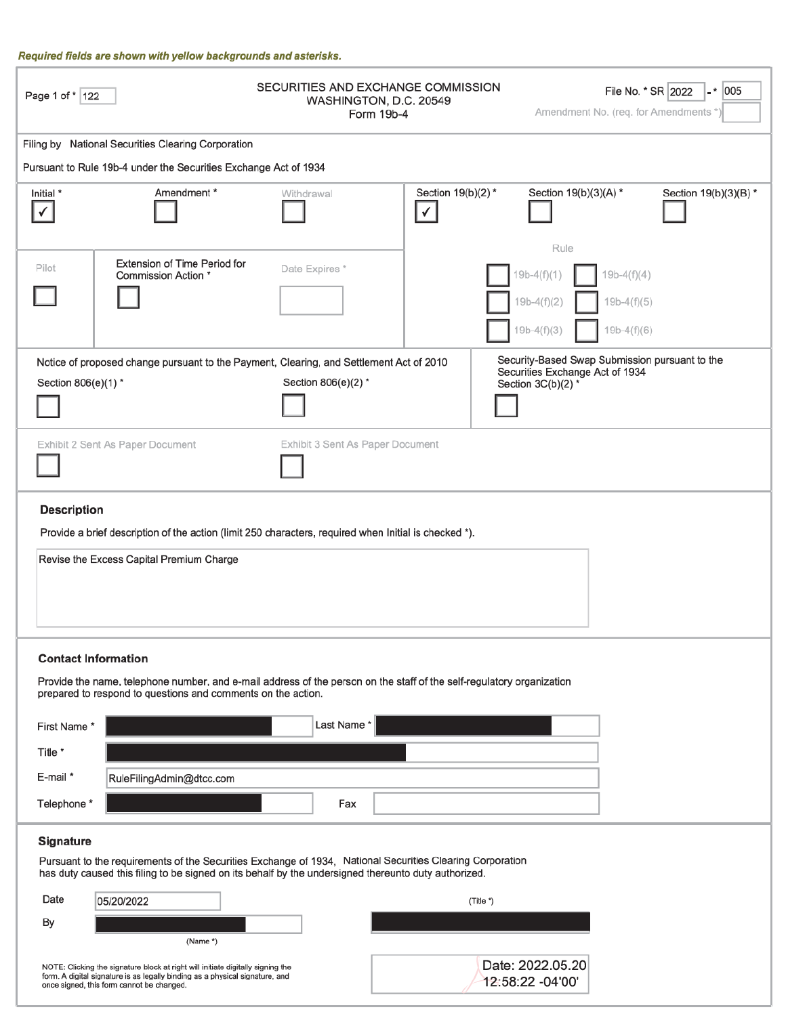#### Required fields are shown with yellow backgrounds and asterisks.

| Page 1 of *   122                                                                                                                                                                                                              |                                                                                                                                                                                                                                                 | SECURITIES AND EXCHANGE COMMISSION<br>WASHINGTON, D.C. 20549<br>Form 19b-4                                    |                                    |                                                                    | File No. * SR 2022<br>$ \cdot$ 005<br>Amendment No. (req. for Amendments * |  |  |
|--------------------------------------------------------------------------------------------------------------------------------------------------------------------------------------------------------------------------------|-------------------------------------------------------------------------------------------------------------------------------------------------------------------------------------------------------------------------------------------------|---------------------------------------------------------------------------------------------------------------|------------------------------------|--------------------------------------------------------------------|----------------------------------------------------------------------------|--|--|
|                                                                                                                                                                                                                                | Filing by National Securities Clearing Corporation                                                                                                                                                                                              |                                                                                                               |                                    |                                                                    |                                                                            |  |  |
| Pursuant to Rule 19b-4 under the Securities Exchange Act of 1934                                                                                                                                                               |                                                                                                                                                                                                                                                 |                                                                                                               |                                    |                                                                    |                                                                            |  |  |
| Initial *<br>✓                                                                                                                                                                                                                 | Amendment*                                                                                                                                                                                                                                      | Withdrawal                                                                                                    | Section 19(b)(2) *<br>$\checkmark$ | Section 19(b)(3)(A) *                                              | Section 19(b)(3)(B) *                                                      |  |  |
| Pilot                                                                                                                                                                                                                          | Extension of Time Period for<br>Commission Action *                                                                                                                                                                                             | Date Expires*                                                                                                 |                                    | Rule<br>$19b-4(f)(1)$<br>19b-4(f)(2)<br>$19b-4(f)(3)$              | $19b-4(f)(4)$<br>$19b-4(f)(5)$<br>$19b-4(f)(6)$                            |  |  |
| Section 806(e)(1) *                                                                                                                                                                                                            |                                                                                                                                                                                                                                                 | Notice of proposed change pursuant to the Payment, Clearing, and Settlement Act of 2010<br>Section 806(e)(2)* |                                    | Securities Exchange Act of 1934<br>Section $3C(b)(2)$ <sup>*</sup> | Security-Based Swap Submission pursuant to the                             |  |  |
| Exhibit 2 Sent As Paper Document<br>Exhibit 3 Sent As Paper Document                                                                                                                                                           |                                                                                                                                                                                                                                                 |                                                                                                               |                                    |                                                                    |                                                                            |  |  |
| <b>Description</b><br>Provide a brief description of the action (limit 250 characters, required when Initial is checked *).<br>Revise the Excess Capital Premium Charge                                                        |                                                                                                                                                                                                                                                 |                                                                                                               |                                    |                                                                    |                                                                            |  |  |
| First Name*<br>Title *<br>E-mail *<br>Telephone *                                                                                                                                                                              | <b>Contact Information</b><br>Provide the name, telephone number, and e-mail address of the person on the staff of the self-regulatory organization<br>prepared to respond to questions and comments on the action.<br>RuleFilingAdmin@dtcc.com | Last Name*<br>Fax                                                                                             |                                    |                                                                    |                                                                            |  |  |
| Signature<br>Pursuant to the requirements of the Securities Exchange of 1934, National Securities Clearing Corporation<br>has duty caused this filing to be signed on its behalf by the undersigned thereunto duty authorized. |                                                                                                                                                                                                                                                 |                                                                                                               |                                    |                                                                    |                                                                            |  |  |
| Date<br>By                                                                                                                                                                                                                     | 05/20/2022<br>(Name *)                                                                                                                                                                                                                          |                                                                                                               |                                    | (Title *)                                                          |                                                                            |  |  |
|                                                                                                                                                                                                                                | NOTE: Clicking the signature block at right will initiate digitally signing the<br>form. A digital signature is as legally binding as a physical signature, and<br>once signed, this form cannot be changed.                                    | Date: 2022.05.20<br>12:58:22 -04'00'                                                                          |                                    |                                                                    |                                                                            |  |  |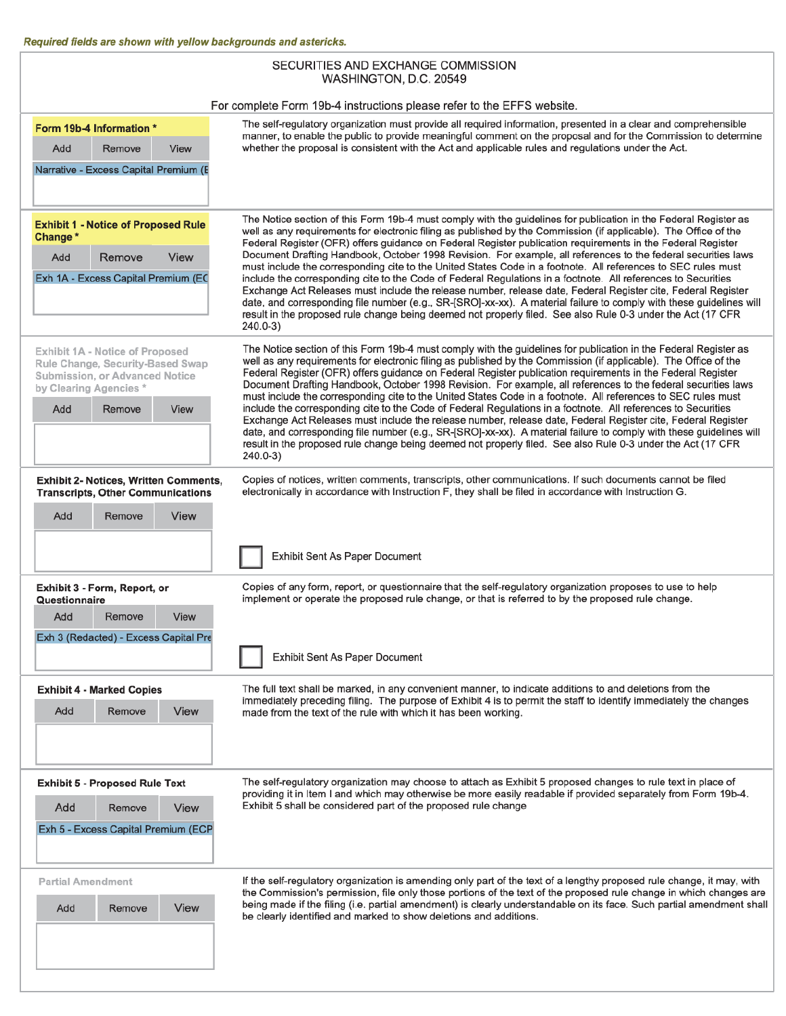ľ

| SECURITIES AND EXCHANGE COMMISSION<br>WASHINGTON, D.C. 20549                                                                   |                                                                                                                                                                                                                                                                                                                                                                                                                                                                                                                                                                                       |  |  |  |  |  |
|--------------------------------------------------------------------------------------------------------------------------------|---------------------------------------------------------------------------------------------------------------------------------------------------------------------------------------------------------------------------------------------------------------------------------------------------------------------------------------------------------------------------------------------------------------------------------------------------------------------------------------------------------------------------------------------------------------------------------------|--|--|--|--|--|
|                                                                                                                                | For complete Form 19b-4 instructions please refer to the EFFS website.                                                                                                                                                                                                                                                                                                                                                                                                                                                                                                                |  |  |  |  |  |
| Form 19b-4 Information *                                                                                                       | The self-regulatory organization must provide all required information, presented in a clear and comprehensible<br>manner, to enable the public to provide meaningful comment on the proposal and for the Commission to determine<br>whether the proposal is consistent with the Act and applicable rules and regulations under the Act.                                                                                                                                                                                                                                              |  |  |  |  |  |
| Add<br>Remove<br>View<br>Narrative - Excess Capital Premium (E                                                                 |                                                                                                                                                                                                                                                                                                                                                                                                                                                                                                                                                                                       |  |  |  |  |  |
| <b>Exhibit 1 - Notice of Proposed Rule</b><br>Change*                                                                          | The Notice section of this Form 19b-4 must comply with the guidelines for publication in the Federal Register as<br>well as any requirements for electronic filing as published by the Commission (if applicable). The Office of the<br>Federal Register (OFR) offers guidance on Federal Register publication requirements in the Federal Register                                                                                                                                                                                                                                   |  |  |  |  |  |
| Remove<br><b>View</b><br>Add<br>Exh 1A - Excess Capital Premium (EC                                                            | Document Drafting Handbook, October 1998 Revision. For example, all references to the federal securities laws<br>must include the corresponding cite to the United States Code in a footnote. All references to SEC rules must<br>include the corresponding cite to the Code of Federal Regulations in a footnote. All references to Securities                                                                                                                                                                                                                                       |  |  |  |  |  |
|                                                                                                                                | Exchange Act Releases must include the release number, release date, Federal Register cite, Federal Register<br>date, and corresponding file number (e.g., SR-[SRO]-xx-xx). A material failure to comply with these guidelines will<br>result in the proposed rule change being deemed not properly filed. See also Rule 0-3 under the Act (17 CFR<br>$240.0 - 3$                                                                                                                                                                                                                     |  |  |  |  |  |
| Exhibit 1A - Notice of Proposed<br>Rule Change, Security-Based Swap<br>Submission, or Advanced Notice<br>by Clearing Agencies* | The Notice section of this Form 19b-4 must comply with the guidelines for publication in the Federal Register as<br>well as any requirements for electronic filing as published by the Commission (if applicable). The Office of the<br>Federal Register (OFR) offers guidance on Federal Register publication requirements in the Federal Register<br>Document Drafting Handbook, October 1998 Revision. For example, all references to the federal securities laws<br>must include the corresponding cite to the United States Code in a footnote. All references to SEC rules must |  |  |  |  |  |
| Add<br>Remove<br><b>View</b>                                                                                                   | include the corresponding cite to the Code of Federal Regulations in a footnote. All references to Securities<br>Exchange Act Releases must include the release number, release date, Federal Register cite, Federal Register<br>date, and corresponding file number (e.g., SR-[SRO]-xx-xx). A material failure to comply with these guidelines will<br>result in the proposed rule change being deemed not properly filed. See also Rule 0-3 under the Act (17 CFR<br>240.0-3)                                                                                                       |  |  |  |  |  |
| <b>Exhibit 2- Notices, Written Comments,</b><br><b>Transcripts, Other Communications</b>                                       | Copies of notices, written comments, transcripts, other communications. If such documents cannot be filed<br>electronically in accordance with Instruction F, they shall be filed in accordance with Instruction G.                                                                                                                                                                                                                                                                                                                                                                   |  |  |  |  |  |
| View<br>Add<br>Remove                                                                                                          |                                                                                                                                                                                                                                                                                                                                                                                                                                                                                                                                                                                       |  |  |  |  |  |
|                                                                                                                                | Exhibit Sent As Paper Document                                                                                                                                                                                                                                                                                                                                                                                                                                                                                                                                                        |  |  |  |  |  |
| Exhibit 3 - Form, Report, or<br>Questionnaire                                                                                  | Copies of any form, report, or questionnaire that the self-regulatory organization proposes to use to help<br>implement or operate the proposed rule change, or that is referred to by the proposed rule change.                                                                                                                                                                                                                                                                                                                                                                      |  |  |  |  |  |
| Add<br>Remove<br>View                                                                                                          |                                                                                                                                                                                                                                                                                                                                                                                                                                                                                                                                                                                       |  |  |  |  |  |
| Exh 3 (Redacted) - Excess Capital Pre                                                                                          | <b>Exhibit Sent As Paper Document</b>                                                                                                                                                                                                                                                                                                                                                                                                                                                                                                                                                 |  |  |  |  |  |
| <b>Exhibit 4 - Marked Copies</b><br>Add<br>Remove<br>View                                                                      | The full text shall be marked, in any convenient manner, to indicate additions to and deletions from the<br>immediately preceding filing. The purpose of Exhibit 4 is to permit the staff to identify immediately the changes<br>made from the text of the rule with which it has been working.                                                                                                                                                                                                                                                                                       |  |  |  |  |  |
| <b>Exhibit 5 - Proposed Rule Text</b><br>Add<br>Remove                                                                         | The self-regulatory organization may choose to attach as Exhibit 5 proposed changes to rule text in place of<br>providing it in Item I and which may otherwise be more easily readable if provided separately from Form 19b-4.<br>Exhibit 5 shall be considered part of the proposed rule change                                                                                                                                                                                                                                                                                      |  |  |  |  |  |
| View<br>Exh 5 - Excess Capital Premium (ECP                                                                                    |                                                                                                                                                                                                                                                                                                                                                                                                                                                                                                                                                                                       |  |  |  |  |  |
| <b>Partial Amendment</b>                                                                                                       | If the self-regulatory organization is amending only part of the text of a lengthy proposed rule change, it may, with<br>the Commission's permission, file only those portions of the text of the proposed rule change in which changes are<br>being made if the filing (i.e. partial amendment) is clearly understandable on its face. Such partial amendment shall                                                                                                                                                                                                                  |  |  |  |  |  |
| View<br>Add<br>Remove                                                                                                          | be clearly identified and marked to show deletions and additions.                                                                                                                                                                                                                                                                                                                                                                                                                                                                                                                     |  |  |  |  |  |
|                                                                                                                                |                                                                                                                                                                                                                                                                                                                                                                                                                                                                                                                                                                                       |  |  |  |  |  |

ı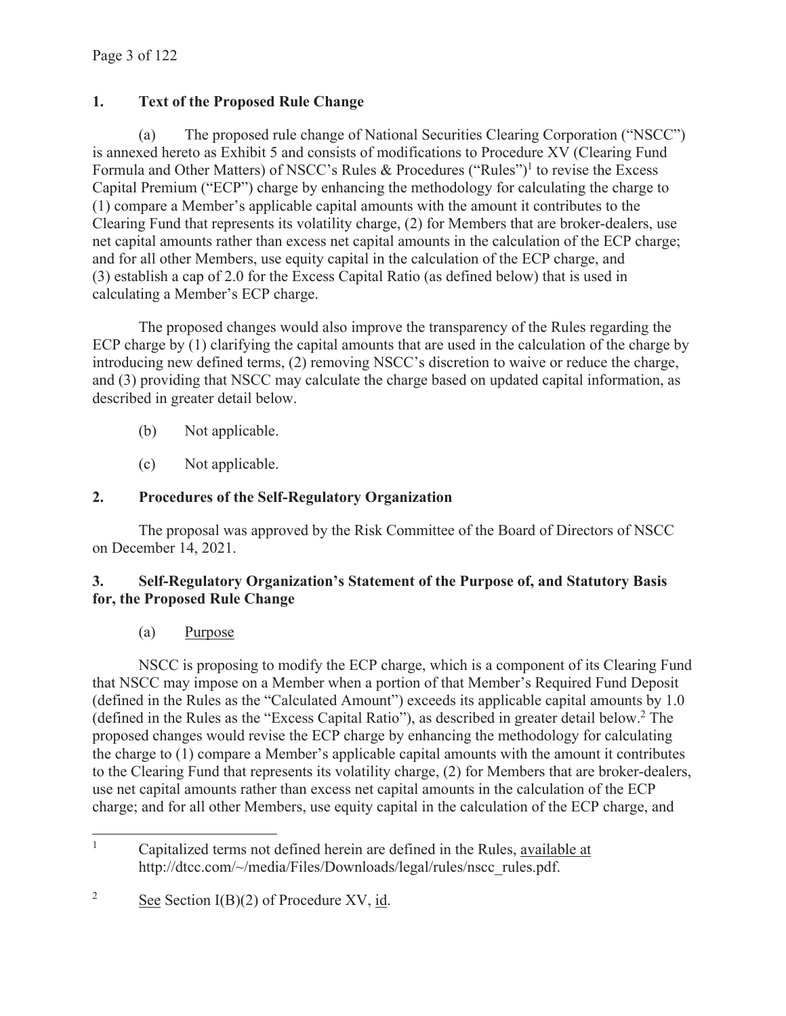# **1. Text of the Proposed Rule Change**

(a) The proposed rule change of National Securities Clearing Corporation ("NSCC") is annexed hereto as Exhibit 5 and consists of modifications to Procedure XV (Clearing Fund Formula and Other Matters) of NSCC's Rules & Procedures ("Rules")<sup>1</sup> to revise the Excess Capital Premium ("ECP") charge by enhancing the methodology for calculating the charge to (1) compare a Member's applicable capital amounts with the amount it contributes to the Clearing Fund that represents its volatility charge, (2) for Members that are broker-dealers, use net capital amounts rather than excess net capital amounts in the calculation of the ECP charge; and for all other Members, use equity capital in the calculation of the ECP charge, and (3) establish a cap of 2.0 for the Excess Capital Ratio (as defined below) that is used in calculating a Member's ECP charge.

The proposed changes would also improve the transparency of the Rules regarding the ECP charge by (1) clarifying the capital amounts that are used in the calculation of the charge by introducing new defined terms, (2) removing NSCC's discretion to waive or reduce the charge, and (3) providing that NSCC may calculate the charge based on updated capital information, as described in greater detail below.

- (b) Not applicable.
- (c) Not applicable.

# **2. Procedures of the Self-Regulatory Organization**

The proposal was approved by the Risk Committee of the Board of Directors of NSCC on December 14, 2021.

## **3. Self-Regulatory Organization's Statement of the Purpose of, and Statutory Basis for, the Proposed Rule Change**

(a) Purpose

NSCC is proposing to modify the ECP charge, which is a component of its Clearing Fund that NSCC may impose on a Member when a portion of that Member's Required Fund Deposit (defined in the Rules as the "Calculated Amount") exceeds its applicable capital amounts by 1.0 (defined in the Rules as the "Excess Capital Ratio"), as described in greater detail below.<sup>2</sup> The proposed changes would revise the ECP charge by enhancing the methodology for calculating the charge to (1) compare a Member's applicable capital amounts with the amount it contributes to the Clearing Fund that represents its volatility charge, (2) for Members that are broker-dealers, use net capital amounts rather than excess net capital amounts in the calculation of the ECP charge; and for all other Members, use equity capital in the calculation of the ECP charge, and

<sup>1</sup> Capitalized terms not defined herein are defined in the Rules, available at http://dtcc.com/~/media/Files/Downloads/legal/rules/nscc\_rules.pdf.

<sup>2</sup> See Section I(B)(2) of Procedure XV, id.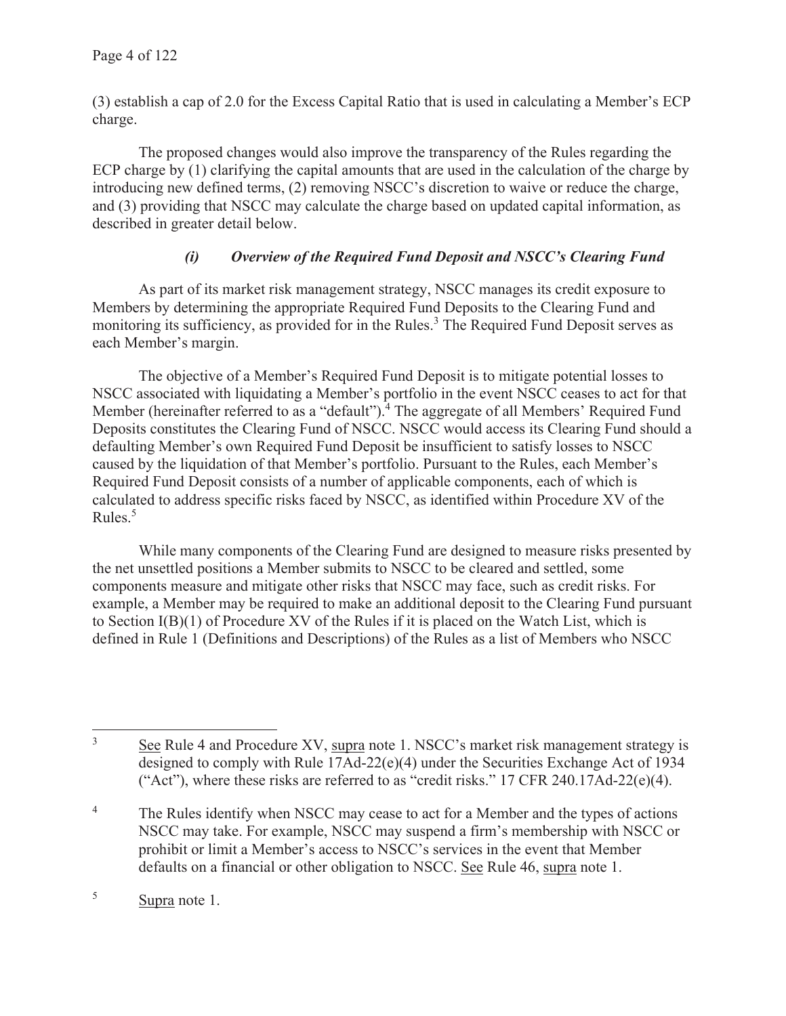(3) establish a cap of 2.0 for the Excess Capital Ratio that is used in calculating a Member's ECP charge.

The proposed changes would also improve the transparency of the Rules regarding the ECP charge by (1) clarifying the capital amounts that are used in the calculation of the charge by introducing new defined terms, (2) removing NSCC's discretion to waive or reduce the charge, and (3) providing that NSCC may calculate the charge based on updated capital information, as described in greater detail below.

## *(i) Overview of the Required Fund Deposit and NSCC's Clearing Fund*

As part of its market risk management strategy, NSCC manages its credit exposure to Members by determining the appropriate Required Fund Deposits to the Clearing Fund and monitoring its sufficiency, as provided for in the Rules.<sup>3</sup> The Required Fund Deposit serves as each Member's margin.

The objective of a Member's Required Fund Deposit is to mitigate potential losses to NSCC associated with liquidating a Member's portfolio in the event NSCC ceases to act for that Member (hereinafter referred to as a "default").<sup>4</sup> The aggregate of all Members' Required Fund Deposits constitutes the Clearing Fund of NSCC. NSCC would access its Clearing Fund should a defaulting Member's own Required Fund Deposit be insufficient to satisfy losses to NSCC caused by the liquidation of that Member's portfolio. Pursuant to the Rules, each Member's Required Fund Deposit consists of a number of applicable components, each of which is calculated to address specific risks faced by NSCC, as identified within Procedure XV of the Rules.<sup>5</sup>

While many components of the Clearing Fund are designed to measure risks presented by the net unsettled positions a Member submits to NSCC to be cleared and settled, some components measure and mitigate other risks that NSCC may face, such as credit risks. For example, a Member may be required to make an additional deposit to the Clearing Fund pursuant to Section I(B)(1) of Procedure XV of the Rules if it is placed on the Watch List, which is defined in Rule 1 (Definitions and Descriptions) of the Rules as a list of Members who NSCC

<sup>3</sup> See Rule 4 and Procedure XV, supra note 1. NSCC's market risk management strategy is designed to comply with Rule 17Ad-22(e)(4) under the Securities Exchange Act of 1934 ("Act"), where these risks are referred to as "credit risks." 17 CFR 240.17Ad-22 $(e)(4)$ .

<sup>4</sup> The Rules identify when NSCC may cease to act for a Member and the types of actions NSCC may take. For example, NSCC may suspend a firm's membership with NSCC or prohibit or limit a Member's access to NSCC's services in the event that Member defaults on a financial or other obligation to NSCC. See Rule 46, supra note 1.

<sup>5</sup> Supra note 1.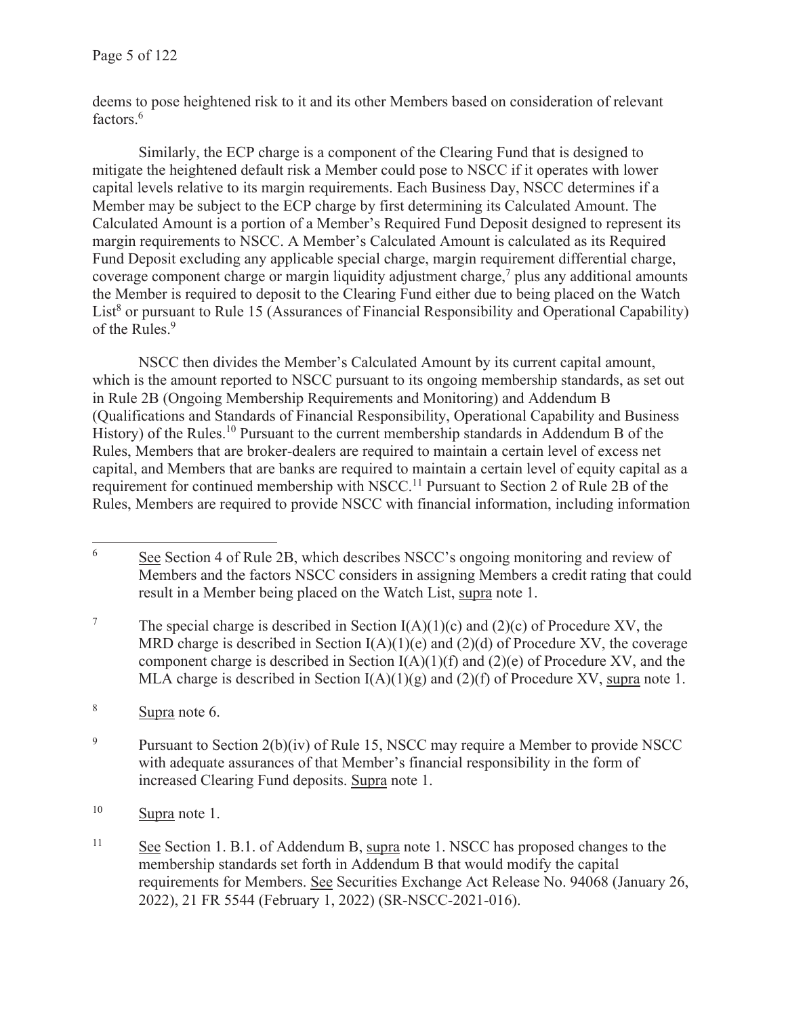deems to pose heightened risk to it and its other Members based on consideration of relevant factors.<sup>6</sup>

Similarly, the ECP charge is a component of the Clearing Fund that is designed to mitigate the heightened default risk a Member could pose to NSCC if it operates with lower capital levels relative to its margin requirements. Each Business Day, NSCC determines if a Member may be subject to the ECP charge by first determining its Calculated Amount. The Calculated Amount is a portion of a Member's Required Fund Deposit designed to represent its margin requirements to NSCC. A Member's Calculated Amount is calculated as its Required Fund Deposit excluding any applicable special charge, margin requirement differential charge, coverage component charge or margin liquidity adjustment charge, $\frac{7}{1}$  plus any additional amounts the Member is required to deposit to the Clearing Fund either due to being placed on the Watch List<sup>8</sup> or pursuant to Rule 15 (Assurances of Financial Responsibility and Operational Capability) of the Rules.<sup>9</sup>

NSCC then divides the Member's Calculated Amount by its current capital amount, which is the amount reported to NSCC pursuant to its ongoing membership standards, as set out in Rule 2B (Ongoing Membership Requirements and Monitoring) and Addendum B (Qualifications and Standards of Financial Responsibility, Operational Capability and Business History) of the Rules.<sup>10</sup> Pursuant to the current membership standards in Addendum B of the Rules, Members that are broker-dealers are required to maintain a certain level of excess net capital, and Members that are banks are required to maintain a certain level of equity capital as a requirement for continued membership with NSCC.<sup>11</sup> Pursuant to Section 2 of Rule 2B of the Rules, Members are required to provide NSCC with financial information, including information

<sup>6</sup> See Section 4 of Rule 2B, which describes NSCC's ongoing monitoring and review of Members and the factors NSCC considers in assigning Members a credit rating that could result in a Member being placed on the Watch List, supra note 1.

<sup>7</sup> The special charge is described in Section  $I(A)(1)(c)$  and  $(2)(c)$  of Procedure XV, the MRD charge is described in Section  $I(A)(1)(e)$  and  $(2)(d)$  of Procedure XV, the coverage component charge is described in Section  $I(A)(1)(f)$  and  $(2)(e)$  of Procedure XV, and the MLA charge is described in Section  $I(A)(1)(g)$  and  $(2)(f)$  of Procedure XV, supra note 1.

<sup>8</sup> Supra note 6.

<sup>9</sup> Pursuant to Section 2(b)(iv) of Rule 15, NSCC may require a Member to provide NSCC with adequate assurances of that Member's financial responsibility in the form of increased Clearing Fund deposits. Supra note 1.

<sup>10</sup> Supra note 1.

<sup>&</sup>lt;sup>11</sup> See Section 1. B.1. of Addendum B, supra note 1. NSCC has proposed changes to the membership standards set forth in Addendum B that would modify the capital requirements for Members. See Securities Exchange Act Release No. 94068 (January 26, 2022), 21 FR 5544 (February 1, 2022) (SR-NSCC-2021-016).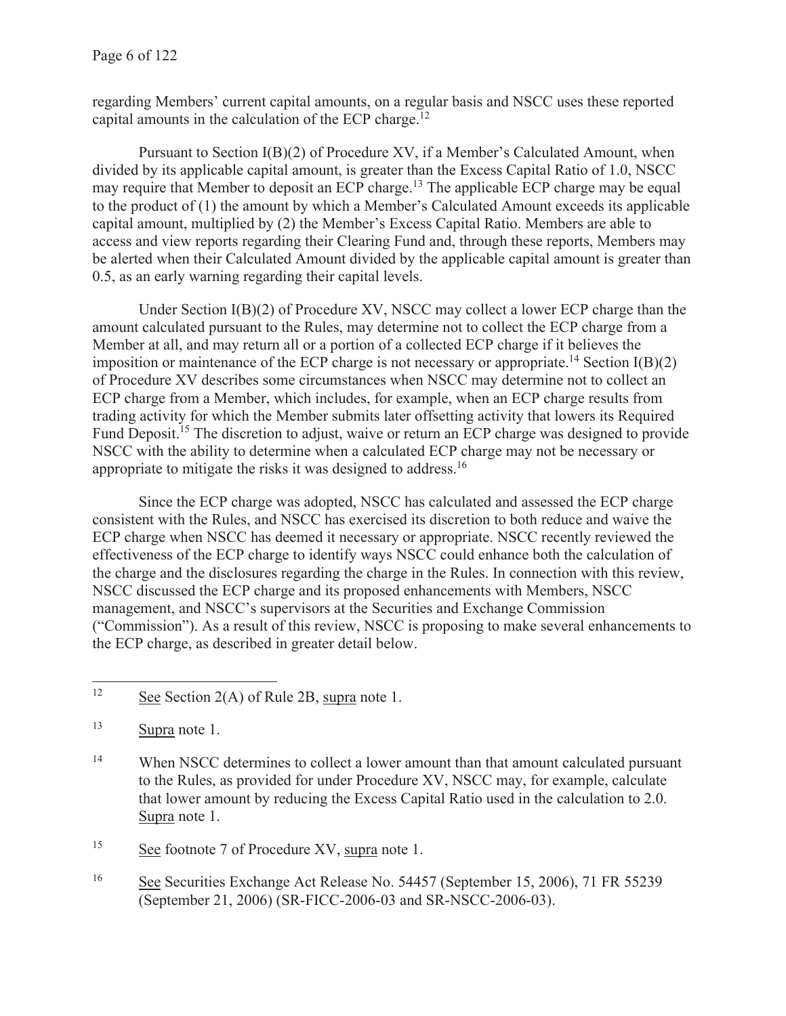regarding Members' current capital amounts, on a regular basis and NSCC uses these reported capital amounts in the calculation of the ECP charge.12

Pursuant to Section I(B)(2) of Procedure XV, if a Member's Calculated Amount, when divided by its applicable capital amount, is greater than the Excess Capital Ratio of 1.0, NSCC may require that Member to deposit an ECP charge.13 The applicable ECP charge may be equal to the product of (1) the amount by which a Member's Calculated Amount exceeds its applicable capital amount, multiplied by (2) the Member's Excess Capital Ratio. Members are able to access and view reports regarding their Clearing Fund and, through these reports, Members may be alerted when their Calculated Amount divided by the applicable capital amount is greater than 0.5, as an early warning regarding their capital levels.

Under Section  $I(B)(2)$  of Procedure XV, NSCC may collect a lower ECP charge than the amount calculated pursuant to the Rules, may determine not to collect the ECP charge from a Member at all, and may return all or a portion of a collected ECP charge if it believes the imposition or maintenance of the ECP charge is not necessary or appropriate.<sup>14</sup> Section  $I(B)(2)$ of Procedure XV describes some circumstances when NSCC may determine not to collect an ECP charge from a Member, which includes, for example, when an ECP charge results from trading activity for which the Member submits later offsetting activity that lowers its Required Fund Deposit.<sup>15</sup> The discretion to adjust, waive or return an ECP charge was designed to provide NSCC with the ability to determine when a calculated ECP charge may not be necessary or appropriate to mitigate the risks it was designed to address.<sup>16</sup>

Since the ECP charge was adopted, NSCC has calculated and assessed the ECP charge consistent with the Rules, and NSCC has exercised its discretion to both reduce and waive the ECP charge when NSCC has deemed it necessary or appropriate. NSCC recently reviewed the effectiveness of the ECP charge to identify ways NSCC could enhance both the calculation of the charge and the disclosures regarding the charge in the Rules. In connection with this review, NSCC discussed the ECP charge and its proposed enhancements with Members, NSCC management, and NSCC's supervisors at the Securities and Exchange Commission ("Commission"). As a result of this review, NSCC is proposing to make several enhancements to the ECP charge, as described in greater detail below.

<sup>14</sup> When NSCC determines to collect a lower amount than that amount calculated pursuant to the Rules, as provided for under Procedure XV, NSCC may, for example, calculate that lower amount by reducing the Excess Capital Ratio used in the calculation to 2.0. Supra note 1.

15 See footnote 7 of Procedure XV, supra note 1.

16 See Securities Exchange Act Release No. 54457 (September 15, 2006), 71 FR 55239 (September 21, 2006) (SR-FICC-2006-03 and SR-NSCC-2006-03).

<sup>&</sup>lt;sup>12</sup> See Section 2(A) of Rule 2B, supra note 1.

<sup>13</sup> Supra note 1.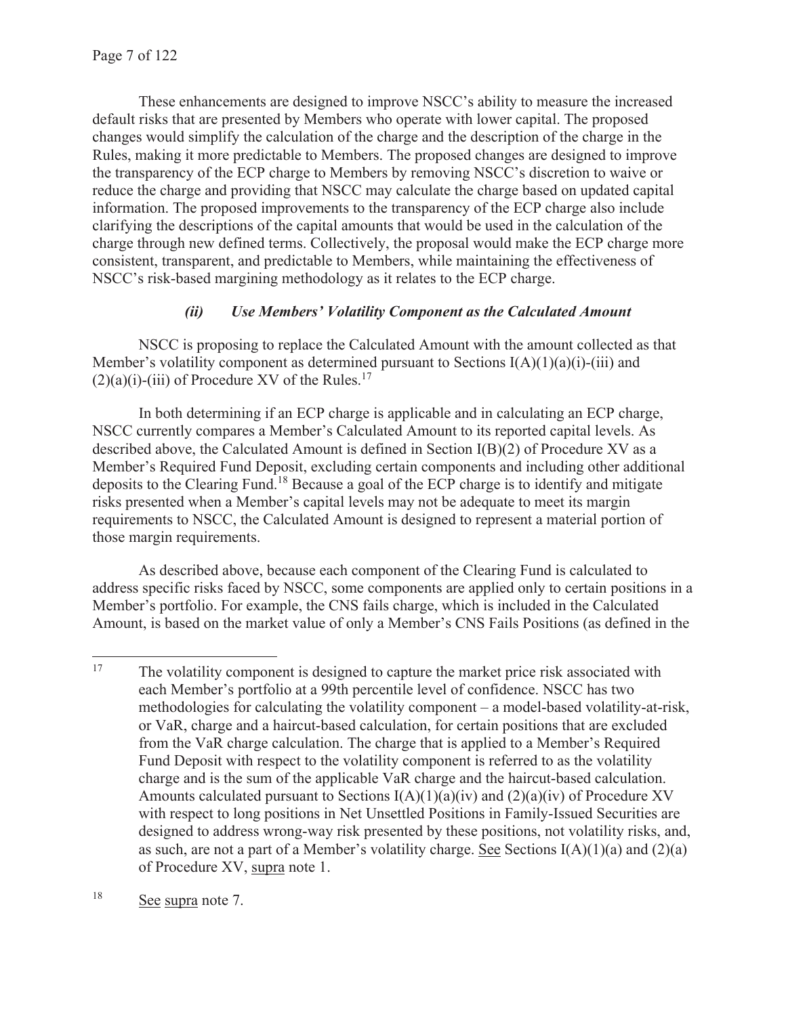These enhancements are designed to improve NSCC's ability to measure the increased default risks that are presented by Members who operate with lower capital. The proposed changes would simplify the calculation of the charge and the description of the charge in the Rules, making it more predictable to Members. The proposed changes are designed to improve the transparency of the ECP charge to Members by removing NSCC's discretion to waive or reduce the charge and providing that NSCC may calculate the charge based on updated capital information. The proposed improvements to the transparency of the ECP charge also include clarifying the descriptions of the capital amounts that would be used in the calculation of the charge through new defined terms. Collectively, the proposal would make the ECP charge more consistent, transparent, and predictable to Members, while maintaining the effectiveness of NSCC's risk-based margining methodology as it relates to the ECP charge.

# *(ii) Use Members' Volatility Component as the Calculated Amount*

NSCC is proposing to replace the Calculated Amount with the amount collected as that Member's volatility component as determined pursuant to Sections  $I(A)(1)(a)(i)$ -(iii) and  $(2)(a)(i)$ -(iii) of Procedure XV of the Rules.<sup>17</sup>

In both determining if an ECP charge is applicable and in calculating an ECP charge, NSCC currently compares a Member's Calculated Amount to its reported capital levels. As described above, the Calculated Amount is defined in Section I(B)(2) of Procedure XV as a Member's Required Fund Deposit, excluding certain components and including other additional deposits to the Clearing Fund.18 Because a goal of the ECP charge is to identify and mitigate risks presented when a Member's capital levels may not be adequate to meet its margin requirements to NSCC, the Calculated Amount is designed to represent a material portion of those margin requirements.

As described above, because each component of the Clearing Fund is calculated to address specific risks faced by NSCC, some components are applied only to certain positions in a Member's portfolio. For example, the CNS fails charge, which is included in the Calculated Amount, is based on the market value of only a Member's CNS Fails Positions (as defined in the

18 See supra note 7.

<sup>&</sup>lt;sup>17</sup> The volatility component is designed to capture the market price risk associated with each Member's portfolio at a 99th percentile level of confidence. NSCC has two methodologies for calculating the volatility component – a model-based volatility-at-risk, or VaR, charge and a haircut-based calculation, for certain positions that are excluded from the VaR charge calculation. The charge that is applied to a Member's Required Fund Deposit with respect to the volatility component is referred to as the volatility charge and is the sum of the applicable VaR charge and the haircut-based calculation. Amounts calculated pursuant to Sections  $I(A)(1)(a)(iv)$  and  $(2)(a)(iv)$  of Procedure XV with respect to long positions in Net Unsettled Positions in Family-Issued Securities are designed to address wrong-way risk presented by these positions, not volatility risks, and, as such, are not a part of a Member's volatility charge. See Sections  $I(A)(1)(a)$  and  $(2)(a)$ of Procedure XV, supra note 1.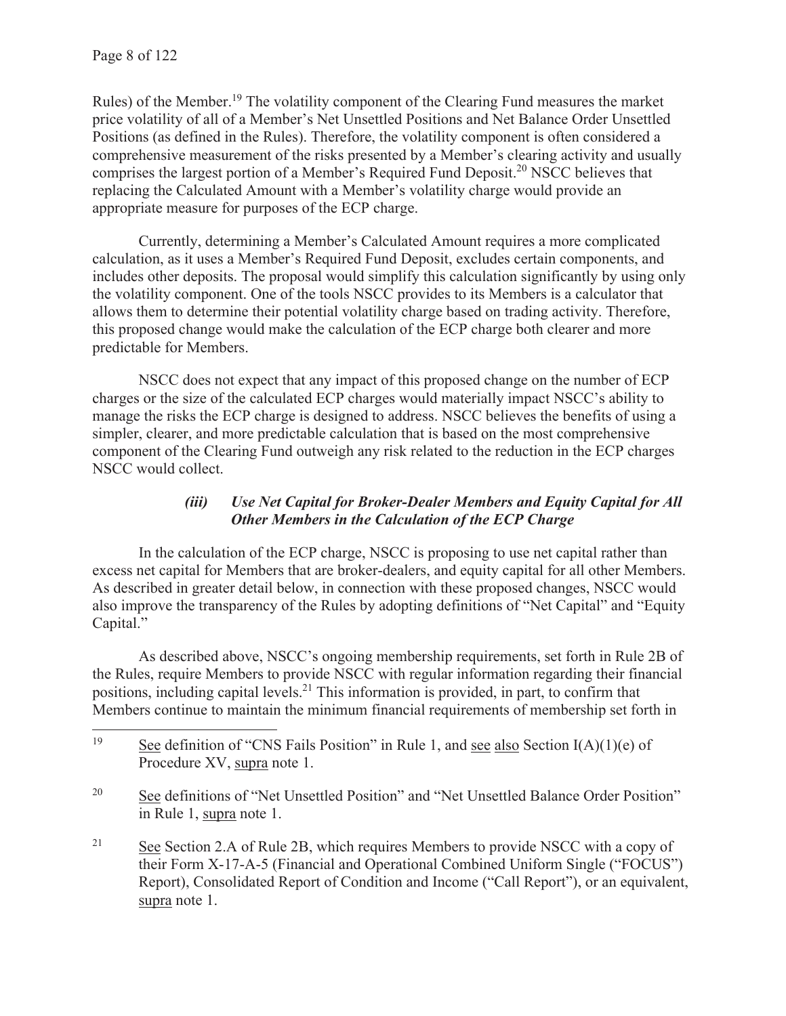Rules) of the Member.19 The volatility component of the Clearing Fund measures the market price volatility of all of a Member's Net Unsettled Positions and Net Balance Order Unsettled Positions (as defined in the Rules). Therefore, the volatility component is often considered a comprehensive measurement of the risks presented by a Member's clearing activity and usually comprises the largest portion of a Member's Required Fund Deposit.<sup>20</sup> NSCC believes that replacing the Calculated Amount with a Member's volatility charge would provide an appropriate measure for purposes of the ECP charge.

Currently, determining a Member's Calculated Amount requires a more complicated calculation, as it uses a Member's Required Fund Deposit, excludes certain components, and includes other deposits. The proposal would simplify this calculation significantly by using only the volatility component. One of the tools NSCC provides to its Members is a calculator that allows them to determine their potential volatility charge based on trading activity. Therefore, this proposed change would make the calculation of the ECP charge both clearer and more predictable for Members.

NSCC does not expect that any impact of this proposed change on the number of ECP charges or the size of the calculated ECP charges would materially impact NSCC's ability to manage the risks the ECP charge is designed to address. NSCC believes the benefits of using a simpler, clearer, and more predictable calculation that is based on the most comprehensive component of the Clearing Fund outweigh any risk related to the reduction in the ECP charges NSCC would collect.

## *(iii) Use Net Capital for Broker-Dealer Members and Equity Capital for All Other Members in the Calculation of the ECP Charge*

In the calculation of the ECP charge, NSCC is proposing to use net capital rather than excess net capital for Members that are broker-dealers, and equity capital for all other Members. As described in greater detail below, in connection with these proposed changes, NSCC would also improve the transparency of the Rules by adopting definitions of "Net Capital" and "Equity Capital."

As described above, NSCC's ongoing membership requirements, set forth in Rule 2B of the Rules, require Members to provide NSCC with regular information regarding their financial positions, including capital levels.<sup>21</sup> This information is provided, in part, to confirm that Members continue to maintain the minimum financial requirements of membership set forth in

<sup>20</sup> See definitions of "Net Unsettled Position" and "Net Unsettled Balance Order Position" in Rule 1, supra note 1.

<sup>&</sup>lt;sup>19</sup> See definition of "CNS Fails Position" in Rule 1, and <u>see also</u> Section I(A)(1)(e) of Procedure XV, supra note 1.

<sup>&</sup>lt;sup>21</sup> See Section 2.A of Rule 2B, which requires Members to provide NSCC with a copy of their Form X-17-A-5 (Financial and Operational Combined Uniform Single ("FOCUS") Report), Consolidated Report of Condition and Income ("Call Report"), or an equivalent, supra note 1.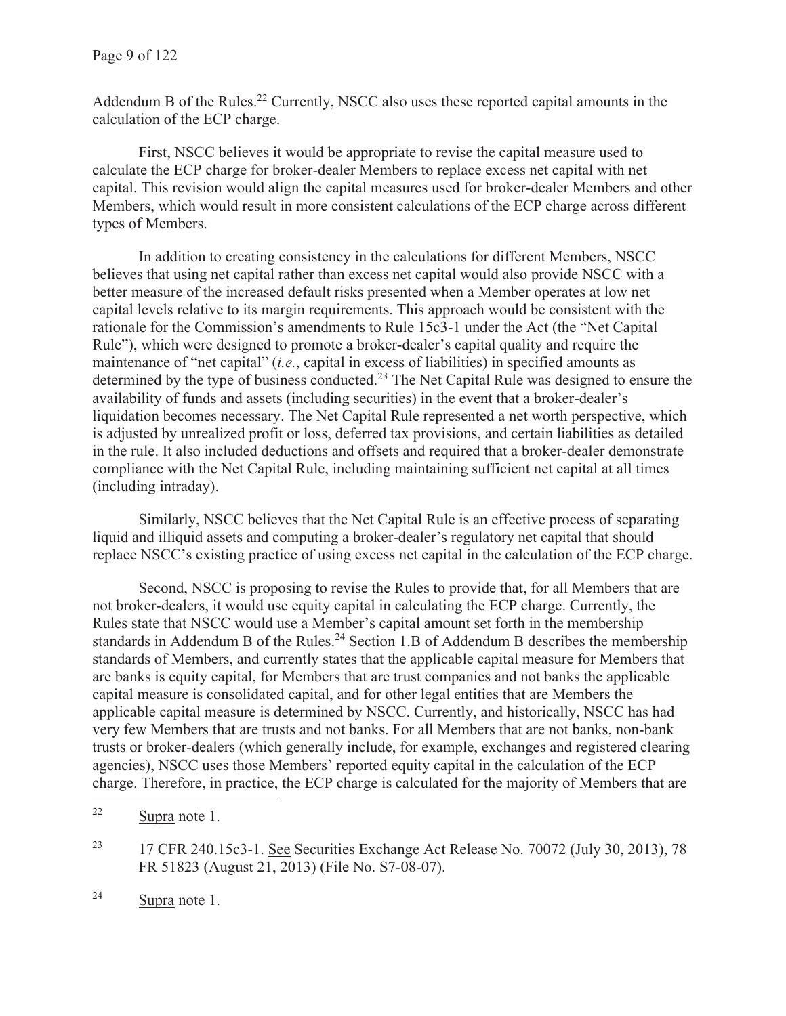Addendum B of the Rules.<sup>22</sup> Currently, NSCC also uses these reported capital amounts in the calculation of the ECP charge.

First, NSCC believes it would be appropriate to revise the capital measure used to calculate the ECP charge for broker-dealer Members to replace excess net capital with net capital. This revision would align the capital measures used for broker-dealer Members and other Members, which would result in more consistent calculations of the ECP charge across different types of Members.

In addition to creating consistency in the calculations for different Members, NSCC believes that using net capital rather than excess net capital would also provide NSCC with a better measure of the increased default risks presented when a Member operates at low net capital levels relative to its margin requirements. This approach would be consistent with the rationale for the Commission's amendments to Rule 15c3-1 under the Act (the "Net Capital Rule"), which were designed to promote a broker-dealer's capital quality and require the maintenance of "net capital" (*i.e.*, capital in excess of liabilities) in specified amounts as determined by the type of business conducted.<sup>23</sup> The Net Capital Rule was designed to ensure the availability of funds and assets (including securities) in the event that a broker-dealer's liquidation becomes necessary. The Net Capital Rule represented a net worth perspective, which is adjusted by unrealized profit or loss, deferred tax provisions, and certain liabilities as detailed in the rule. It also included deductions and offsets and required that a broker-dealer demonstrate compliance with the Net Capital Rule, including maintaining sufficient net capital at all times (including intraday).

Similarly, NSCC believes that the Net Capital Rule is an effective process of separating liquid and illiquid assets and computing a broker-dealer's regulatory net capital that should replace NSCC's existing practice of using excess net capital in the calculation of the ECP charge.

Second, NSCC is proposing to revise the Rules to provide that, for all Members that are not broker-dealers, it would use equity capital in calculating the ECP charge. Currently, the Rules state that NSCC would use a Member's capital amount set forth in the membership standards in Addendum B of the Rules.<sup>24</sup> Section 1.B of Addendum B describes the membership standards of Members, and currently states that the applicable capital measure for Members that are banks is equity capital, for Members that are trust companies and not banks the applicable capital measure is consolidated capital, and for other legal entities that are Members the applicable capital measure is determined by NSCC. Currently, and historically, NSCC has had very few Members that are trusts and not banks. For all Members that are not banks, non-bank trusts or broker-dealers (which generally include, for example, exchanges and registered clearing agencies), NSCC uses those Members' reported equity capital in the calculation of the ECP charge. Therefore, in practice, the ECP charge is calculated for the majority of Members that are

<sup>22</sup> Supra note 1.

<sup>&</sup>lt;sup>23</sup> 17 CFR 240.15c3-1. See Securities Exchange Act Release No. 70072 (July 30, 2013), 78 FR 51823 (August 21, 2013) (File No. S7-08-07).

<sup>24</sup> Supra note 1.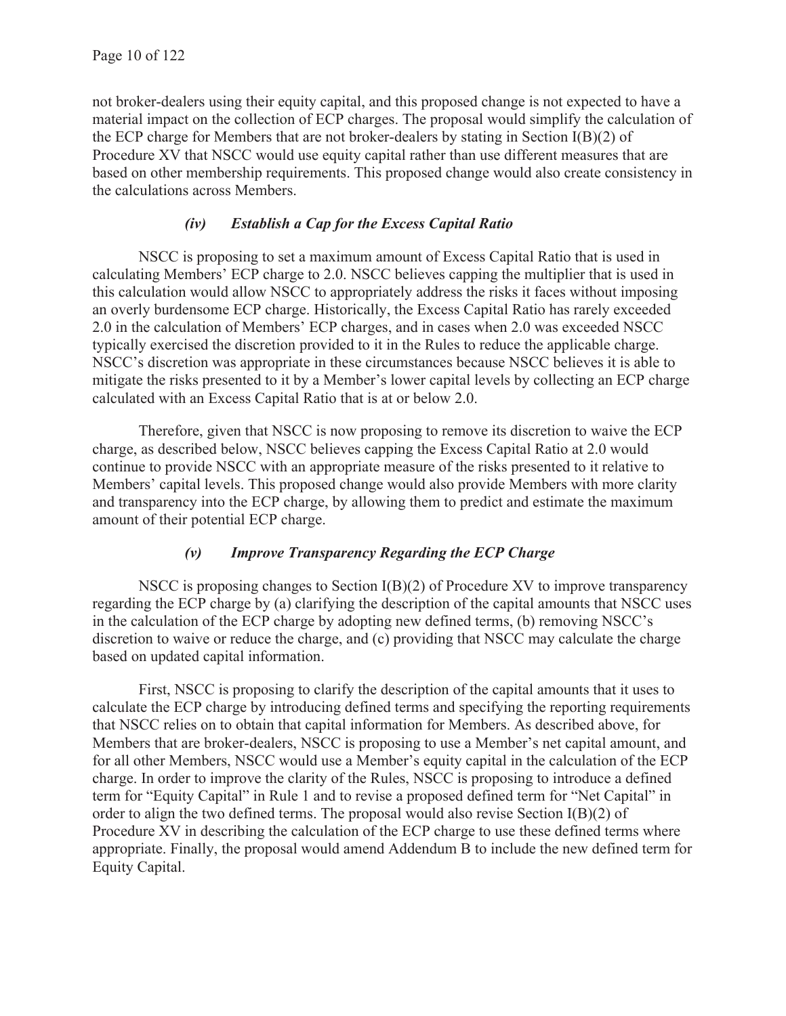not broker-dealers using their equity capital, and this proposed change is not expected to have a material impact on the collection of ECP charges. The proposal would simplify the calculation of the ECP charge for Members that are not broker-dealers by stating in Section I(B)(2) of Procedure XV that NSCC would use equity capital rather than use different measures that are based on other membership requirements. This proposed change would also create consistency in the calculations across Members.

# *(iv) Establish a Cap for the Excess Capital Ratio*

NSCC is proposing to set a maximum amount of Excess Capital Ratio that is used in calculating Members' ECP charge to 2.0. NSCC believes capping the multiplier that is used in this calculation would allow NSCC to appropriately address the risks it faces without imposing an overly burdensome ECP charge. Historically, the Excess Capital Ratio has rarely exceeded 2.0 in the calculation of Members' ECP charges, and in cases when 2.0 was exceeded NSCC typically exercised the discretion provided to it in the Rules to reduce the applicable charge. NSCC's discretion was appropriate in these circumstances because NSCC believes it is able to mitigate the risks presented to it by a Member's lower capital levels by collecting an ECP charge calculated with an Excess Capital Ratio that is at or below 2.0.

Therefore, given that NSCC is now proposing to remove its discretion to waive the ECP charge, as described below, NSCC believes capping the Excess Capital Ratio at 2.0 would continue to provide NSCC with an appropriate measure of the risks presented to it relative to Members' capital levels. This proposed change would also provide Members with more clarity and transparency into the ECP charge, by allowing them to predict and estimate the maximum amount of their potential ECP charge.

### *(v) Improve Transparency Regarding the ECP Charge*

NSCC is proposing changes to Section I(B)(2) of Procedure XV to improve transparency regarding the ECP charge by (a) clarifying the description of the capital amounts that NSCC uses in the calculation of the ECP charge by adopting new defined terms, (b) removing NSCC's discretion to waive or reduce the charge, and (c) providing that NSCC may calculate the charge based on updated capital information.

First, NSCC is proposing to clarify the description of the capital amounts that it uses to calculate the ECP charge by introducing defined terms and specifying the reporting requirements that NSCC relies on to obtain that capital information for Members. As described above, for Members that are broker-dealers, NSCC is proposing to use a Member's net capital amount, and for all other Members, NSCC would use a Member's equity capital in the calculation of the ECP charge. In order to improve the clarity of the Rules, NSCC is proposing to introduce a defined term for "Equity Capital" in Rule 1 and to revise a proposed defined term for "Net Capital" in order to align the two defined terms. The proposal would also revise Section I(B)(2) of Procedure XV in describing the calculation of the ECP charge to use these defined terms where appropriate. Finally, the proposal would amend Addendum B to include the new defined term for Equity Capital.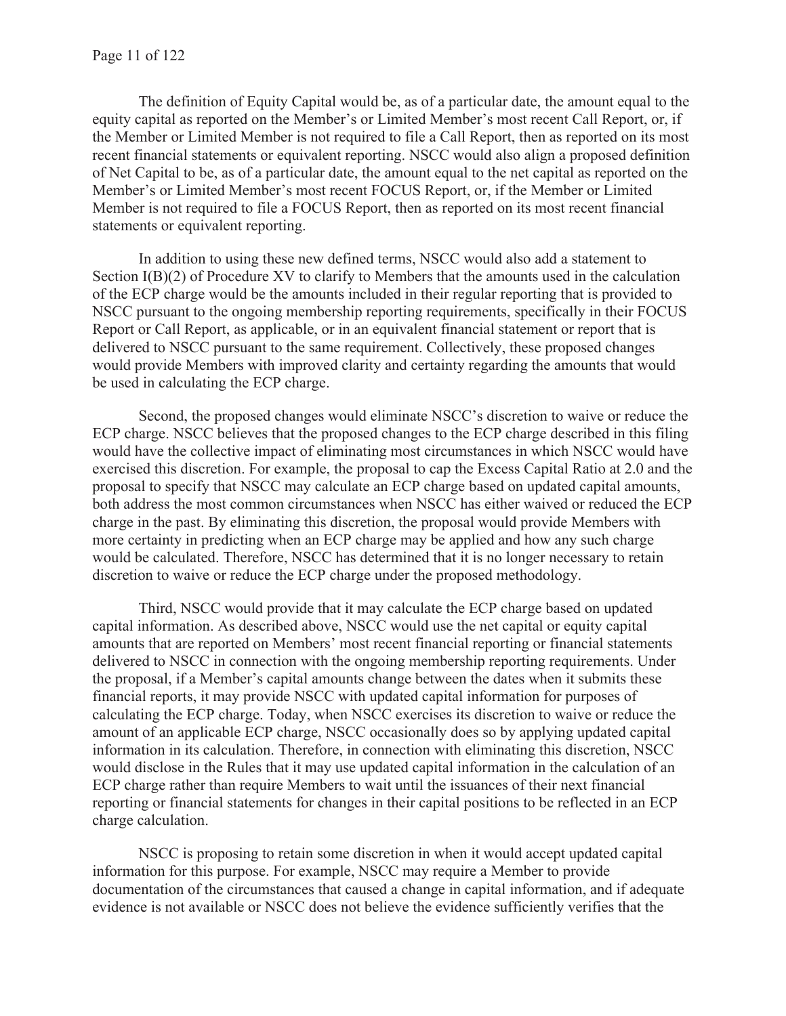The definition of Equity Capital would be, as of a particular date, the amount equal to the equity capital as reported on the Member's or Limited Member's most recent Call Report, or, if the Member or Limited Member is not required to file a Call Report, then as reported on its most recent financial statements or equivalent reporting. NSCC would also align a proposed definition of Net Capital to be, as of a particular date, the amount equal to the net capital as reported on the Member's or Limited Member's most recent FOCUS Report, or, if the Member or Limited Member is not required to file a FOCUS Report, then as reported on its most recent financial statements or equivalent reporting.

In addition to using these new defined terms, NSCC would also add a statement to Section I(B)(2) of Procedure XV to clarify to Members that the amounts used in the calculation of the ECP charge would be the amounts included in their regular reporting that is provided to NSCC pursuant to the ongoing membership reporting requirements, specifically in their FOCUS Report or Call Report, as applicable, or in an equivalent financial statement or report that is delivered to NSCC pursuant to the same requirement. Collectively, these proposed changes would provide Members with improved clarity and certainty regarding the amounts that would be used in calculating the ECP charge.

Second, the proposed changes would eliminate NSCC's discretion to waive or reduce the ECP charge. NSCC believes that the proposed changes to the ECP charge described in this filing would have the collective impact of eliminating most circumstances in which NSCC would have exercised this discretion. For example, the proposal to cap the Excess Capital Ratio at 2.0 and the proposal to specify that NSCC may calculate an ECP charge based on updated capital amounts, both address the most common circumstances when NSCC has either waived or reduced the ECP charge in the past. By eliminating this discretion, the proposal would provide Members with more certainty in predicting when an ECP charge may be applied and how any such charge would be calculated. Therefore, NSCC has determined that it is no longer necessary to retain discretion to waive or reduce the ECP charge under the proposed methodology.

Third, NSCC would provide that it may calculate the ECP charge based on updated capital information. As described above, NSCC would use the net capital or equity capital amounts that are reported on Members' most recent financial reporting or financial statements delivered to NSCC in connection with the ongoing membership reporting requirements. Under the proposal, if a Member's capital amounts change between the dates when it submits these financial reports, it may provide NSCC with updated capital information for purposes of calculating the ECP charge. Today, when NSCC exercises its discretion to waive or reduce the amount of an applicable ECP charge, NSCC occasionally does so by applying updated capital information in its calculation. Therefore, in connection with eliminating this discretion, NSCC would disclose in the Rules that it may use updated capital information in the calculation of an ECP charge rather than require Members to wait until the issuances of their next financial reporting or financial statements for changes in their capital positions to be reflected in an ECP charge calculation.

NSCC is proposing to retain some discretion in when it would accept updated capital information for this purpose. For example, NSCC may require a Member to provide documentation of the circumstances that caused a change in capital information, and if adequate evidence is not available or NSCC does not believe the evidence sufficiently verifies that the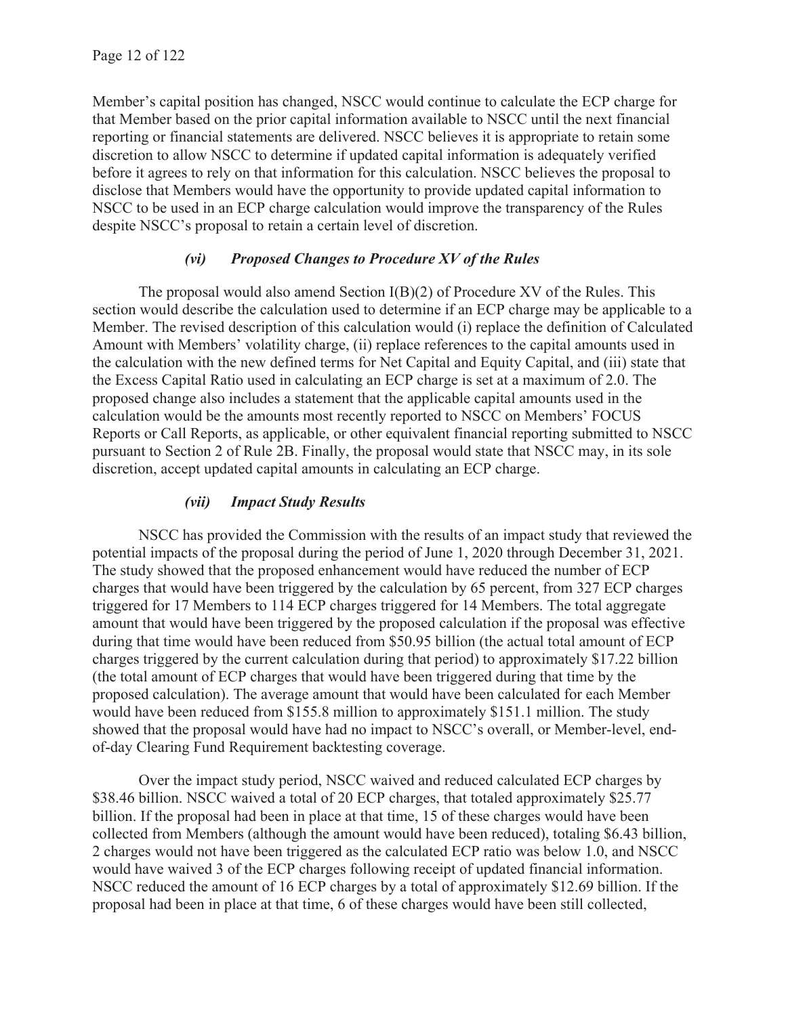Member's capital position has changed, NSCC would continue to calculate the ECP charge for that Member based on the prior capital information available to NSCC until the next financial reporting or financial statements are delivered. NSCC believes it is appropriate to retain some discretion to allow NSCC to determine if updated capital information is adequately verified before it agrees to rely on that information for this calculation. NSCC believes the proposal to disclose that Members would have the opportunity to provide updated capital information to NSCC to be used in an ECP charge calculation would improve the transparency of the Rules despite NSCC's proposal to retain a certain level of discretion.

### *(vi) Proposed Changes to Procedure XV of the Rules*

The proposal would also amend Section I(B)(2) of Procedure XV of the Rules. This section would describe the calculation used to determine if an ECP charge may be applicable to a Member. The revised description of this calculation would (i) replace the definition of Calculated Amount with Members' volatility charge, (ii) replace references to the capital amounts used in the calculation with the new defined terms for Net Capital and Equity Capital, and (iii) state that the Excess Capital Ratio used in calculating an ECP charge is set at a maximum of 2.0. The proposed change also includes a statement that the applicable capital amounts used in the calculation would be the amounts most recently reported to NSCC on Members' FOCUS Reports or Call Reports, as applicable, or other equivalent financial reporting submitted to NSCC pursuant to Section 2 of Rule 2B. Finally, the proposal would state that NSCC may, in its sole discretion, accept updated capital amounts in calculating an ECP charge.

### *(vii) Impact Study Results*

NSCC has provided the Commission with the results of an impact study that reviewed the potential impacts of the proposal during the period of June 1, 2020 through December 31, 2021. The study showed that the proposed enhancement would have reduced the number of ECP charges that would have been triggered by the calculation by 65 percent, from 327 ECP charges triggered for 17 Members to 114 ECP charges triggered for 14 Members. The total aggregate amount that would have been triggered by the proposed calculation if the proposal was effective during that time would have been reduced from \$50.95 billion (the actual total amount of ECP charges triggered by the current calculation during that period) to approximately \$17.22 billion (the total amount of ECP charges that would have been triggered during that time by the proposed calculation). The average amount that would have been calculated for each Member would have been reduced from \$155.8 million to approximately \$151.1 million. The study showed that the proposal would have had no impact to NSCC's overall, or Member-level, endof-day Clearing Fund Requirement backtesting coverage.

Over the impact study period, NSCC waived and reduced calculated ECP charges by \$38.46 billion. NSCC waived a total of 20 ECP charges, that totaled approximately \$25.77 billion. If the proposal had been in place at that time, 15 of these charges would have been collected from Members (although the amount would have been reduced), totaling \$6.43 billion, 2 charges would not have been triggered as the calculated ECP ratio was below 1.0, and NSCC would have waived 3 of the ECP charges following receipt of updated financial information. NSCC reduced the amount of 16 ECP charges by a total of approximately \$12.69 billion. If the proposal had been in place at that time, 6 of these charges would have been still collected,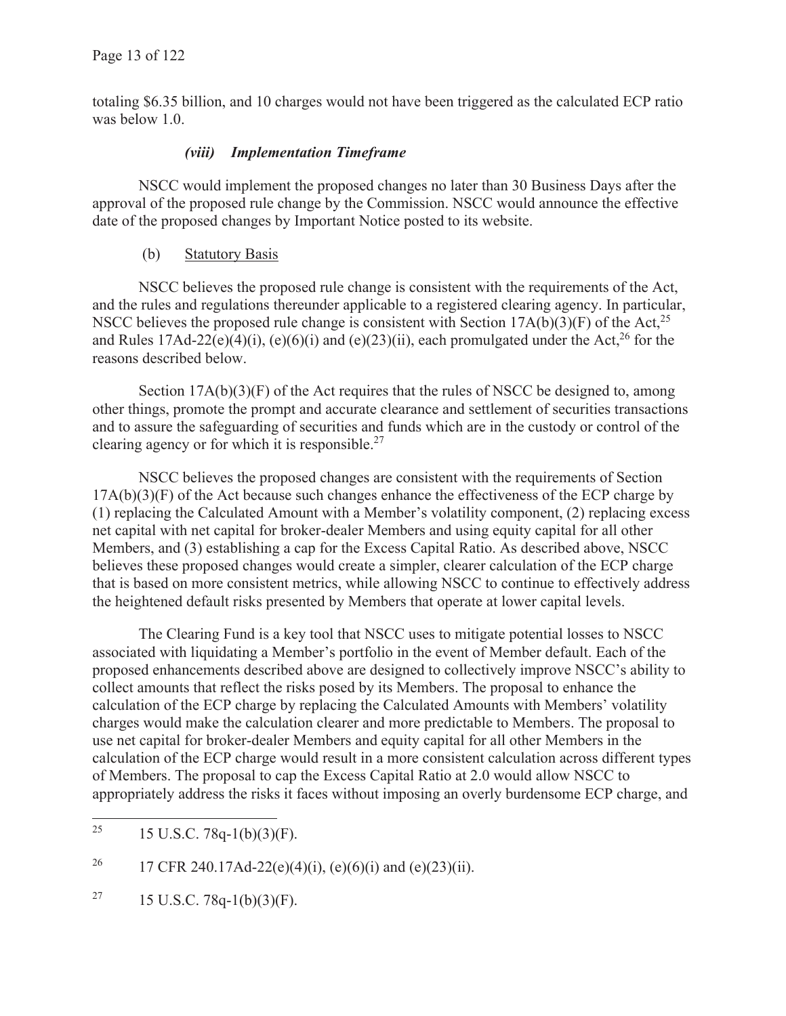totaling \$6.35 billion, and 10 charges would not have been triggered as the calculated ECP ratio was below 1.0.

## *(viii) Implementation Timeframe*

NSCC would implement the proposed changes no later than 30 Business Days after the approval of the proposed rule change by the Commission. NSCC would announce the effective date of the proposed changes by Important Notice posted to its website.

### (b) Statutory Basis

NSCC believes the proposed rule change is consistent with the requirements of the Act, and the rules and regulations thereunder applicable to a registered clearing agency. In particular, NSCC believes the proposed rule change is consistent with Section  $17A(b)(3)(F)$  of the Act,<sup>25</sup> and Rules 17Ad-22(e)(4)(i), (e)(6)(i) and (e)(23)(ii), each promulgated under the Act,<sup>26</sup> for the reasons described below.

Section  $17A(b)(3)(F)$  of the Act requires that the rules of NSCC be designed to, among other things, promote the prompt and accurate clearance and settlement of securities transactions and to assure the safeguarding of securities and funds which are in the custody or control of the clearing agency or for which it is responsible.<sup>27</sup>

NSCC believes the proposed changes are consistent with the requirements of Section  $17A(b)(3)(F)$  of the Act because such changes enhance the effectiveness of the ECP charge by (1) replacing the Calculated Amount with a Member's volatility component, (2) replacing excess net capital with net capital for broker-dealer Members and using equity capital for all other Members, and (3) establishing a cap for the Excess Capital Ratio. As described above, NSCC believes these proposed changes would create a simpler, clearer calculation of the ECP charge that is based on more consistent metrics, while allowing NSCC to continue to effectively address the heightened default risks presented by Members that operate at lower capital levels.

The Clearing Fund is a key tool that NSCC uses to mitigate potential losses to NSCC associated with liquidating a Member's portfolio in the event of Member default. Each of the proposed enhancements described above are designed to collectively improve NSCC's ability to collect amounts that reflect the risks posed by its Members. The proposal to enhance the calculation of the ECP charge by replacing the Calculated Amounts with Members' volatility charges would make the calculation clearer and more predictable to Members. The proposal to use net capital for broker-dealer Members and equity capital for all other Members in the calculation of the ECP charge would result in a more consistent calculation across different types of Members. The proposal to cap the Excess Capital Ratio at 2.0 would allow NSCC to appropriately address the risks it faces without imposing an overly burdensome ECP charge, and

<sup>27</sup> 15 U.S.C. 78q-1(b)(3)(F).

<sup>&</sup>lt;sup>25</sup> 15 U.S.C. 78q-1(b)(3)(F).

<sup>&</sup>lt;sup>26</sup> 17 CFR 240.17Ad-22(e)(4)(i), (e)(6)(i) and (e)(23)(ii).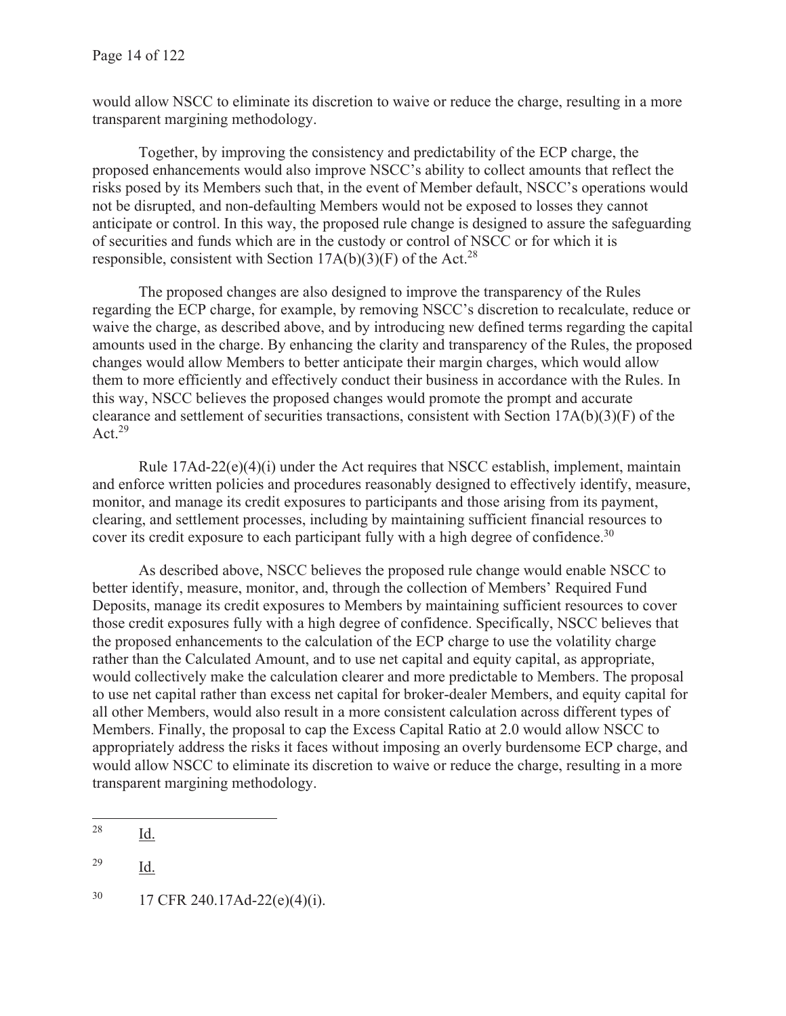would allow NSCC to eliminate its discretion to waive or reduce the charge, resulting in a more transparent margining methodology.

Together, by improving the consistency and predictability of the ECP charge, the proposed enhancements would also improve NSCC's ability to collect amounts that reflect the risks posed by its Members such that, in the event of Member default, NSCC's operations would not be disrupted, and non-defaulting Members would not be exposed to losses they cannot anticipate or control. In this way, the proposed rule change is designed to assure the safeguarding of securities and funds which are in the custody or control of NSCC or for which it is responsible, consistent with Section  $17A(b)(3)(F)$  of the Act.<sup>28</sup>

The proposed changes are also designed to improve the transparency of the Rules regarding the ECP charge, for example, by removing NSCC's discretion to recalculate, reduce or waive the charge, as described above, and by introducing new defined terms regarding the capital amounts used in the charge. By enhancing the clarity and transparency of the Rules, the proposed changes would allow Members to better anticipate their margin charges, which would allow them to more efficiently and effectively conduct their business in accordance with the Rules. In this way, NSCC believes the proposed changes would promote the prompt and accurate clearance and settlement of securities transactions, consistent with Section 17A(b)(3)(F) of the Act. $29$ 

Rule  $17Ad-22(e)(4)(i)$  under the Act requires that NSCC establish, implement, maintain and enforce written policies and procedures reasonably designed to effectively identify, measure, monitor, and manage its credit exposures to participants and those arising from its payment, clearing, and settlement processes, including by maintaining sufficient financial resources to cover its credit exposure to each participant fully with a high degree of confidence.<sup>30</sup>

As described above, NSCC believes the proposed rule change would enable NSCC to better identify, measure, monitor, and, through the collection of Members' Required Fund Deposits, manage its credit exposures to Members by maintaining sufficient resources to cover those credit exposures fully with a high degree of confidence. Specifically, NSCC believes that the proposed enhancements to the calculation of the ECP charge to use the volatility charge rather than the Calculated Amount, and to use net capital and equity capital, as appropriate, would collectively make the calculation clearer and more predictable to Members. The proposal to use net capital rather than excess net capital for broker-dealer Members, and equity capital for all other Members, would also result in a more consistent calculation across different types of Members. Finally, the proposal to cap the Excess Capital Ratio at 2.0 would allow NSCC to appropriately address the risks it faces without imposing an overly burdensome ECP charge, and would allow NSCC to eliminate its discretion to waive or reduce the charge, resulting in a more transparent margining methodology.

<sup>28</sup> Id.

<sup>29</sup> Id.

 $30$  17 CFR 240.17Ad-22(e)(4)(i).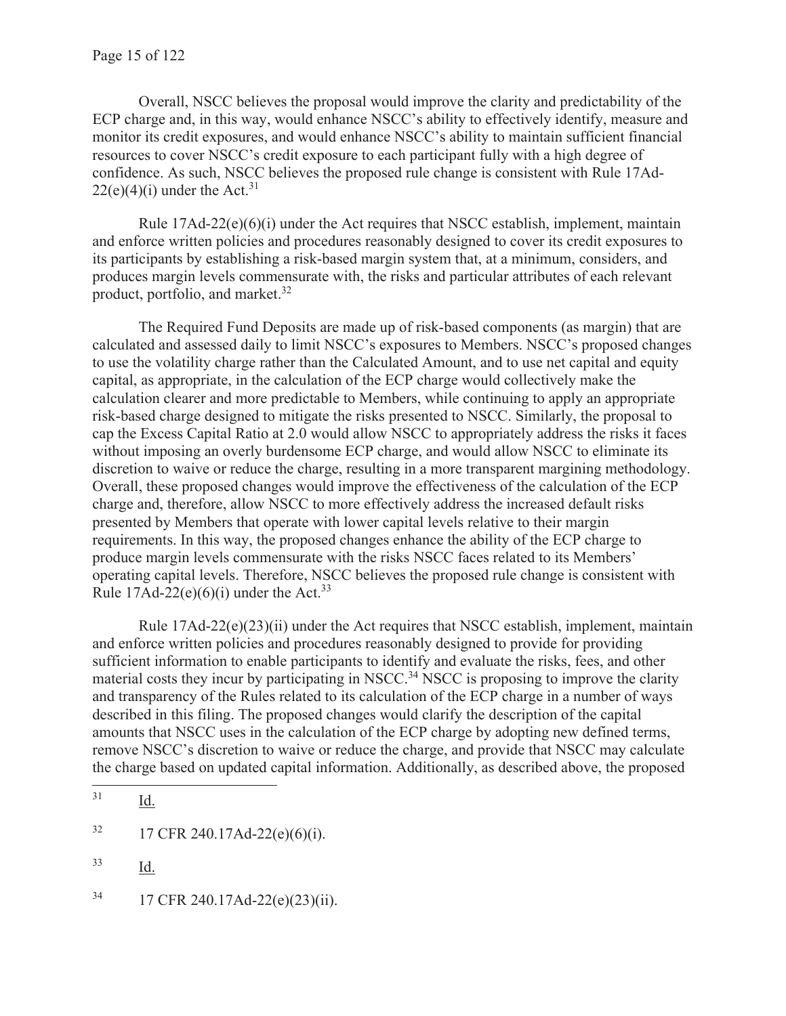Overall, NSCC believes the proposal would improve the clarity and predictability of the ECP charge and, in this way, would enhance NSCC's ability to effectively identify, measure and monitor its credit exposures, and would enhance NSCC's ability to maintain sufficient financial resources to cover NSCC's credit exposure to each participant fully with a high degree of confidence. As such, NSCC believes the proposed rule change is consistent with Rule 17Ad- $22(e)(4)(i)$  under the Act.<sup>31</sup>

Rule  $17\text{Ad}-22(e)(6)(i)$  under the Act requires that NSCC establish, implement, maintain and enforce written policies and procedures reasonably designed to cover its credit exposures to its participants by establishing a risk-based margin system that, at a minimum, considers, and produces margin levels commensurate with, the risks and particular attributes of each relevant product, portfolio, and market. $32$ 

The Required Fund Deposits are made up of risk-based components (as margin) that are calculated and assessed daily to limit NSCC's exposures to Members. NSCC's proposed changes to use the volatility charge rather than the Calculated Amount, and to use net capital and equity capital, as appropriate, in the calculation of the ECP charge would collectively make the calculation clearer and more predictable to Members, while continuing to apply an appropriate risk-based charge designed to mitigate the risks presented to NSCC. Similarly, the proposal to cap the Excess Capital Ratio at 2.0 would allow NSCC to appropriately address the risks it faces without imposing an overly burdensome ECP charge, and would allow NSCC to eliminate its discretion to waive or reduce the charge, resulting in a more transparent margining methodology. Overall, these proposed changes would improve the effectiveness of the calculation of the ECP charge and, therefore, allow NSCC to more effectively address the increased default risks presented by Members that operate with lower capital levels relative to their margin requirements. In this way, the proposed changes enhance the ability of the ECP charge to produce margin levels commensurate with the risks NSCC faces related to its Members' operating capital levels. Therefore, NSCC believes the proposed rule change is consistent with Rule  $17\text{Ad}-22(e)(6)(i)$  under the Act.<sup>33</sup>

Rule  $17Ad-22(e)(23)(ii)$  under the Act requires that NSCC establish, implement, maintain and enforce written policies and procedures reasonably designed to provide for providing sufficient information to enable participants to identify and evaluate the risks, fees, and other material costs they incur by participating in NSCC.<sup>34</sup> NSCC is proposing to improve the clarity and transparency of the Rules related to its calculation of the ECP charge in a number of ways described in this filing. The proposed changes would clarify the description of the capital amounts that NSCC uses in the calculation of the ECP charge by adopting new defined terms, remove NSCC's discretion to waive or reduce the charge, and provide that NSCC may calculate the charge based on updated capital information. Additionally, as described above, the proposed

<sup>31</sup> Id.

 $32 \qquad 17 \text{ CFR } 240.17 \text{Ad-}22(e)(6)(i).$ 

<sup>33</sup> Id.

<sup>34 17</sup> CFR 240.17Ad-22(e)(23)(ii).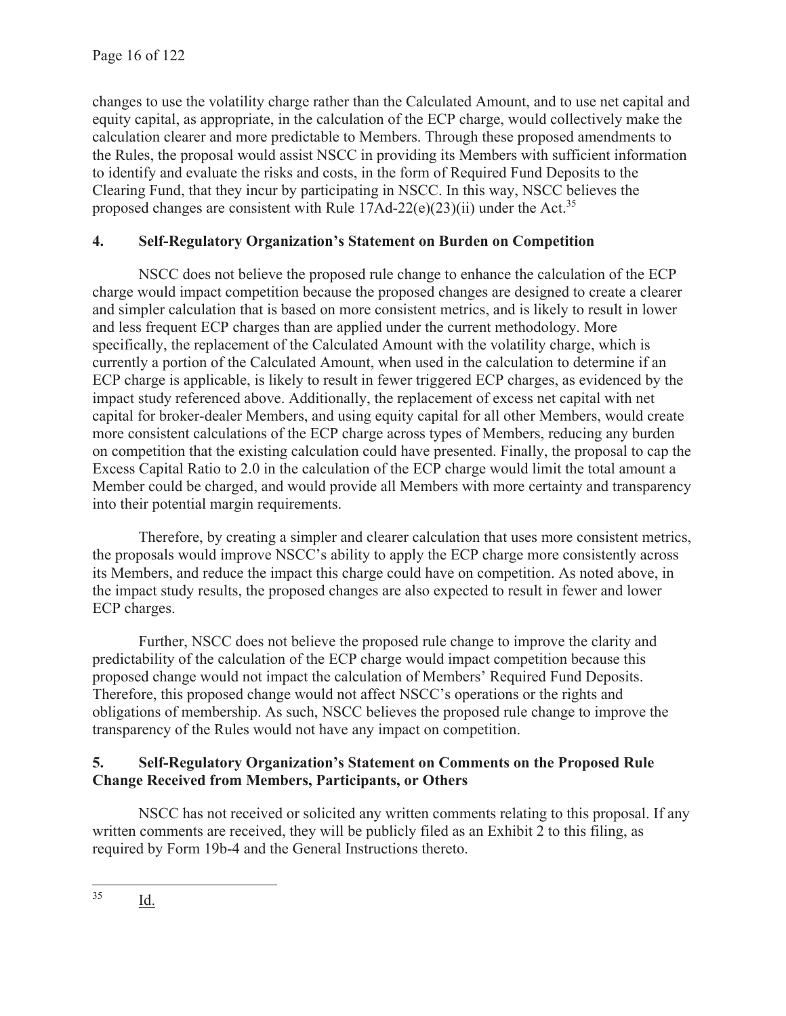changes to use the volatility charge rather than the Calculated Amount, and to use net capital and equity capital, as appropriate, in the calculation of the ECP charge, would collectively make the calculation clearer and more predictable to Members. Through these proposed amendments to the Rules, the proposal would assist NSCC in providing its Members with sufficient information to identify and evaluate the risks and costs, in the form of Required Fund Deposits to the Clearing Fund, that they incur by participating in NSCC. In this way, NSCC believes the proposed changes are consistent with Rule  $17$ Ad-22(e)(23)(ii) under the Act.<sup>35</sup>

# **4. Self-Regulatory Organization's Statement on Burden on Competition**

NSCC does not believe the proposed rule change to enhance the calculation of the ECP charge would impact competition because the proposed changes are designed to create a clearer and simpler calculation that is based on more consistent metrics, and is likely to result in lower and less frequent ECP charges than are applied under the current methodology. More specifically, the replacement of the Calculated Amount with the volatility charge, which is currently a portion of the Calculated Amount, when used in the calculation to determine if an ECP charge is applicable, is likely to result in fewer triggered ECP charges, as evidenced by the impact study referenced above. Additionally, the replacement of excess net capital with net capital for broker-dealer Members, and using equity capital for all other Members, would create more consistent calculations of the ECP charge across types of Members, reducing any burden on competition that the existing calculation could have presented. Finally, the proposal to cap the Excess Capital Ratio to 2.0 in the calculation of the ECP charge would limit the total amount a Member could be charged, and would provide all Members with more certainty and transparency into their potential margin requirements.

Therefore, by creating a simpler and clearer calculation that uses more consistent metrics, the proposals would improve NSCC's ability to apply the ECP charge more consistently across its Members, and reduce the impact this charge could have on competition. As noted above, in the impact study results, the proposed changes are also expected to result in fewer and lower ECP charges.

Further, NSCC does not believe the proposed rule change to improve the clarity and predictability of the calculation of the ECP charge would impact competition because this proposed change would not impact the calculation of Members' Required Fund Deposits. Therefore, this proposed change would not affect NSCC's operations or the rights and obligations of membership. As such, NSCC believes the proposed rule change to improve the transparency of the Rules would not have any impact on competition.

## **5. Self-Regulatory Organization's Statement on Comments on the Proposed Rule Change Received from Members, Participants, or Others**

NSCC has not received or solicited any written comments relating to this proposal. If any written comments are received, they will be publicly filed as an Exhibit 2 to this filing, as required by Form 19b-4 and the General Instructions thereto.

<sup>35</sup> Id.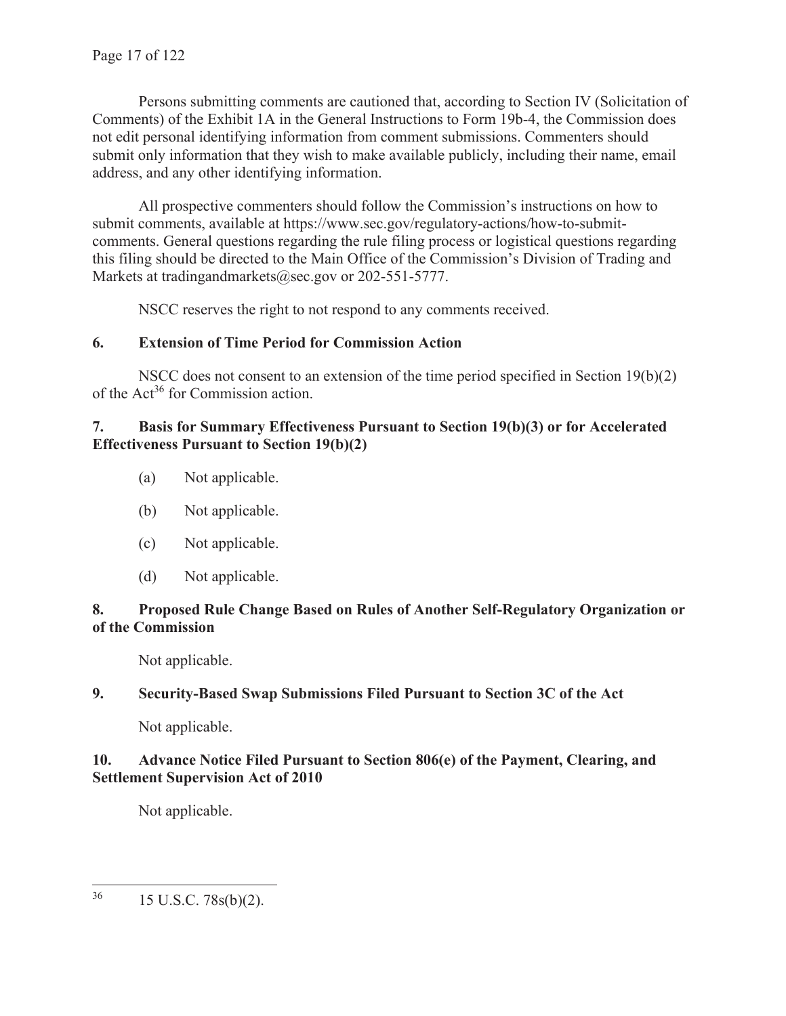Persons submitting comments are cautioned that, according to Section IV (Solicitation of Comments) of the Exhibit 1A in the General Instructions to Form 19b-4, the Commission does not edit personal identifying information from comment submissions. Commenters should submit only information that they wish to make available publicly, including their name, email address, and any other identifying information.

All prospective commenters should follow the Commission's instructions on how to submit comments, available at https://www.sec.gov/regulatory-actions/how-to-submitcomments. General questions regarding the rule filing process or logistical questions regarding this filing should be directed to the Main Office of the Commission's Division of Trading and Markets at tradingandmarkets@sec.gov or 202-551-5777.

NSCC reserves the right to not respond to any comments received.

# **6. Extension of Time Period for Commission Action**

NSCC does not consent to an extension of the time period specified in Section 19(b)(2) of the Act<sup>36</sup> for Commission action.

## **7. Basis for Summary Effectiveness Pursuant to Section 19(b)(3) or for Accelerated Effectiveness Pursuant to Section 19(b)(2)**

- (a) Not applicable.
- (b) Not applicable.
- (c) Not applicable.
- (d) Not applicable.

## **8. Proposed Rule Change Based on Rules of Another Self-Regulatory Organization or of the Commission**

Not applicable.

# **9. Security-Based Swap Submissions Filed Pursuant to Section 3C of the Act**

Not applicable.

## **10. Advance Notice Filed Pursuant to Section 806(e) of the Payment, Clearing, and Settlement Supervision Act of 2010**

Not applicable.

 $36$  15 U.S.C. 78s(b)(2).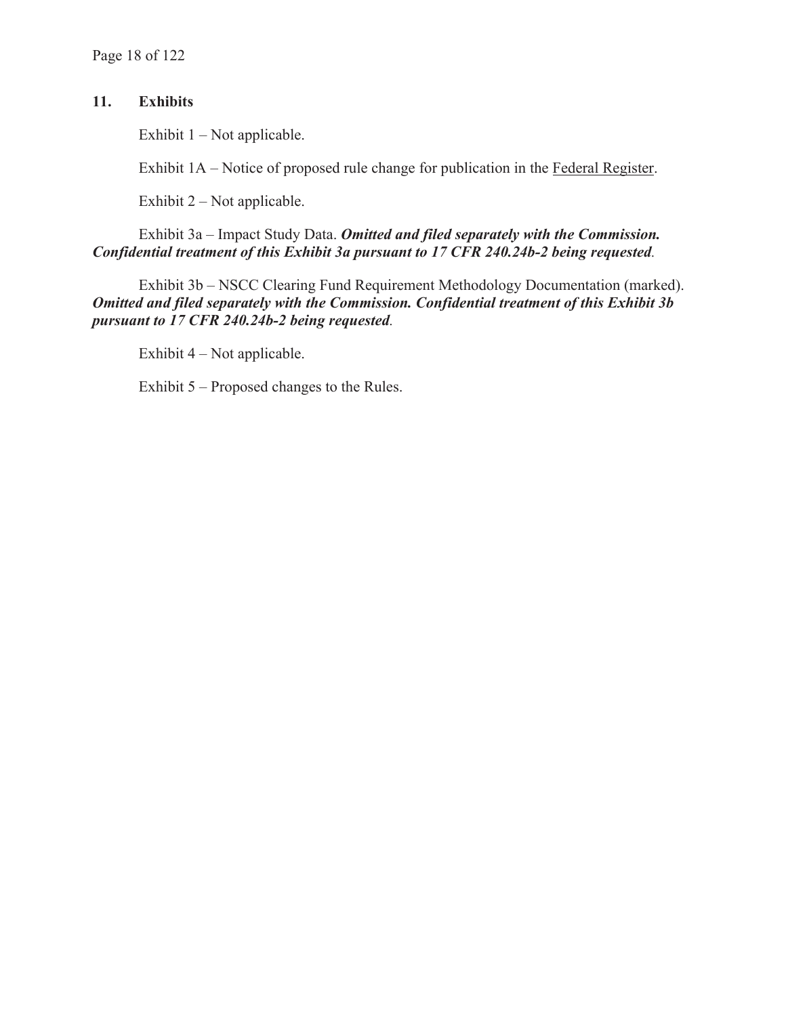# **11. Exhibits**

Exhibit  $1 - Not applicable.$ 

Exhibit 1A – Notice of proposed rule change for publication in the Federal Register.

Exhibit 2 – Not applicable.

Exhibit 3a – Impact Study Data. *Omitted and filed separately with the Commission. Confidential treatment of this Exhibit 3a pursuant to 17 CFR 240.24b-2 being requested.*

Exhibit 3b – NSCC Clearing Fund Requirement Methodology Documentation (marked). *Omitted and filed separately with the Commission. Confidential treatment of this Exhibit 3b pursuant to 17 CFR 240.24b-2 being requested.*

Exhibit 4 – Not applicable.

Exhibit 5 – Proposed changes to the Rules.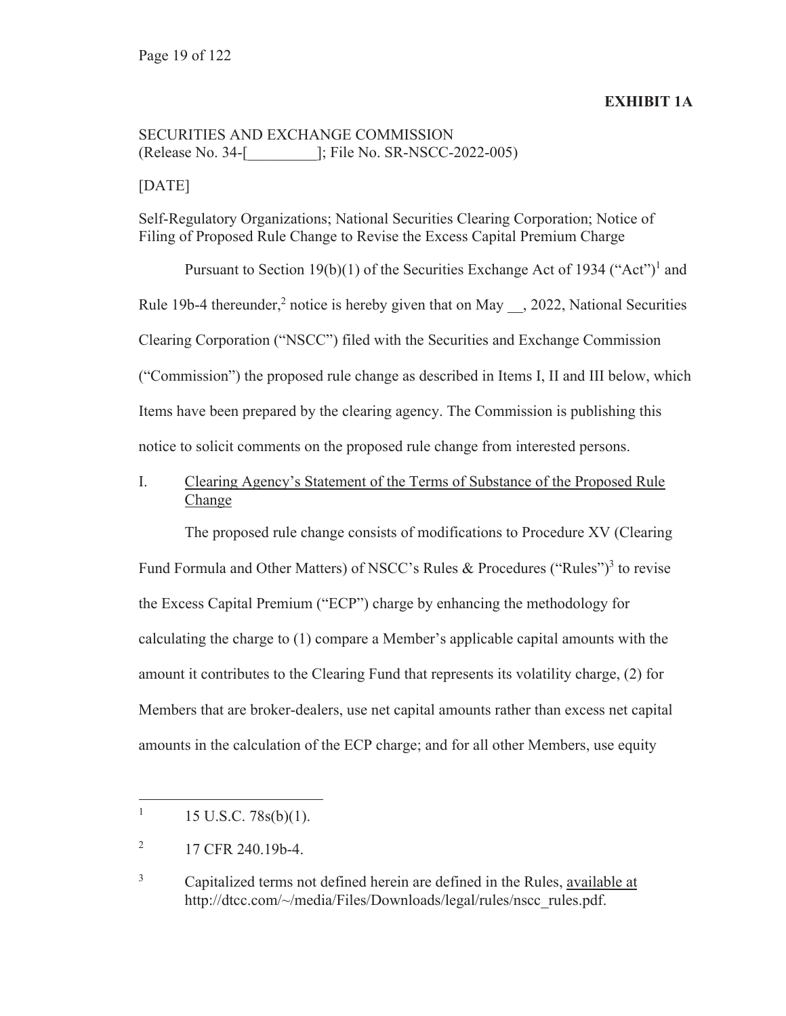### **EXHIBIT 1A**

# SECURITIES AND EXCHANGE COMMISSION (Release No. 34-[\_\_\_\_\_\_\_\_\_]; File No. SR-NSCC-2022-005)

### [DATE]

Self-Regulatory Organizations; National Securities Clearing Corporation; Notice of Filing of Proposed Rule Change to Revise the Excess Capital Premium Charge

Pursuant to Section 19(b)(1) of the Securities Exchange Act of 1934 ("Act")<sup>1</sup> and Rule 19b-4 thereunder,<sup>2</sup> notice is hereby given that on May  $\_,$  2022, National Securities Clearing Corporation ("NSCC") filed with the Securities and Exchange Commission ("Commission") the proposed rule change as described in Items I, II and III below, which Items have been prepared by the clearing agency. The Commission is publishing this notice to solicit comments on the proposed rule change from interested persons.

# I. Clearing Agency's Statement of the Terms of Substance of the Proposed Rule Change

The proposed rule change consists of modifications to Procedure XV (Clearing Fund Formula and Other Matters) of NSCC's Rules & Procedures ("Rules")<sup>3</sup> to revise the Excess Capital Premium ("ECP") charge by enhancing the methodology for calculating the charge to (1) compare a Member's applicable capital amounts with the amount it contributes to the Clearing Fund that represents its volatility charge, (2) for Members that are broker-dealers, use net capital amounts rather than excess net capital amounts in the calculation of the ECP charge; and for all other Members, use equity

<sup>1</sup> 15 U.S.C. 78s(b)(1).

<sup>2</sup> 17 CFR 240.19b-4.

<sup>3</sup> Capitalized terms not defined herein are defined in the Rules, available at http://dtcc.com/~/media/Files/Downloads/legal/rules/nscc\_rules.pdf.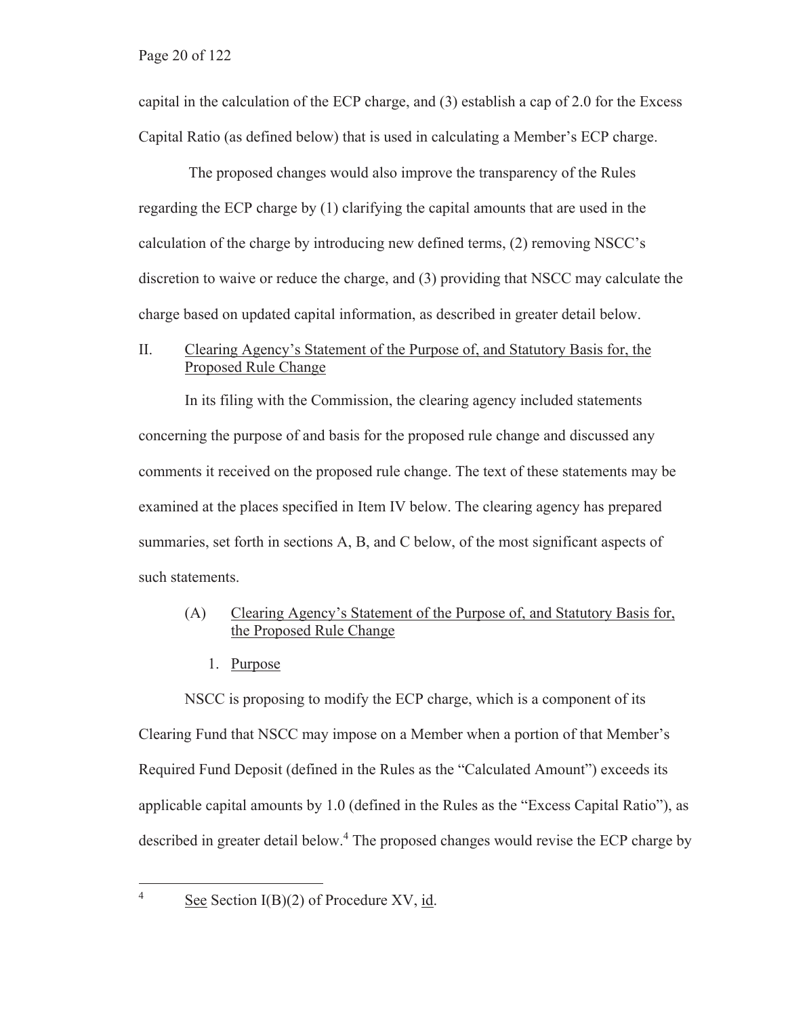capital in the calculation of the ECP charge, and (3) establish a cap of 2.0 for the Excess Capital Ratio (as defined below) that is used in calculating a Member's ECP charge.

 The proposed changes would also improve the transparency of the Rules regarding the ECP charge by (1) clarifying the capital amounts that are used in the calculation of the charge by introducing new defined terms, (2) removing NSCC's discretion to waive or reduce the charge, and (3) providing that NSCC may calculate the charge based on updated capital information, as described in greater detail below.

### II. Clearing Agency's Statement of the Purpose of, and Statutory Basis for, the Proposed Rule Change

In its filing with the Commission, the clearing agency included statements concerning the purpose of and basis for the proposed rule change and discussed any comments it received on the proposed rule change. The text of these statements may be examined at the places specified in Item IV below. The clearing agency has prepared summaries, set forth in sections A, B, and C below, of the most significant aspects of such statements.

### (A) Clearing Agency's Statement of the Purpose of, and Statutory Basis for, the Proposed Rule Change

1. Purpose

NSCC is proposing to modify the ECP charge, which is a component of its Clearing Fund that NSCC may impose on a Member when a portion of that Member's Required Fund Deposit (defined in the Rules as the "Calculated Amount") exceeds its applicable capital amounts by 1.0 (defined in the Rules as the "Excess Capital Ratio"), as described in greater detail below.<sup>4</sup> The proposed changes would revise the ECP charge by

4

See Section I(B)(2) of Procedure XV, id.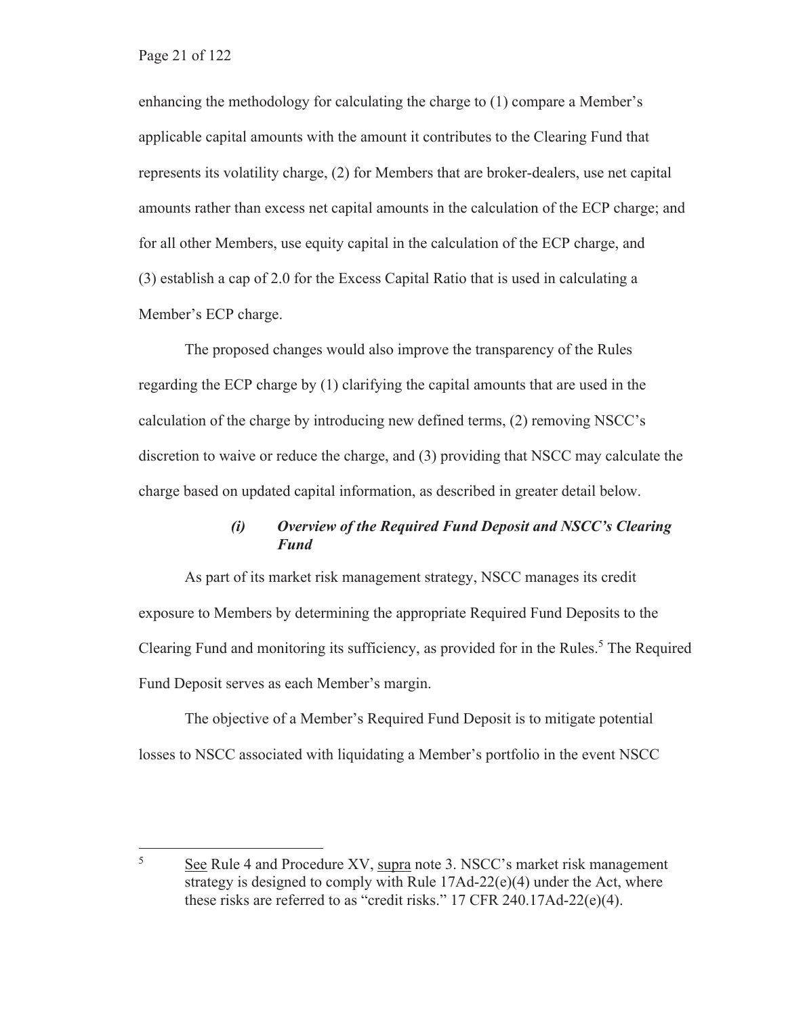enhancing the methodology for calculating the charge to (1) compare a Member's applicable capital amounts with the amount it contributes to the Clearing Fund that represents its volatility charge, (2) for Members that are broker-dealers, use net capital amounts rather than excess net capital amounts in the calculation of the ECP charge; and for all other Members, use equity capital in the calculation of the ECP charge, and (3) establish a cap of 2.0 for the Excess Capital Ratio that is used in calculating a Member's ECP charge.

The proposed changes would also improve the transparency of the Rules regarding the ECP charge by (1) clarifying the capital amounts that are used in the calculation of the charge by introducing new defined terms, (2) removing NSCC's discretion to waive or reduce the charge, and (3) providing that NSCC may calculate the charge based on updated capital information, as described in greater detail below.

### *(i) Overview of the Required Fund Deposit and NSCC's Clearing Fund*

As part of its market risk management strategy, NSCC manages its credit exposure to Members by determining the appropriate Required Fund Deposits to the Clearing Fund and monitoring its sufficiency, as provided for in the Rules.<sup>5</sup> The Required Fund Deposit serves as each Member's margin.

The objective of a Member's Required Fund Deposit is to mitigate potential losses to NSCC associated with liquidating a Member's portfolio in the event NSCC

<sup>5</sup> See Rule 4 and Procedure XV, supra note 3. NSCC's market risk management strategy is designed to comply with Rule 17Ad-22(e)(4) under the Act, where these risks are referred to as "credit risks." 17 CFR 240.17Ad-22(e)(4).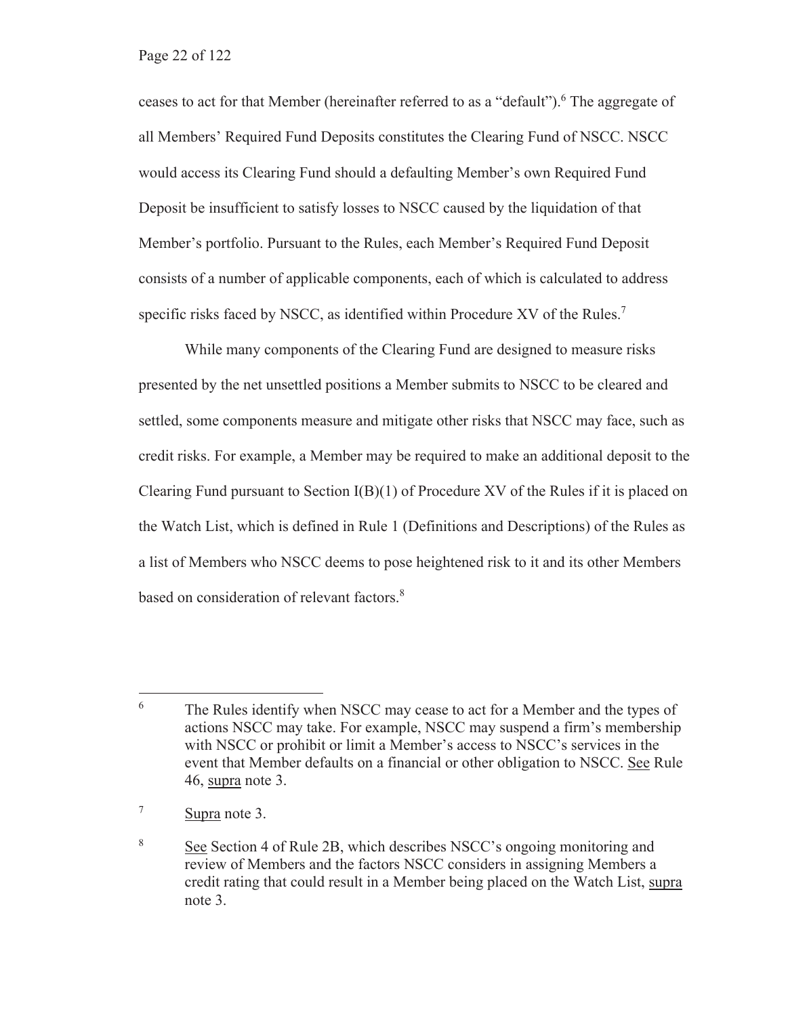ceases to act for that Member (hereinafter referred to as a "default").<sup>6</sup> The aggregate of all Members' Required Fund Deposits constitutes the Clearing Fund of NSCC. NSCC would access its Clearing Fund should a defaulting Member's own Required Fund Deposit be insufficient to satisfy losses to NSCC caused by the liquidation of that Member's portfolio. Pursuant to the Rules, each Member's Required Fund Deposit consists of a number of applicable components, each of which is calculated to address specific risks faced by NSCC, as identified within Procedure XV of the Rules.<sup>7</sup>

While many components of the Clearing Fund are designed to measure risks presented by the net unsettled positions a Member submits to NSCC to be cleared and settled, some components measure and mitigate other risks that NSCC may face, such as credit risks. For example, a Member may be required to make an additional deposit to the Clearing Fund pursuant to Section  $I(B)(1)$  of Procedure XV of the Rules if it is placed on the Watch List, which is defined in Rule 1 (Definitions and Descriptions) of the Rules as a list of Members who NSCC deems to pose heightened risk to it and its other Members based on consideration of relevant factors.<sup>8</sup>

<sup>6</sup> The Rules identify when NSCC may cease to act for a Member and the types of actions NSCC may take. For example, NSCC may suspend a firm's membership with NSCC or prohibit or limit a Member's access to NSCC's services in the event that Member defaults on a financial or other obligation to NSCC. See Rule 46, supra note 3.

<sup>7</sup> Supra note 3.

<sup>8</sup> See Section 4 of Rule 2B, which describes NSCC's ongoing monitoring and review of Members and the factors NSCC considers in assigning Members a credit rating that could result in a Member being placed on the Watch List, supra note 3.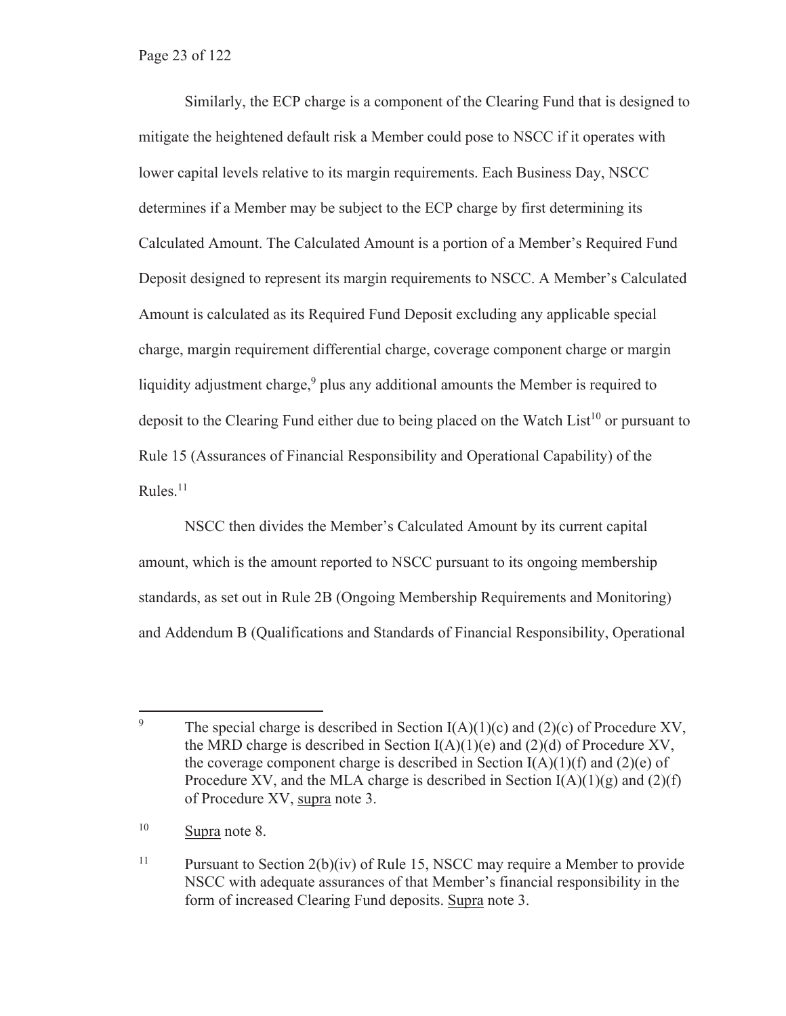Similarly, the ECP charge is a component of the Clearing Fund that is designed to mitigate the heightened default risk a Member could pose to NSCC if it operates with lower capital levels relative to its margin requirements. Each Business Day, NSCC determines if a Member may be subject to the ECP charge by first determining its Calculated Amount. The Calculated Amount is a portion of a Member's Required Fund Deposit designed to represent its margin requirements to NSCC. A Member's Calculated Amount is calculated as its Required Fund Deposit excluding any applicable special charge, margin requirement differential charge, coverage component charge or margin liquidity adjustment charge,  $9$  plus any additional amounts the Member is required to deposit to the Clearing Fund either due to being placed on the Watch List<sup>10</sup> or pursuant to Rule 15 (Assurances of Financial Responsibility and Operational Capability) of the Rules.<sup>11</sup>

NSCC then divides the Member's Calculated Amount by its current capital amount, which is the amount reported to NSCC pursuant to its ongoing membership standards, as set out in Rule 2B (Ongoing Membership Requirements and Monitoring) and Addendum B (Qualifications and Standards of Financial Responsibility, Operational

<sup>9</sup> The special charge is described in Section  $I(A)(1)(c)$  and  $(2)(c)$  of Procedure XV, the MRD charge is described in Section  $I(A)(1)(e)$  and  $(2)(d)$  of Procedure XV, the coverage component charge is described in Section  $I(A)(1)(f)$  and  $(2)(e)$  of Procedure XV, and the MLA charge is described in Section  $I(A)(1)(g)$  and  $(2)(f)$ of Procedure XV, supra note 3.

<sup>10</sup> Supra note 8.

<sup>&</sup>lt;sup>11</sup> Pursuant to Section  $2(b)(iv)$  of Rule 15, NSCC may require a Member to provide NSCC with adequate assurances of that Member's financial responsibility in the form of increased Clearing Fund deposits. Supra note 3.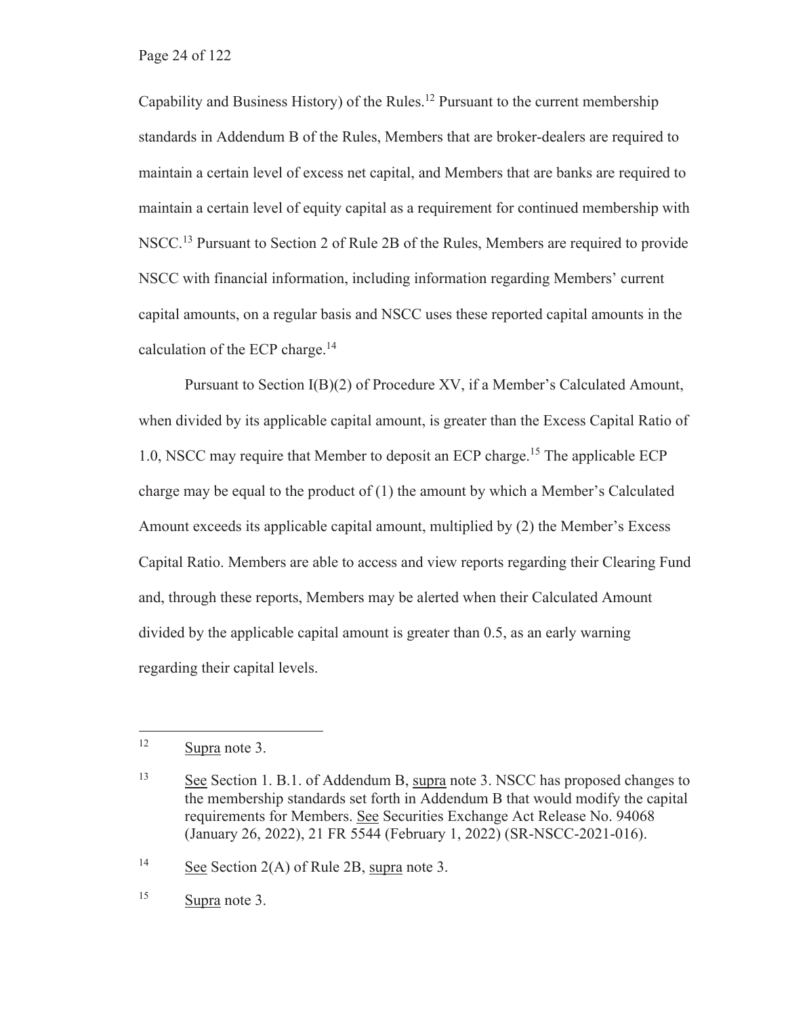Capability and Business History) of the Rules.12 Pursuant to the current membership standards in Addendum B of the Rules, Members that are broker-dealers are required to maintain a certain level of excess net capital, and Members that are banks are required to maintain a certain level of equity capital as a requirement for continued membership with NSCC.<sup>13</sup> Pursuant to Section 2 of Rule 2B of the Rules, Members are required to provide NSCC with financial information, including information regarding Members' current capital amounts, on a regular basis and NSCC uses these reported capital amounts in the calculation of the ECP charge. $14$ 

Pursuant to Section I(B)(2) of Procedure XV, if a Member's Calculated Amount, when divided by its applicable capital amount, is greater than the Excess Capital Ratio of 1.0, NSCC may require that Member to deposit an ECP charge.15 The applicable ECP charge may be equal to the product of  $(1)$  the amount by which a Member's Calculated Amount exceeds its applicable capital amount, multiplied by (2) the Member's Excess Capital Ratio. Members are able to access and view reports regarding their Clearing Fund and, through these reports, Members may be alerted when their Calculated Amount divided by the applicable capital amount is greater than 0.5, as an early warning regarding their capital levels.

<sup>14</sup> See Section 2(A) of Rule 2B, supra note 3.

15 Supra note 3.

<sup>12</sup> Supra note 3.

<sup>13</sup> See Section 1. B.1. of Addendum B, supra note 3. NSCC has proposed changes to the membership standards set forth in Addendum B that would modify the capital requirements for Members. See Securities Exchange Act Release No. 94068 (January 26, 2022), 21 FR 5544 (February 1, 2022) (SR-NSCC-2021-016).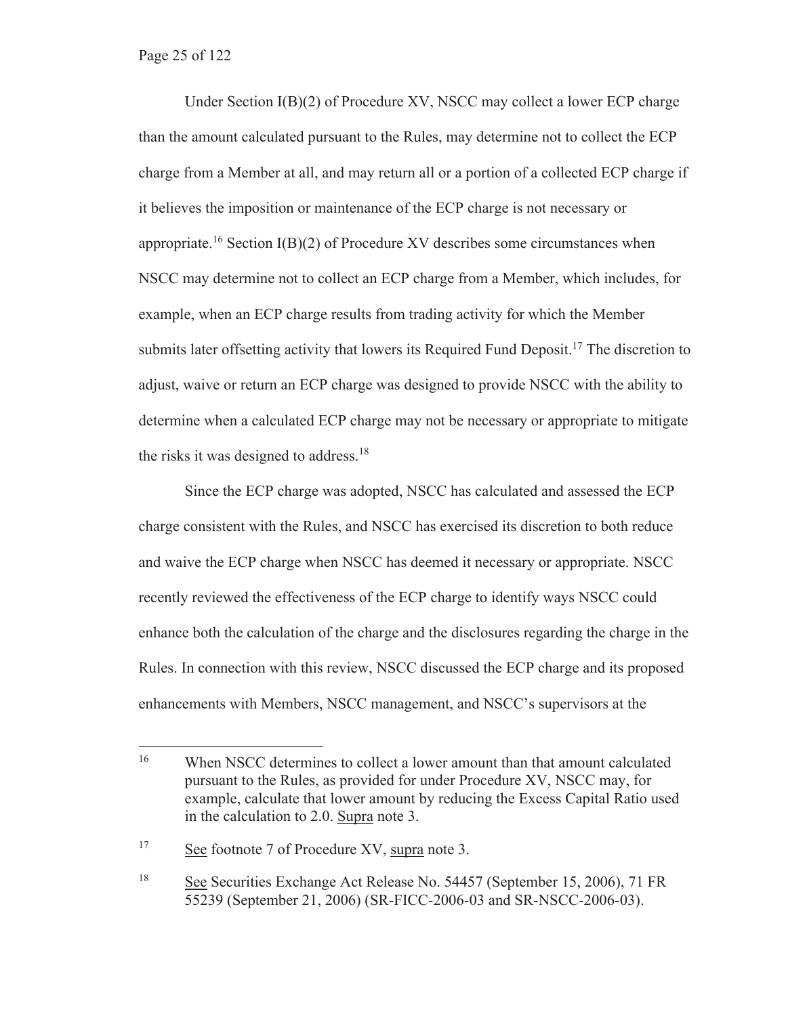Under Section I(B)(2) of Procedure XV, NSCC may collect a lower ECP charge than the amount calculated pursuant to the Rules, may determine not to collect the ECP charge from a Member at all, and may return all or a portion of a collected ECP charge if it believes the imposition or maintenance of the ECP charge is not necessary or appropriate.<sup>16</sup> Section I(B)(2) of Procedure XV describes some circumstances when NSCC may determine not to collect an ECP charge from a Member, which includes, for example, when an ECP charge results from trading activity for which the Member submits later offsetting activity that lowers its Required Fund Deposit.<sup>17</sup> The discretion to adjust, waive or return an ECP charge was designed to provide NSCC with the ability to determine when a calculated ECP charge may not be necessary or appropriate to mitigate the risks it was designed to address.<sup>18</sup>

Since the ECP charge was adopted, NSCC has calculated and assessed the ECP charge consistent with the Rules, and NSCC has exercised its discretion to both reduce and waive the ECP charge when NSCC has deemed it necessary or appropriate. NSCC recently reviewed the effectiveness of the ECP charge to identify ways NSCC could enhance both the calculation of the charge and the disclosures regarding the charge in the Rules. In connection with this review, NSCC discussed the ECP charge and its proposed enhancements with Members, NSCC management, and NSCC's supervisors at the

17 See footnote 7 of Procedure XV, supra note 3.

<sup>&</sup>lt;sup>16</sup> When NSCC determines to collect a lower amount than that amount calculated pursuant to the Rules, as provided for under Procedure XV, NSCC may, for example, calculate that lower amount by reducing the Excess Capital Ratio used in the calculation to 2.0. Supra note 3.

<sup>18</sup> See Securities Exchange Act Release No. 54457 (September 15, 2006), 71 FR 55239 (September 21, 2006) (SR-FICC-2006-03 and SR-NSCC-2006-03).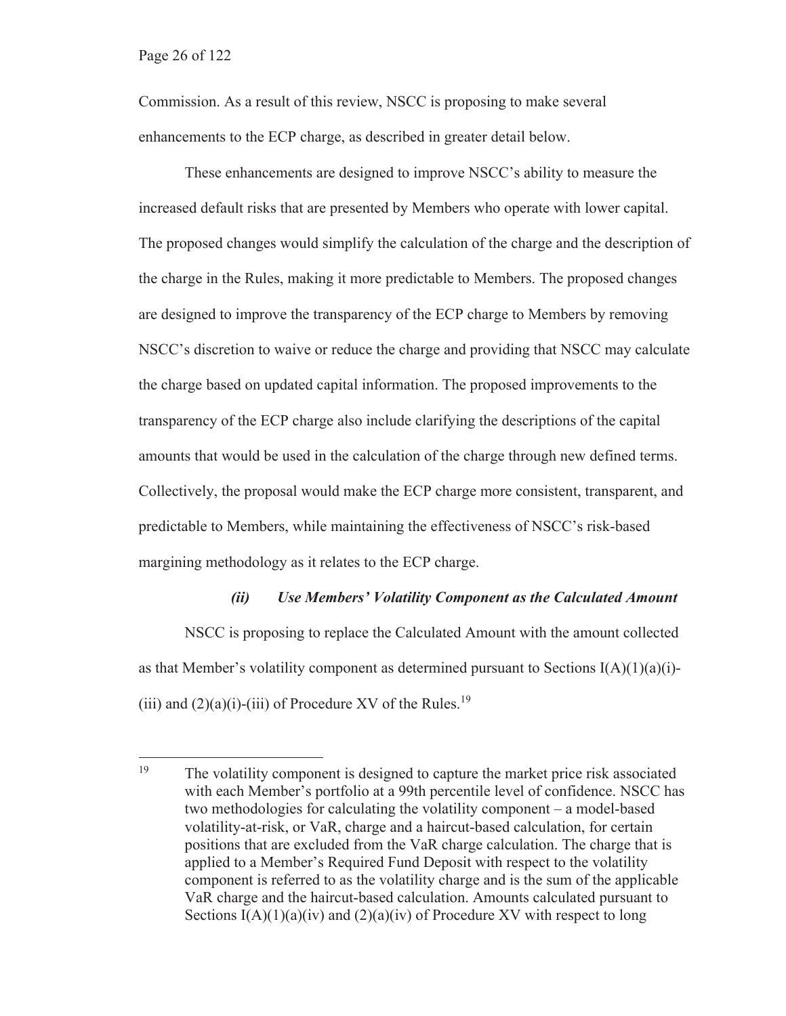Commission. As a result of this review, NSCC is proposing to make several enhancements to the ECP charge, as described in greater detail below.

These enhancements are designed to improve NSCC's ability to measure the increased default risks that are presented by Members who operate with lower capital. The proposed changes would simplify the calculation of the charge and the description of the charge in the Rules, making it more predictable to Members. The proposed changes are designed to improve the transparency of the ECP charge to Members by removing NSCC's discretion to waive or reduce the charge and providing that NSCC may calculate the charge based on updated capital information. The proposed improvements to the transparency of the ECP charge also include clarifying the descriptions of the capital amounts that would be used in the calculation of the charge through new defined terms. Collectively, the proposal would make the ECP charge more consistent, transparent, and predictable to Members, while maintaining the effectiveness of NSCC's risk-based margining methodology as it relates to the ECP charge.

#### *(ii) Use Members' Volatility Component as the Calculated Amount*

NSCC is proposing to replace the Calculated Amount with the amount collected as that Member's volatility component as determined pursuant to Sections  $I(A)(1)(a)(i)$ -(iii) and  $(2)(a)(i)$ -(iii) of Procedure XV of the Rules.<sup>19</sup>

<sup>&</sup>lt;sup>19</sup> The volatility component is designed to capture the market price risk associated with each Member's portfolio at a 99th percentile level of confidence. NSCC has two methodologies for calculating the volatility component – a model-based volatility-at-risk, or VaR, charge and a haircut-based calculation, for certain positions that are excluded from the VaR charge calculation. The charge that is applied to a Member's Required Fund Deposit with respect to the volatility component is referred to as the volatility charge and is the sum of the applicable VaR charge and the haircut-based calculation. Amounts calculated pursuant to Sections  $I(A)(1)(a)(iv)$  and  $(2)(a)(iv)$  of Procedure XV with respect to long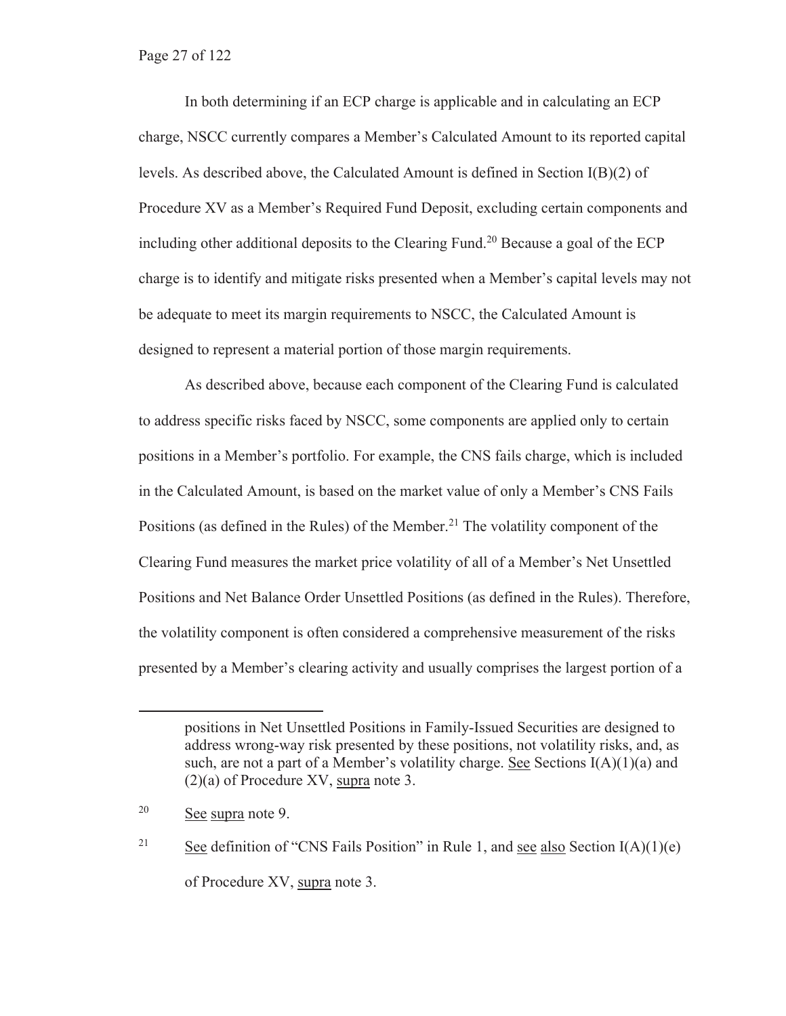#### Page 27 of 122

In both determining if an ECP charge is applicable and in calculating an ECP charge, NSCC currently compares a Member's Calculated Amount to its reported capital levels. As described above, the Calculated Amount is defined in Section  $I(B)(2)$  of Procedure XV as a Member's Required Fund Deposit, excluding certain components and including other additional deposits to the Clearing Fund.<sup>20</sup> Because a goal of the ECP charge is to identify and mitigate risks presented when a Member's capital levels may not be adequate to meet its margin requirements to NSCC, the Calculated Amount is designed to represent a material portion of those margin requirements.

As described above, because each component of the Clearing Fund is calculated to address specific risks faced by NSCC, some components are applied only to certain positions in a Member's portfolio. For example, the CNS fails charge, which is included in the Calculated Amount, is based on the market value of only a Member's CNS Fails Positions (as defined in the Rules) of the Member.<sup>21</sup> The volatility component of the Clearing Fund measures the market price volatility of all of a Member's Net Unsettled Positions and Net Balance Order Unsettled Positions (as defined in the Rules). Therefore, the volatility component is often considered a comprehensive measurement of the risks presented by a Member's clearing activity and usually comprises the largest portion of a

positions in Net Unsettled Positions in Family-Issued Securities are designed to address wrong-way risk presented by these positions, not volatility risks, and, as such, are not a part of a Member's volatility charge. See Sections  $I(A)(1)(a)$  and (2)(a) of Procedure XV, supra note 3.

<sup>20</sup> See supra note 9.

<sup>&</sup>lt;sup>21</sup> See definition of "CNS Fails Position" in Rule 1, and see also Section I(A)(1)(e) of Procedure XV, supra note 3.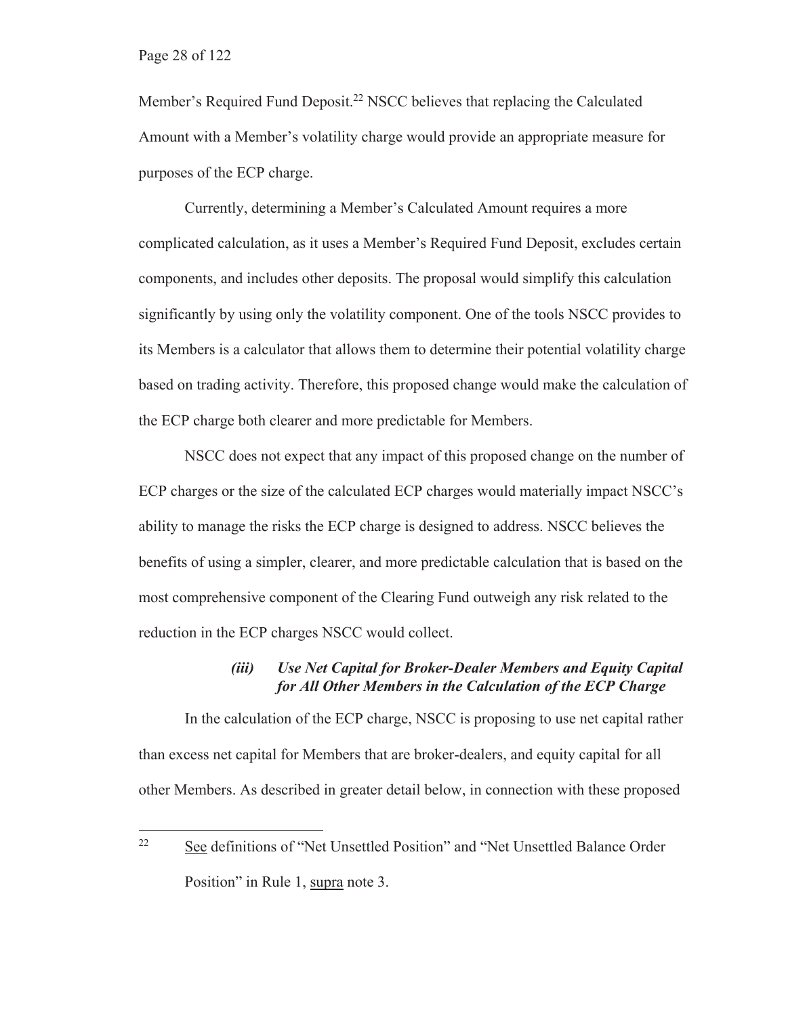Member's Required Fund Deposit.<sup>22</sup> NSCC believes that replacing the Calculated Amount with a Member's volatility charge would provide an appropriate measure for purposes of the ECP charge.

Currently, determining a Member's Calculated Amount requires a more complicated calculation, as it uses a Member's Required Fund Deposit, excludes certain components, and includes other deposits. The proposal would simplify this calculation significantly by using only the volatility component. One of the tools NSCC provides to its Members is a calculator that allows them to determine their potential volatility charge based on trading activity. Therefore, this proposed change would make the calculation of the ECP charge both clearer and more predictable for Members.

NSCC does not expect that any impact of this proposed change on the number of ECP charges or the size of the calculated ECP charges would materially impact NSCC's ability to manage the risks the ECP charge is designed to address. NSCC believes the benefits of using a simpler, clearer, and more predictable calculation that is based on the most comprehensive component of the Clearing Fund outweigh any risk related to the reduction in the ECP charges NSCC would collect.

#### *(iii) Use Net Capital for Broker-Dealer Members and Equity Capital for All Other Members in the Calculation of the ECP Charge*

In the calculation of the ECP charge, NSCC is proposing to use net capital rather than excess net capital for Members that are broker-dealers, and equity capital for all other Members. As described in greater detail below, in connection with these proposed

<sup>&</sup>lt;sup>22</sup> See definitions of "Net Unsettled Position" and "Net Unsettled Balance Order Position" in Rule 1, supra note 3.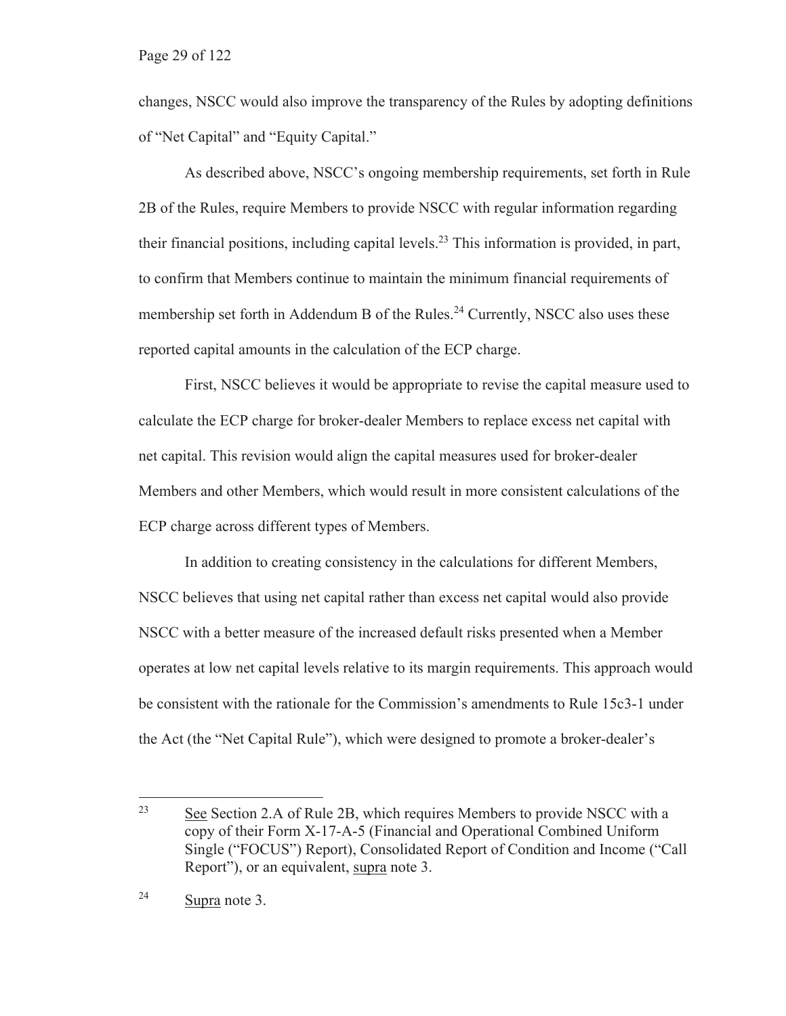changes, NSCC would also improve the transparency of the Rules by adopting definitions of "Net Capital" and "Equity Capital."

As described above, NSCC's ongoing membership requirements, set forth in Rule 2B of the Rules, require Members to provide NSCC with regular information regarding their financial positions, including capital levels.<sup>23</sup> This information is provided, in part, to confirm that Members continue to maintain the minimum financial requirements of membership set forth in Addendum B of the Rules.<sup>24</sup> Currently, NSCC also uses these reported capital amounts in the calculation of the ECP charge.

First, NSCC believes it would be appropriate to revise the capital measure used to calculate the ECP charge for broker-dealer Members to replace excess net capital with net capital. This revision would align the capital measures used for broker-dealer Members and other Members, which would result in more consistent calculations of the ECP charge across different types of Members.

In addition to creating consistency in the calculations for different Members, NSCC believes that using net capital rather than excess net capital would also provide NSCC with a better measure of the increased default risks presented when a Member operates at low net capital levels relative to its margin requirements. This approach would be consistent with the rationale for the Commission's amendments to Rule 15c3-1 under the Act (the "Net Capital Rule"), which were designed to promote a broker-dealer's

<sup>&</sup>lt;sup>23</sup> See Section 2.A of Rule 2B, which requires Members to provide NSCC with a copy of their Form X-17-A-5 (Financial and Operational Combined Uniform Single ("FOCUS") Report), Consolidated Report of Condition and Income ("Call Report"), or an equivalent, supra note 3.

<sup>24</sup> Supra note 3.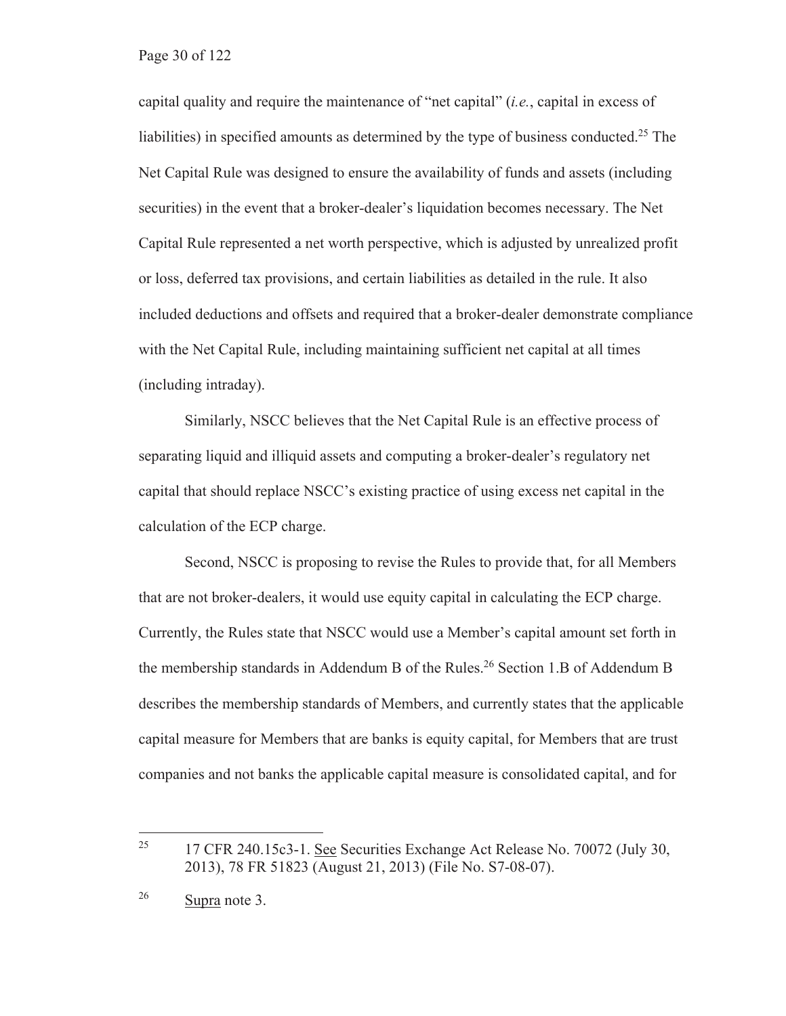capital quality and require the maintenance of "net capital" (*i.e.*, capital in excess of liabilities) in specified amounts as determined by the type of business conducted.<sup>25</sup> The Net Capital Rule was designed to ensure the availability of funds and assets (including securities) in the event that a broker-dealer's liquidation becomes necessary. The Net Capital Rule represented a net worth perspective, which is adjusted by unrealized profit or loss, deferred tax provisions, and certain liabilities as detailed in the rule. It also included deductions and offsets and required that a broker-dealer demonstrate compliance with the Net Capital Rule, including maintaining sufficient net capital at all times (including intraday).

Similarly, NSCC believes that the Net Capital Rule is an effective process of separating liquid and illiquid assets and computing a broker-dealer's regulatory net capital that should replace NSCC's existing practice of using excess net capital in the calculation of the ECP charge.

Second, NSCC is proposing to revise the Rules to provide that, for all Members that are not broker-dealers, it would use equity capital in calculating the ECP charge. Currently, the Rules state that NSCC would use a Member's capital amount set forth in the membership standards in Addendum B of the Rules.<sup>26</sup> Section 1.B of Addendum B describes the membership standards of Members, and currently states that the applicable capital measure for Members that are banks is equity capital, for Members that are trust companies and not banks the applicable capital measure is consolidated capital, and for

<sup>&</sup>lt;sup>25</sup> 17 CFR 240.15c3-1. See Securities Exchange Act Release No. 70072 (July 30, 2013), 78 FR 51823 (August 21, 2013) (File No. S7-08-07).

<sup>26</sup> Supra note 3.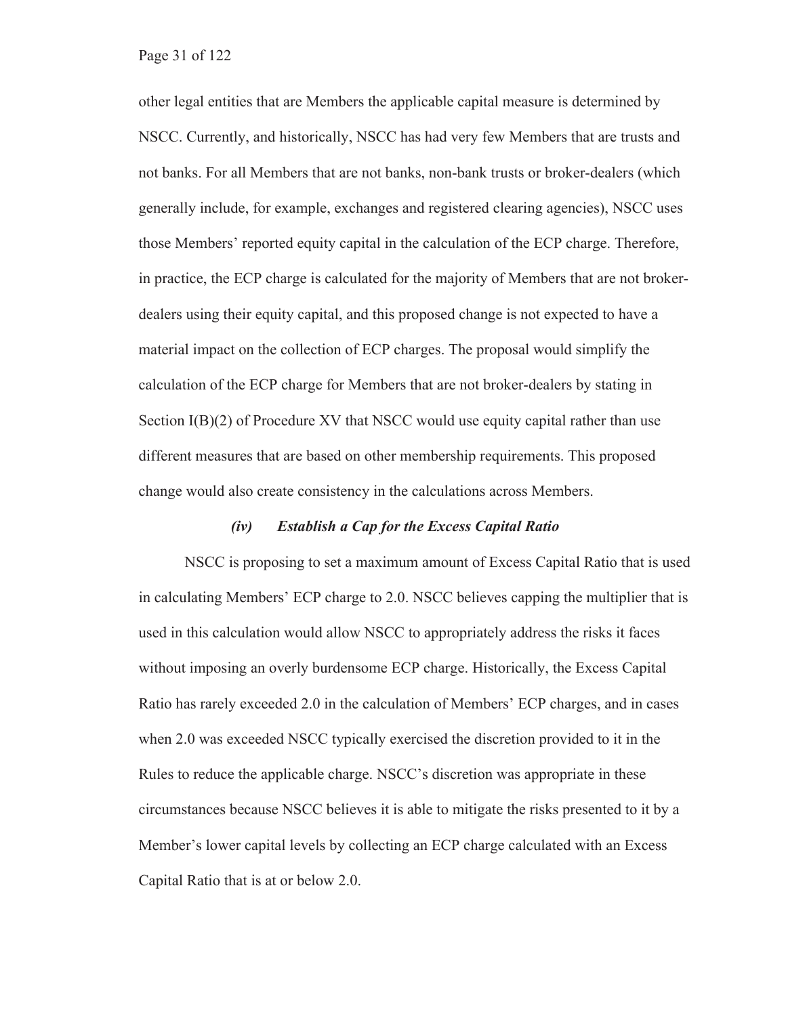other legal entities that are Members the applicable capital measure is determined by NSCC. Currently, and historically, NSCC has had very few Members that are trusts and not banks. For all Members that are not banks, non-bank trusts or broker-dealers (which generally include, for example, exchanges and registered clearing agencies), NSCC uses those Members' reported equity capital in the calculation of the ECP charge. Therefore, in practice, the ECP charge is calculated for the majority of Members that are not brokerdealers using their equity capital, and this proposed change is not expected to have a material impact on the collection of ECP charges. The proposal would simplify the calculation of the ECP charge for Members that are not broker-dealers by stating in Section I(B)(2) of Procedure XV that NSCC would use equity capital rather than use different measures that are based on other membership requirements. This proposed change would also create consistency in the calculations across Members.

#### *(iv) Establish a Cap for the Excess Capital Ratio*

NSCC is proposing to set a maximum amount of Excess Capital Ratio that is used in calculating Members' ECP charge to 2.0. NSCC believes capping the multiplier that is used in this calculation would allow NSCC to appropriately address the risks it faces without imposing an overly burdensome ECP charge. Historically, the Excess Capital Ratio has rarely exceeded 2.0 in the calculation of Members' ECP charges, and in cases when 2.0 was exceeded NSCC typically exercised the discretion provided to it in the Rules to reduce the applicable charge. NSCC's discretion was appropriate in these circumstances because NSCC believes it is able to mitigate the risks presented to it by a Member's lower capital levels by collecting an ECP charge calculated with an Excess Capital Ratio that is at or below 2.0.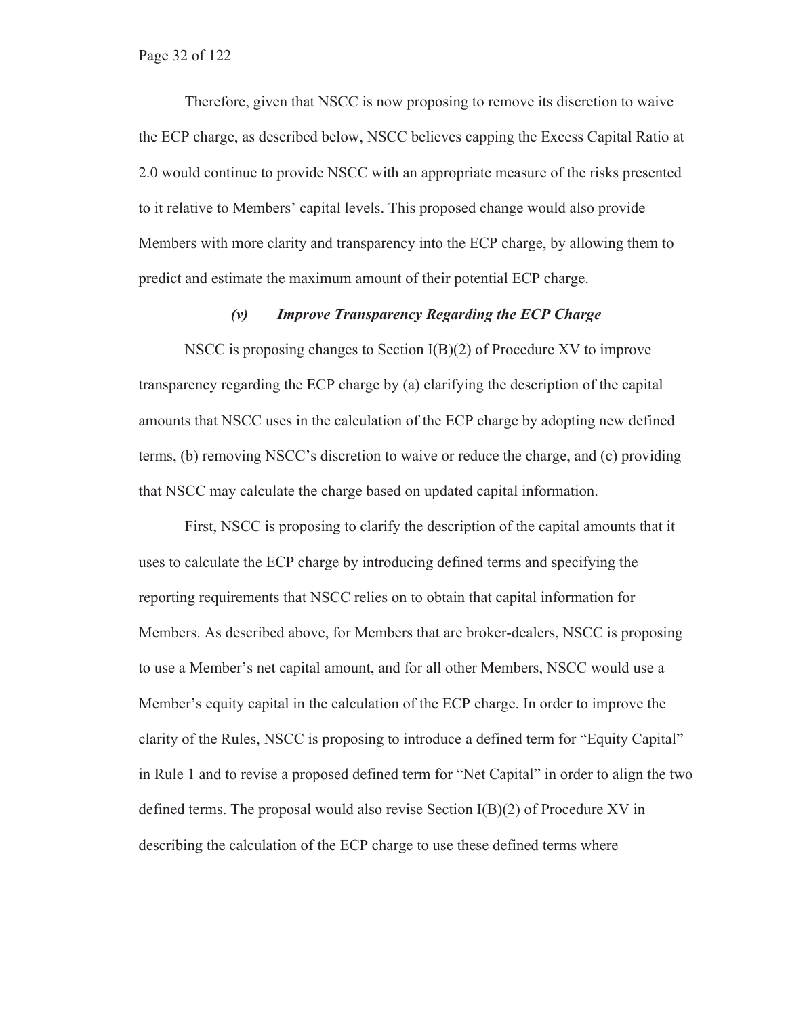#### Page 32 of 122

Therefore, given that NSCC is now proposing to remove its discretion to waive the ECP charge, as described below, NSCC believes capping the Excess Capital Ratio at 2.0 would continue to provide NSCC with an appropriate measure of the risks presented to it relative to Members' capital levels. This proposed change would also provide Members with more clarity and transparency into the ECP charge, by allowing them to predict and estimate the maximum amount of their potential ECP charge.

#### *(v) Improve Transparency Regarding the ECP Charge*

NSCC is proposing changes to Section I(B)(2) of Procedure XV to improve transparency regarding the ECP charge by (a) clarifying the description of the capital amounts that NSCC uses in the calculation of the ECP charge by adopting new defined terms, (b) removing NSCC's discretion to waive or reduce the charge, and (c) providing that NSCC may calculate the charge based on updated capital information.

First, NSCC is proposing to clarify the description of the capital amounts that it uses to calculate the ECP charge by introducing defined terms and specifying the reporting requirements that NSCC relies on to obtain that capital information for Members. As described above, for Members that are broker-dealers, NSCC is proposing to use a Member's net capital amount, and for all other Members, NSCC would use a Member's equity capital in the calculation of the ECP charge. In order to improve the clarity of the Rules, NSCC is proposing to introduce a defined term for "Equity Capital" in Rule 1 and to revise a proposed defined term for "Net Capital" in order to align the two defined terms. The proposal would also revise Section  $I(B)(2)$  of Procedure XV in describing the calculation of the ECP charge to use these defined terms where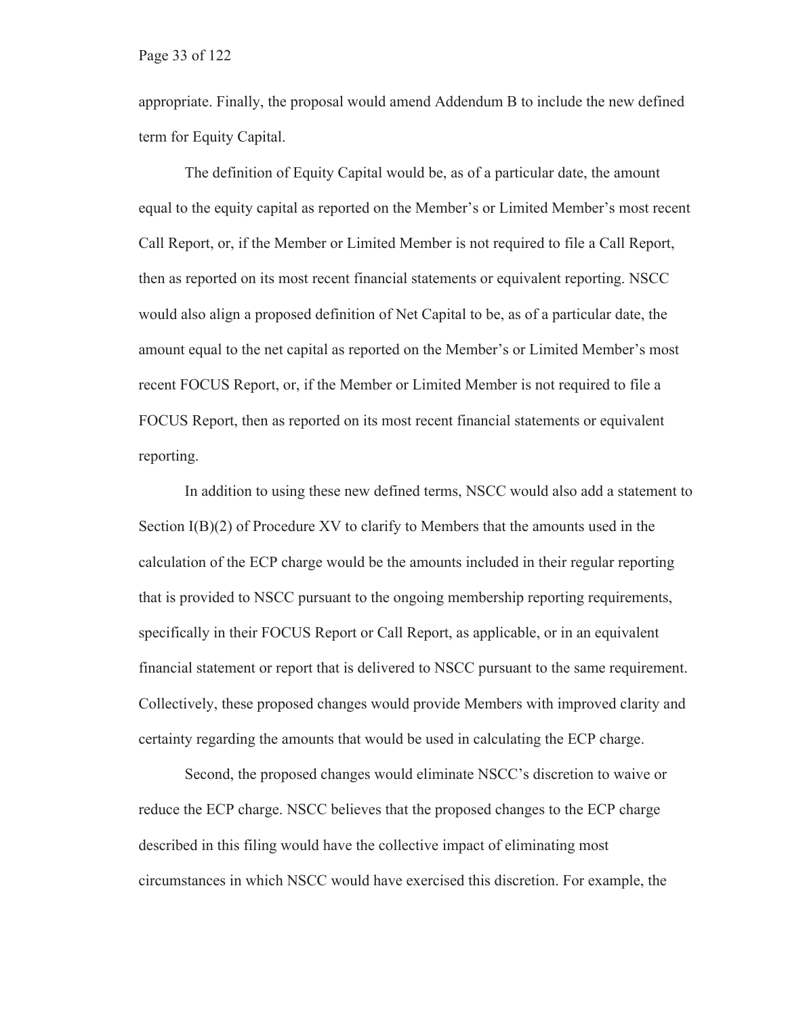appropriate. Finally, the proposal would amend Addendum B to include the new defined term for Equity Capital.

The definition of Equity Capital would be, as of a particular date, the amount equal to the equity capital as reported on the Member's or Limited Member's most recent Call Report, or, if the Member or Limited Member is not required to file a Call Report, then as reported on its most recent financial statements or equivalent reporting. NSCC would also align a proposed definition of Net Capital to be, as of a particular date, the amount equal to the net capital as reported on the Member's or Limited Member's most recent FOCUS Report, or, if the Member or Limited Member is not required to file a FOCUS Report, then as reported on its most recent financial statements or equivalent reporting.

In addition to using these new defined terms, NSCC would also add a statement to Section  $I(B)(2)$  of Procedure XV to clarify to Members that the amounts used in the calculation of the ECP charge would be the amounts included in their regular reporting that is provided to NSCC pursuant to the ongoing membership reporting requirements, specifically in their FOCUS Report or Call Report, as applicable, or in an equivalent financial statement or report that is delivered to NSCC pursuant to the same requirement. Collectively, these proposed changes would provide Members with improved clarity and certainty regarding the amounts that would be used in calculating the ECP charge.

Second, the proposed changes would eliminate NSCC's discretion to waive or reduce the ECP charge. NSCC believes that the proposed changes to the ECP charge described in this filing would have the collective impact of eliminating most circumstances in which NSCC would have exercised this discretion. For example, the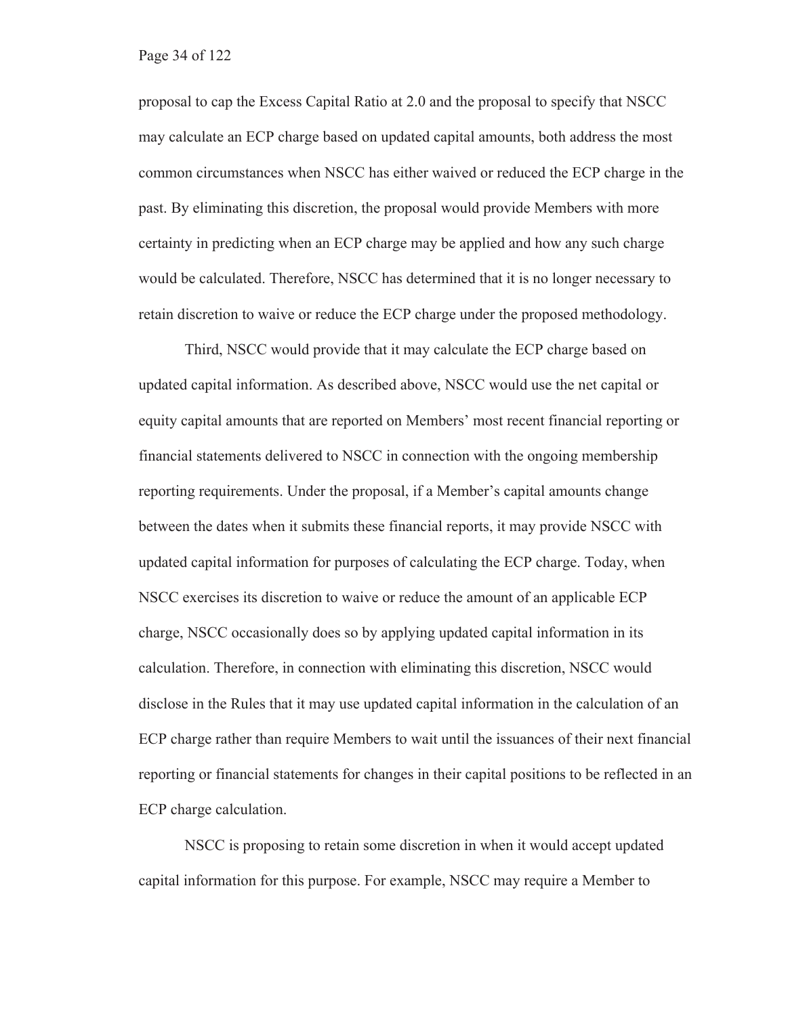proposal to cap the Excess Capital Ratio at 2.0 and the proposal to specify that NSCC may calculate an ECP charge based on updated capital amounts, both address the most common circumstances when NSCC has either waived or reduced the ECP charge in the past. By eliminating this discretion, the proposal would provide Members with more certainty in predicting when an ECP charge may be applied and how any such charge would be calculated. Therefore, NSCC has determined that it is no longer necessary to retain discretion to waive or reduce the ECP charge under the proposed methodology.

Third, NSCC would provide that it may calculate the ECP charge based on updated capital information. As described above, NSCC would use the net capital or equity capital amounts that are reported on Members' most recent financial reporting or financial statements delivered to NSCC in connection with the ongoing membership reporting requirements. Under the proposal, if a Member's capital amounts change between the dates when it submits these financial reports, it may provide NSCC with updated capital information for purposes of calculating the ECP charge. Today, when NSCC exercises its discretion to waive or reduce the amount of an applicable ECP charge, NSCC occasionally does so by applying updated capital information in its calculation. Therefore, in connection with eliminating this discretion, NSCC would disclose in the Rules that it may use updated capital information in the calculation of an ECP charge rather than require Members to wait until the issuances of their next financial reporting or financial statements for changes in their capital positions to be reflected in an ECP charge calculation.

NSCC is proposing to retain some discretion in when it would accept updated capital information for this purpose. For example, NSCC may require a Member to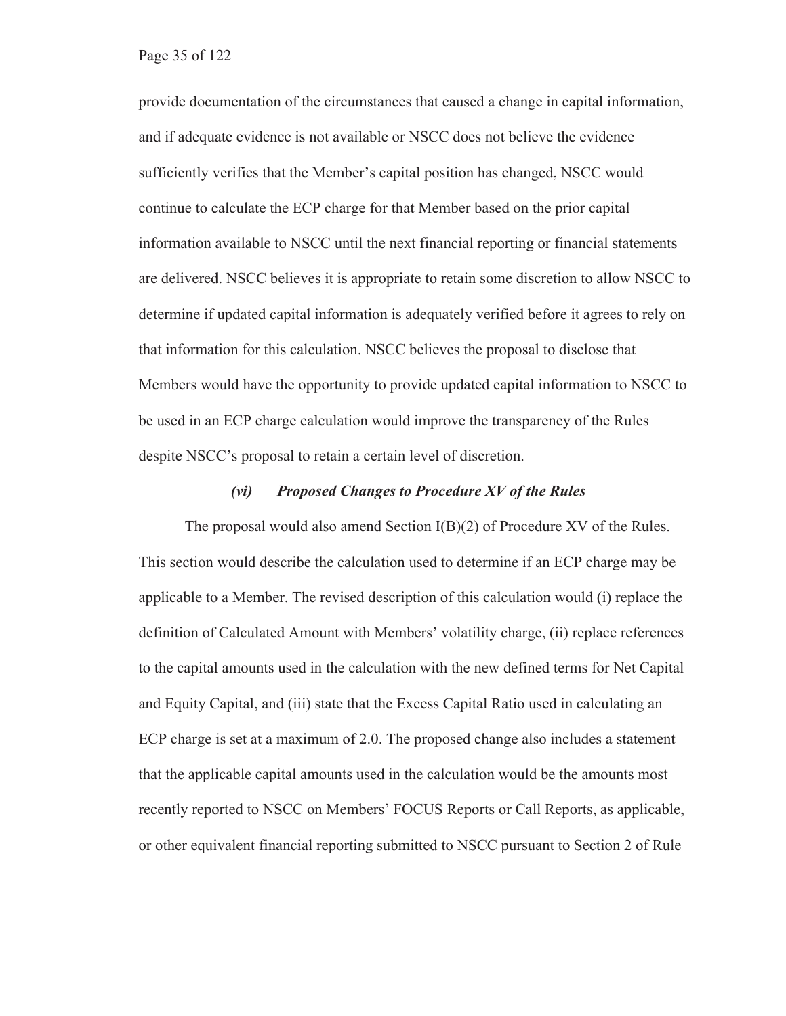provide documentation of the circumstances that caused a change in capital information, and if adequate evidence is not available or NSCC does not believe the evidence sufficiently verifies that the Member's capital position has changed, NSCC would continue to calculate the ECP charge for that Member based on the prior capital information available to NSCC until the next financial reporting or financial statements are delivered. NSCC believes it is appropriate to retain some discretion to allow NSCC to determine if updated capital information is adequately verified before it agrees to rely on that information for this calculation. NSCC believes the proposal to disclose that Members would have the opportunity to provide updated capital information to NSCC to be used in an ECP charge calculation would improve the transparency of the Rules despite NSCC's proposal to retain a certain level of discretion.

#### *(vi) Proposed Changes to Procedure XV of the Rules*

The proposal would also amend Section  $I(B)(2)$  of Procedure XV of the Rules. This section would describe the calculation used to determine if an ECP charge may be applicable to a Member. The revised description of this calculation would (i) replace the definition of Calculated Amount with Members' volatility charge, (ii) replace references to the capital amounts used in the calculation with the new defined terms for Net Capital and Equity Capital, and (iii) state that the Excess Capital Ratio used in calculating an ECP charge is set at a maximum of 2.0. The proposed change also includes a statement that the applicable capital amounts used in the calculation would be the amounts most recently reported to NSCC on Members' FOCUS Reports or Call Reports, as applicable, or other equivalent financial reporting submitted to NSCC pursuant to Section 2 of Rule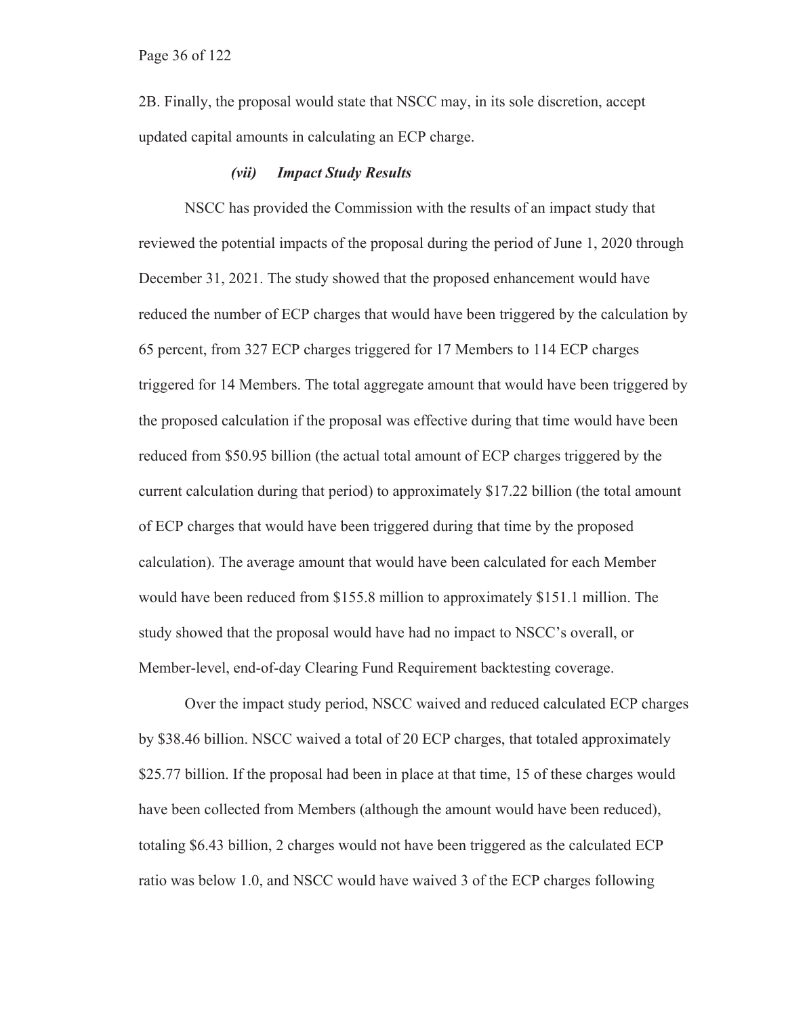Page 36 of 122

2B. Finally, the proposal would state that NSCC may, in its sole discretion, accept updated capital amounts in calculating an ECP charge.

#### *(vii) Impact Study Results*

NSCC has provided the Commission with the results of an impact study that reviewed the potential impacts of the proposal during the period of June 1, 2020 through December 31, 2021. The study showed that the proposed enhancement would have reduced the number of ECP charges that would have been triggered by the calculation by 65 percent, from 327 ECP charges triggered for 17 Members to 114 ECP charges triggered for 14 Members. The total aggregate amount that would have been triggered by the proposed calculation if the proposal was effective during that time would have been reduced from \$50.95 billion (the actual total amount of ECP charges triggered by the current calculation during that period) to approximately \$17.22 billion (the total amount of ECP charges that would have been triggered during that time by the proposed calculation). The average amount that would have been calculated for each Member would have been reduced from \$155.8 million to approximately \$151.1 million. The study showed that the proposal would have had no impact to NSCC's overall, or Member-level, end-of-day Clearing Fund Requirement backtesting coverage.

Over the impact study period, NSCC waived and reduced calculated ECP charges by \$38.46 billion. NSCC waived a total of 20 ECP charges, that totaled approximately \$25.77 billion. If the proposal had been in place at that time, 15 of these charges would have been collected from Members (although the amount would have been reduced), totaling \$6.43 billion, 2 charges would not have been triggered as the calculated ECP ratio was below 1.0, and NSCC would have waived 3 of the ECP charges following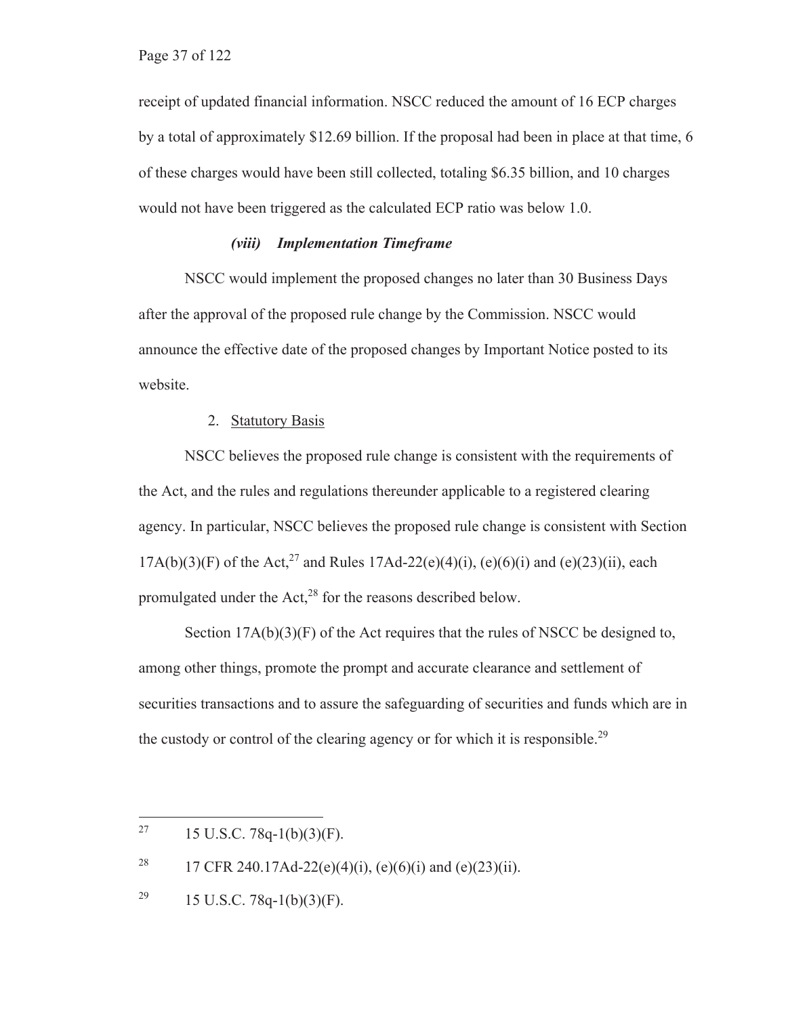receipt of updated financial information. NSCC reduced the amount of 16 ECP charges by a total of approximately \$12.69 billion. If the proposal had been in place at that time, 6 of these charges would have been still collected, totaling \$6.35 billion, and 10 charges would not have been triggered as the calculated ECP ratio was below 1.0.

#### *(viii) Implementation Timeframe*

NSCC would implement the proposed changes no later than 30 Business Days after the approval of the proposed rule change by the Commission. NSCC would announce the effective date of the proposed changes by Important Notice posted to its website.

#### 2. Statutory Basis

NSCC believes the proposed rule change is consistent with the requirements of the Act, and the rules and regulations thereunder applicable to a registered clearing agency. In particular, NSCC believes the proposed rule change is consistent with Section  $17A(b)(3)(F)$  of the Act,<sup>27</sup> and Rules  $17Ad-22(e)(4)(i)$ , (e)(6)(i) and (e)(23)(ii), each promulgated under the  $Act<sub>1</sub><sup>28</sup>$  for the reasons described below.

Section  $17A(b)(3)(F)$  of the Act requires that the rules of NSCC be designed to, among other things, promote the prompt and accurate clearance and settlement of securities transactions and to assure the safeguarding of securities and funds which are in the custody or control of the clearing agency or for which it is responsible.<sup>29</sup>

<sup>&</sup>lt;sup>27</sup> 15 U.S.C. 78q-1(b)(3)(F).

<sup>&</sup>lt;sup>28</sup> 17 CFR 240.17Ad-22(e)(4)(i), (e)(6)(i) and (e)(23)(ii).

<sup>&</sup>lt;sup>29</sup> 15 U.S.C. 78q-1(b)(3)(F).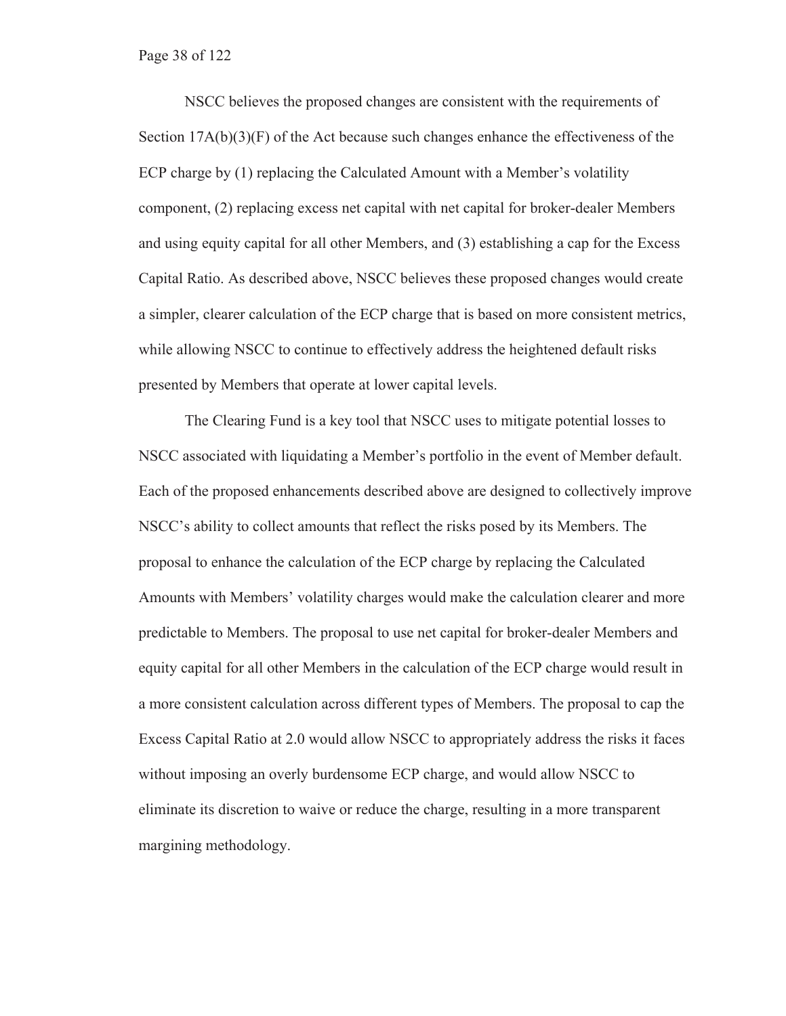Page 38 of 122

NSCC believes the proposed changes are consistent with the requirements of Section  $17A(b)(3)(F)$  of the Act because such changes enhance the effectiveness of the ECP charge by (1) replacing the Calculated Amount with a Member's volatility component, (2) replacing excess net capital with net capital for broker-dealer Members and using equity capital for all other Members, and (3) establishing a cap for the Excess Capital Ratio. As described above, NSCC believes these proposed changes would create a simpler, clearer calculation of the ECP charge that is based on more consistent metrics, while allowing NSCC to continue to effectively address the heightened default risks presented by Members that operate at lower capital levels.

The Clearing Fund is a key tool that NSCC uses to mitigate potential losses to NSCC associated with liquidating a Member's portfolio in the event of Member default. Each of the proposed enhancements described above are designed to collectively improve NSCC's ability to collect amounts that reflect the risks posed by its Members. The proposal to enhance the calculation of the ECP charge by replacing the Calculated Amounts with Members' volatility charges would make the calculation clearer and more predictable to Members. The proposal to use net capital for broker-dealer Members and equity capital for all other Members in the calculation of the ECP charge would result in a more consistent calculation across different types of Members. The proposal to cap the Excess Capital Ratio at 2.0 would allow NSCC to appropriately address the risks it faces without imposing an overly burdensome ECP charge, and would allow NSCC to eliminate its discretion to waive or reduce the charge, resulting in a more transparent margining methodology.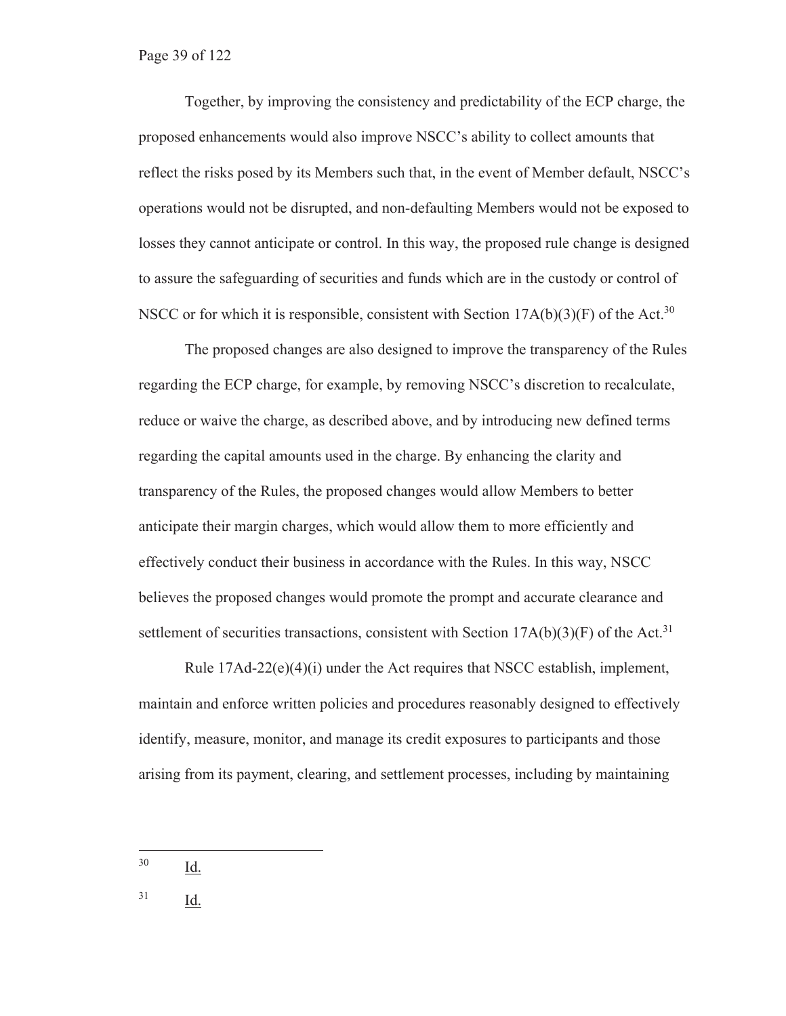Together, by improving the consistency and predictability of the ECP charge, the proposed enhancements would also improve NSCC's ability to collect amounts that reflect the risks posed by its Members such that, in the event of Member default, NSCC's operations would not be disrupted, and non-defaulting Members would not be exposed to losses they cannot anticipate or control. In this way, the proposed rule change is designed to assure the safeguarding of securities and funds which are in the custody or control of NSCC or for which it is responsible, consistent with Section  $17A(b)(3)(F)$  of the Act.<sup>30</sup>

The proposed changes are also designed to improve the transparency of the Rules regarding the ECP charge, for example, by removing NSCC's discretion to recalculate, reduce or waive the charge, as described above, and by introducing new defined terms regarding the capital amounts used in the charge. By enhancing the clarity and transparency of the Rules, the proposed changes would allow Members to better anticipate their margin charges, which would allow them to more efficiently and effectively conduct their business in accordance with the Rules. In this way, NSCC believes the proposed changes would promote the prompt and accurate clearance and settlement of securities transactions, consistent with Section  $17A(b)(3)(F)$  of the Act.<sup>31</sup>

Rule  $17\text{Ad}-22\text{(e)}(4)$ (i) under the Act requires that NSCC establish, implement, maintain and enforce written policies and procedures reasonably designed to effectively identify, measure, monitor, and manage its credit exposures to participants and those arising from its payment, clearing, and settlement processes, including by maintaining

30 Id.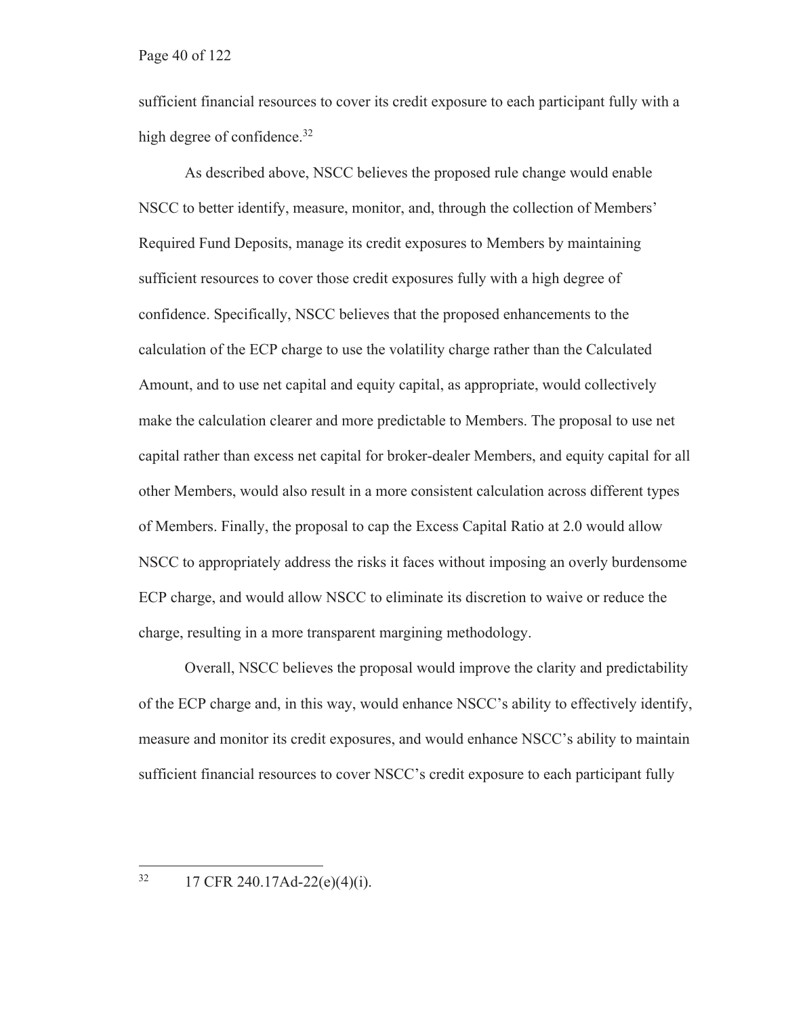sufficient financial resources to cover its credit exposure to each participant fully with a high degree of confidence.<sup>32</sup>

As described above, NSCC believes the proposed rule change would enable NSCC to better identify, measure, monitor, and, through the collection of Members' Required Fund Deposits, manage its credit exposures to Members by maintaining sufficient resources to cover those credit exposures fully with a high degree of confidence. Specifically, NSCC believes that the proposed enhancements to the calculation of the ECP charge to use the volatility charge rather than the Calculated Amount, and to use net capital and equity capital, as appropriate, would collectively make the calculation clearer and more predictable to Members. The proposal to use net capital rather than excess net capital for broker-dealer Members, and equity capital for all other Members, would also result in a more consistent calculation across different types of Members. Finally, the proposal to cap the Excess Capital Ratio at 2.0 would allow NSCC to appropriately address the risks it faces without imposing an overly burdensome ECP charge, and would allow NSCC to eliminate its discretion to waive or reduce the charge, resulting in a more transparent margining methodology.

Overall, NSCC believes the proposal would improve the clarity and predictability of the ECP charge and, in this way, would enhance NSCC's ability to effectively identify, measure and monitor its credit exposures, and would enhance NSCC's ability to maintain sufficient financial resources to cover NSCC's credit exposure to each participant fully

 $32$  17 CFR 240.17Ad-22(e)(4)(i).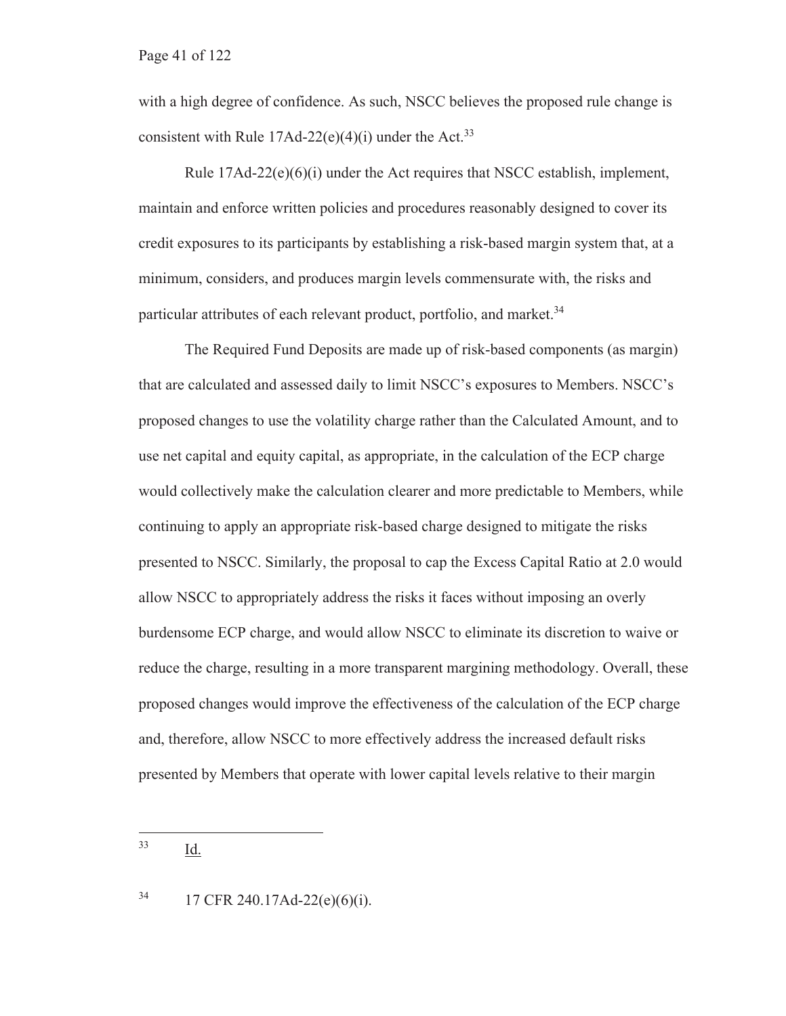with a high degree of confidence. As such, NSCC believes the proposed rule change is consistent with Rule  $17Ad-22(e)(4)(i)$  under the Act.<sup>33</sup>

Rule  $17\text{Ad}-22(e)(6)(i)$  under the Act requires that NSCC establish, implement, maintain and enforce written policies and procedures reasonably designed to cover its credit exposures to its participants by establishing a risk-based margin system that, at a minimum, considers, and produces margin levels commensurate with, the risks and particular attributes of each relevant product, portfolio, and market.<sup>34</sup>

The Required Fund Deposits are made up of risk-based components (as margin) that are calculated and assessed daily to limit NSCC's exposures to Members. NSCC's proposed changes to use the volatility charge rather than the Calculated Amount, and to use net capital and equity capital, as appropriate, in the calculation of the ECP charge would collectively make the calculation clearer and more predictable to Members, while continuing to apply an appropriate risk-based charge designed to mitigate the risks presented to NSCC. Similarly, the proposal to cap the Excess Capital Ratio at 2.0 would allow NSCC to appropriately address the risks it faces without imposing an overly burdensome ECP charge, and would allow NSCC to eliminate its discretion to waive or reduce the charge, resulting in a more transparent margining methodology. Overall, these proposed changes would improve the effectiveness of the calculation of the ECP charge and, therefore, allow NSCC to more effectively address the increased default risks presented by Members that operate with lower capital levels relative to their margin

 $34$  17 CFR 240.17Ad-22(e)(6)(i).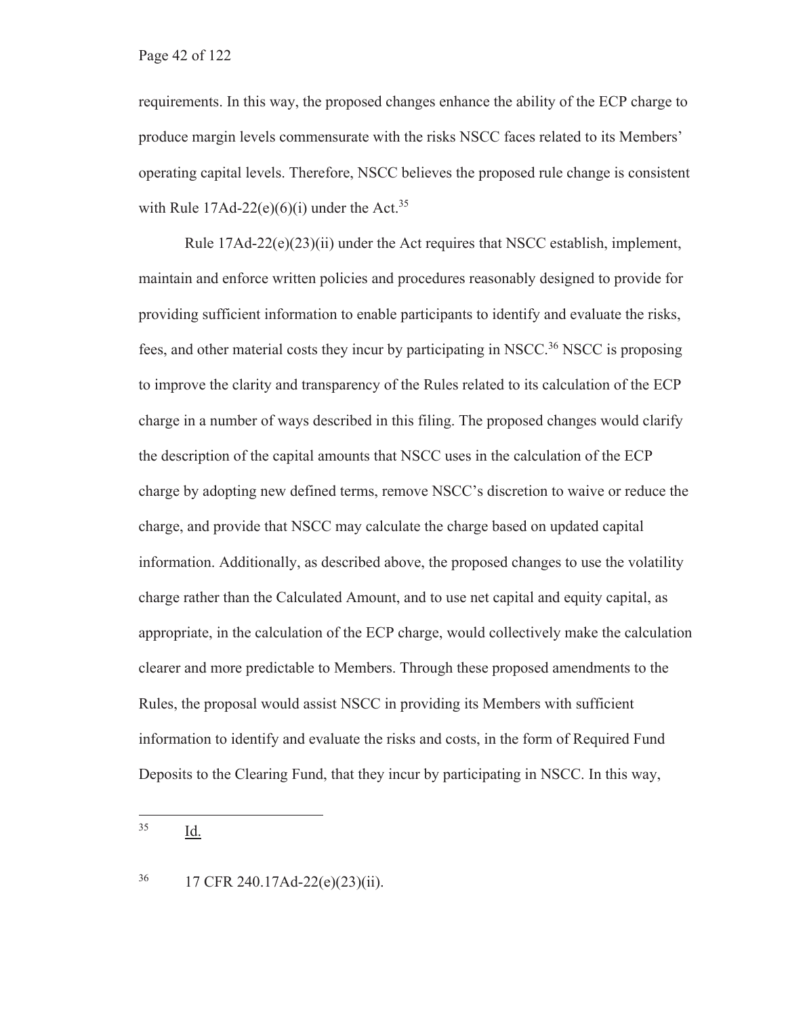requirements. In this way, the proposed changes enhance the ability of the ECP charge to produce margin levels commensurate with the risks NSCC faces related to its Members' operating capital levels. Therefore, NSCC believes the proposed rule change is consistent with Rule  $17\text{Ad}-22(e)(6)(i)$  under the Act.<sup>35</sup>

Rule  $17Ad-22(e)(23)(ii)$  under the Act requires that NSCC establish, implement, maintain and enforce written policies and procedures reasonably designed to provide for providing sufficient information to enable participants to identify and evaluate the risks, fees, and other material costs they incur by participating in NSCC.<sup>36</sup> NSCC is proposing to improve the clarity and transparency of the Rules related to its calculation of the ECP charge in a number of ways described in this filing. The proposed changes would clarify the description of the capital amounts that NSCC uses in the calculation of the ECP charge by adopting new defined terms, remove NSCC's discretion to waive or reduce the charge, and provide that NSCC may calculate the charge based on updated capital information. Additionally, as described above, the proposed changes to use the volatility charge rather than the Calculated Amount, and to use net capital and equity capital, as appropriate, in the calculation of the ECP charge, would collectively make the calculation clearer and more predictable to Members. Through these proposed amendments to the Rules, the proposal would assist NSCC in providing its Members with sufficient information to identify and evaluate the risks and costs, in the form of Required Fund Deposits to the Clearing Fund, that they incur by participating in NSCC. In this way,

<sup>36 17</sup> CFR 240.17Ad-22(e)(23)(ii).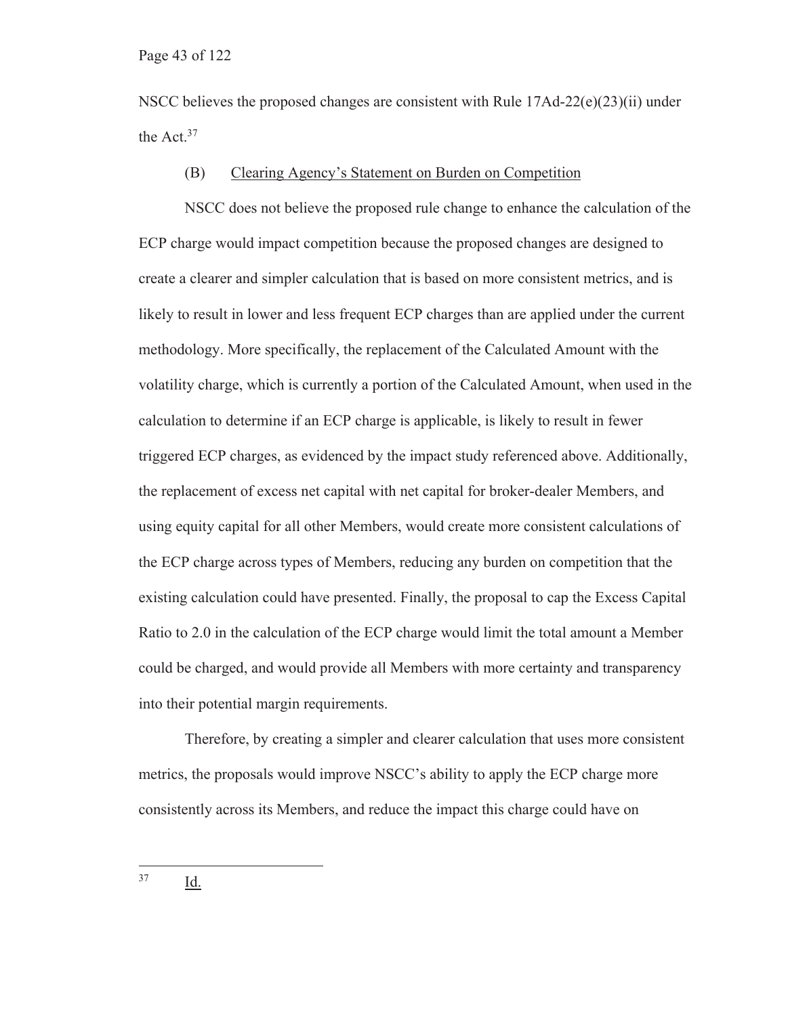NSCC believes the proposed changes are consistent with Rule  $17\text{Ad}-22\text{(e)}(23)\text{(ii)}$  under the Act.<sup>37</sup>

#### (B) Clearing Agency's Statement on Burden on Competition

NSCC does not believe the proposed rule change to enhance the calculation of the ECP charge would impact competition because the proposed changes are designed to create a clearer and simpler calculation that is based on more consistent metrics, and is likely to result in lower and less frequent ECP charges than are applied under the current methodology. More specifically, the replacement of the Calculated Amount with the volatility charge, which is currently a portion of the Calculated Amount, when used in the calculation to determine if an ECP charge is applicable, is likely to result in fewer triggered ECP charges, as evidenced by the impact study referenced above. Additionally, the replacement of excess net capital with net capital for broker-dealer Members, and using equity capital for all other Members, would create more consistent calculations of the ECP charge across types of Members, reducing any burden on competition that the existing calculation could have presented. Finally, the proposal to cap the Excess Capital Ratio to 2.0 in the calculation of the ECP charge would limit the total amount a Member could be charged, and would provide all Members with more certainty and transparency into their potential margin requirements.

Therefore, by creating a simpler and clearer calculation that uses more consistent metrics, the proposals would improve NSCC's ability to apply the ECP charge more consistently across its Members, and reduce the impact this charge could have on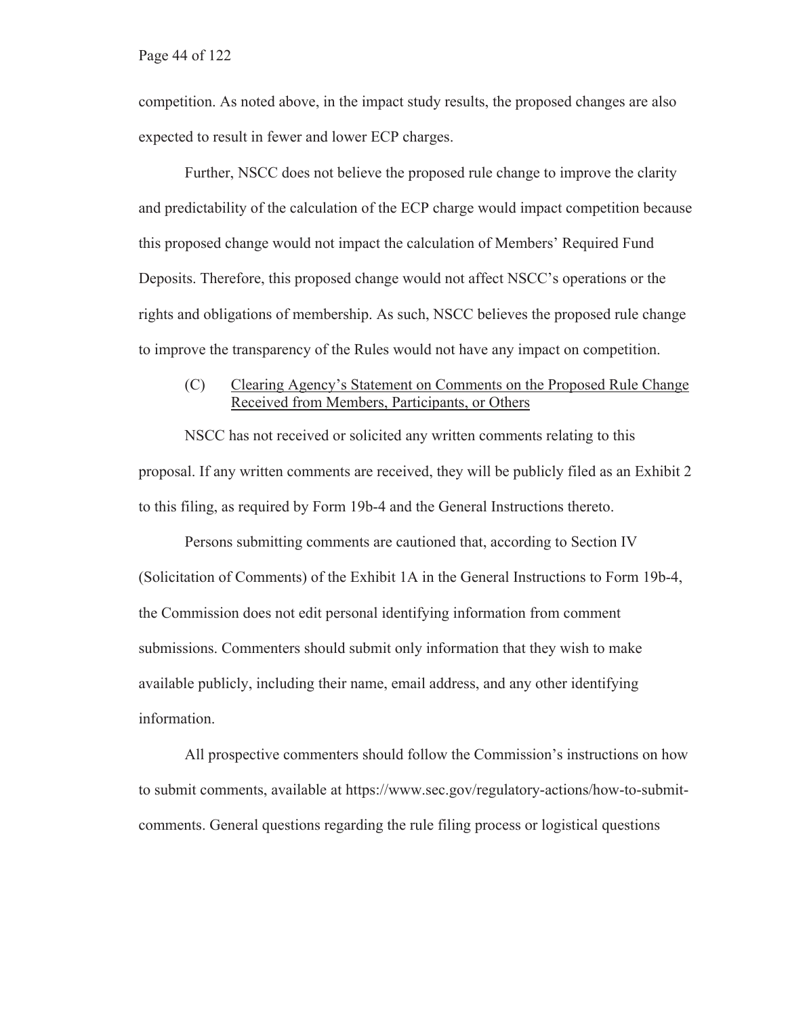competition. As noted above, in the impact study results, the proposed changes are also expected to result in fewer and lower ECP charges.

Further, NSCC does not believe the proposed rule change to improve the clarity and predictability of the calculation of the ECP charge would impact competition because this proposed change would not impact the calculation of Members' Required Fund Deposits. Therefore, this proposed change would not affect NSCC's operations or the rights and obligations of membership. As such, NSCC believes the proposed rule change to improve the transparency of the Rules would not have any impact on competition.

#### (C) Clearing Agency's Statement on Comments on the Proposed Rule Change Received from Members, Participants, or Others

NSCC has not received or solicited any written comments relating to this proposal. If any written comments are received, they will be publicly filed as an Exhibit 2 to this filing, as required by Form 19b-4 and the General Instructions thereto.

Persons submitting comments are cautioned that, according to Section IV (Solicitation of Comments) of the Exhibit 1A in the General Instructions to Form 19b-4, the Commission does not edit personal identifying information from comment submissions. Commenters should submit only information that they wish to make available publicly, including their name, email address, and any other identifying information.

All prospective commenters should follow the Commission's instructions on how to submit comments, available at https://www.sec.gov/regulatory-actions/how-to-submitcomments. General questions regarding the rule filing process or logistical questions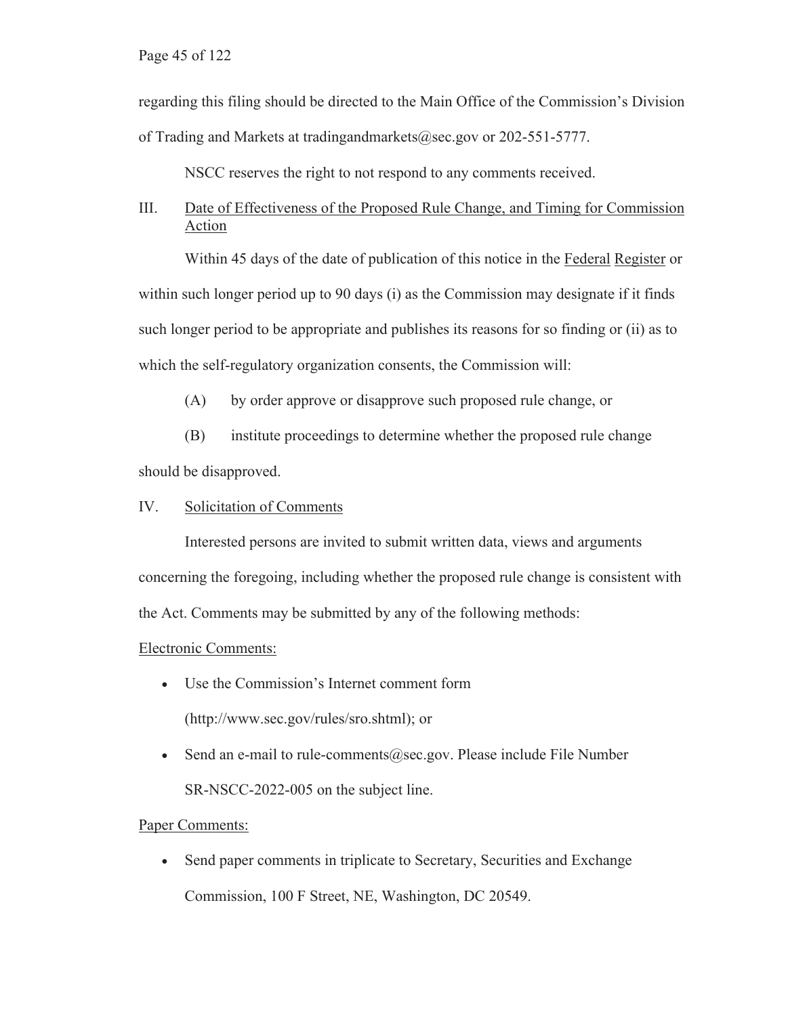Page 45 of 122

regarding this filing should be directed to the Main Office of the Commission's Division of Trading and Markets at tradingandmarkets@sec.gov or 202-551-5777.

NSCC reserves the right to not respond to any comments received.

#### III. Date of Effectiveness of the Proposed Rule Change, and Timing for Commission Action

Within 45 days of the date of publication of this notice in the Federal Register or within such longer period up to 90 days (i) as the Commission may designate if it finds such longer period to be appropriate and publishes its reasons for so finding or (ii) as to which the self-regulatory organization consents, the Commission will:

(A) by order approve or disapprove such proposed rule change, or

(B) institute proceedings to determine whether the proposed rule change should be disapproved.

IV. Solicitation of Comments

Interested persons are invited to submit written data, views and arguments concerning the foregoing, including whether the proposed rule change is consistent with the Act. Comments may be submitted by any of the following methods:

#### Electronic Comments:

- Use the Commission's Internet comment form (http://www.sec.gov/rules/sro.shtml); or
- Send an e-mail to rule-comments  $@sec.gov$ . Please include File Number SR-NSCC-2022-005 on the subject line.

#### Paper Comments:

• Send paper comments in triplicate to Secretary, Securities and Exchange Commission, 100 F Street, NE, Washington, DC 20549.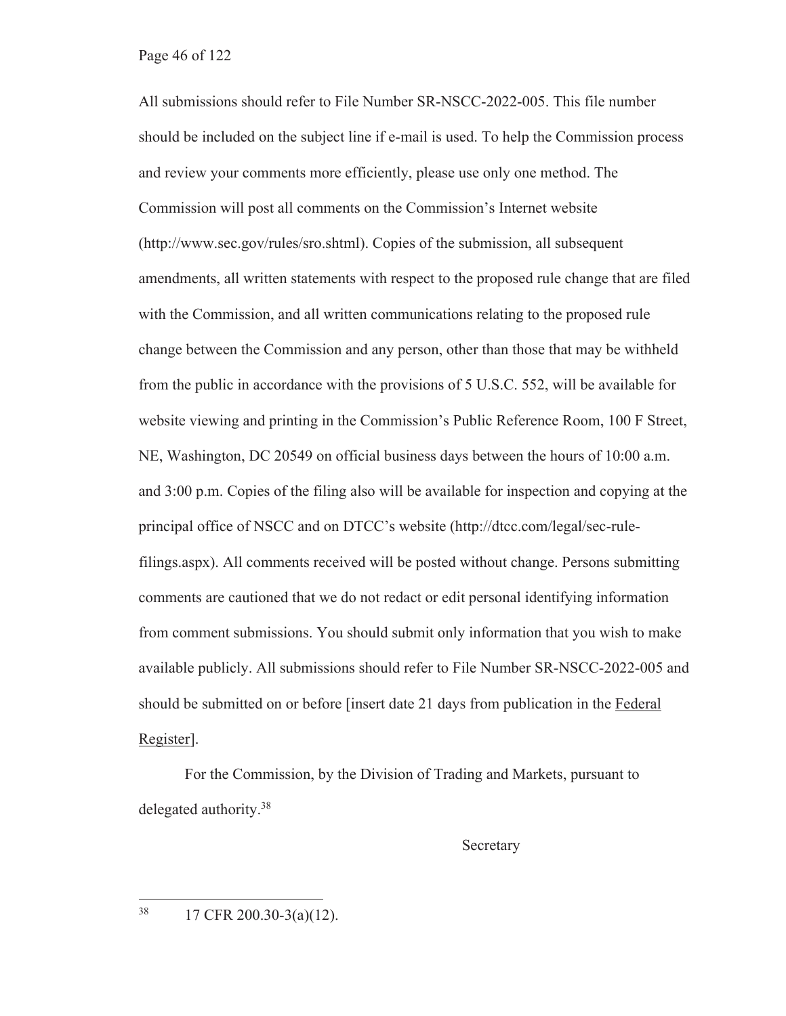All submissions should refer to File Number SR-NSCC-2022-005. This file number should be included on the subject line if e-mail is used. To help the Commission process and review your comments more efficiently, please use only one method. The Commission will post all comments on the Commission's Internet website (http://www.sec.gov/rules/sro.shtml). Copies of the submission, all subsequent amendments, all written statements with respect to the proposed rule change that are filed with the Commission, and all written communications relating to the proposed rule change between the Commission and any person, other than those that may be withheld from the public in accordance with the provisions of 5 U.S.C. 552, will be available for website viewing and printing in the Commission's Public Reference Room, 100 F Street, NE, Washington, DC 20549 on official business days between the hours of 10:00 a.m. and 3:00 p.m. Copies of the filing also will be available for inspection and copying at the principal office of NSCC and on DTCC's website (http://dtcc.com/legal/sec-rulefilings.aspx). All comments received will be posted without change. Persons submitting comments are cautioned that we do not redact or edit personal identifying information from comment submissions. You should submit only information that you wish to make available publicly. All submissions should refer to File Number SR-NSCC-2022-005 and should be submitted on or before [insert date 21 days from publication in the Federal Register].

For the Commission, by the Division of Trading and Markets, pursuant to delegated authority.<sup>38</sup>

Secretary

38 17 CFR 200.30-3(a)(12).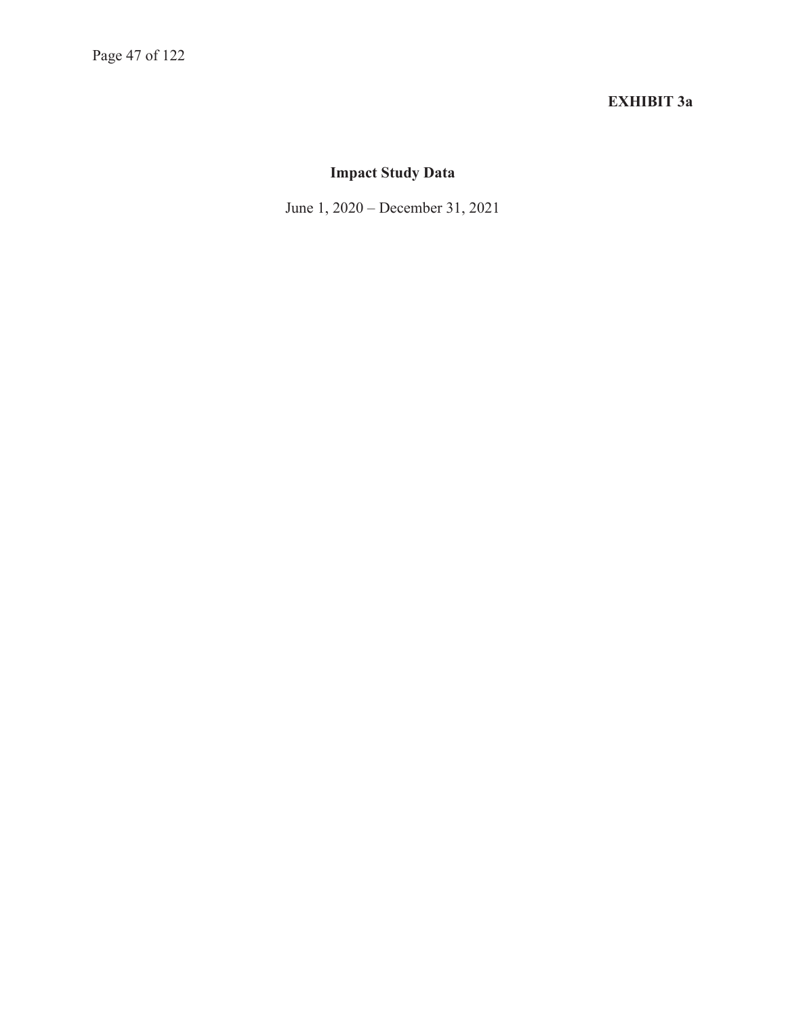# **EXHIBIT 3a**

# **Impact Study Data**

June 1, 2020 – December 31, 2021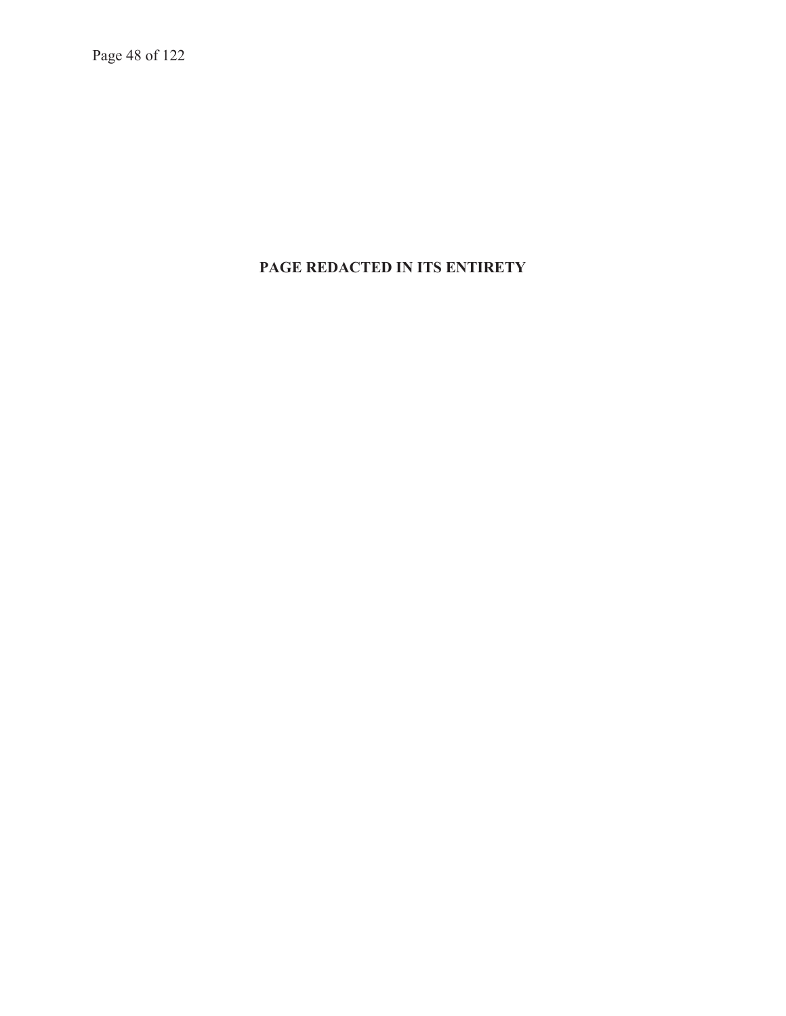Page 48 of 122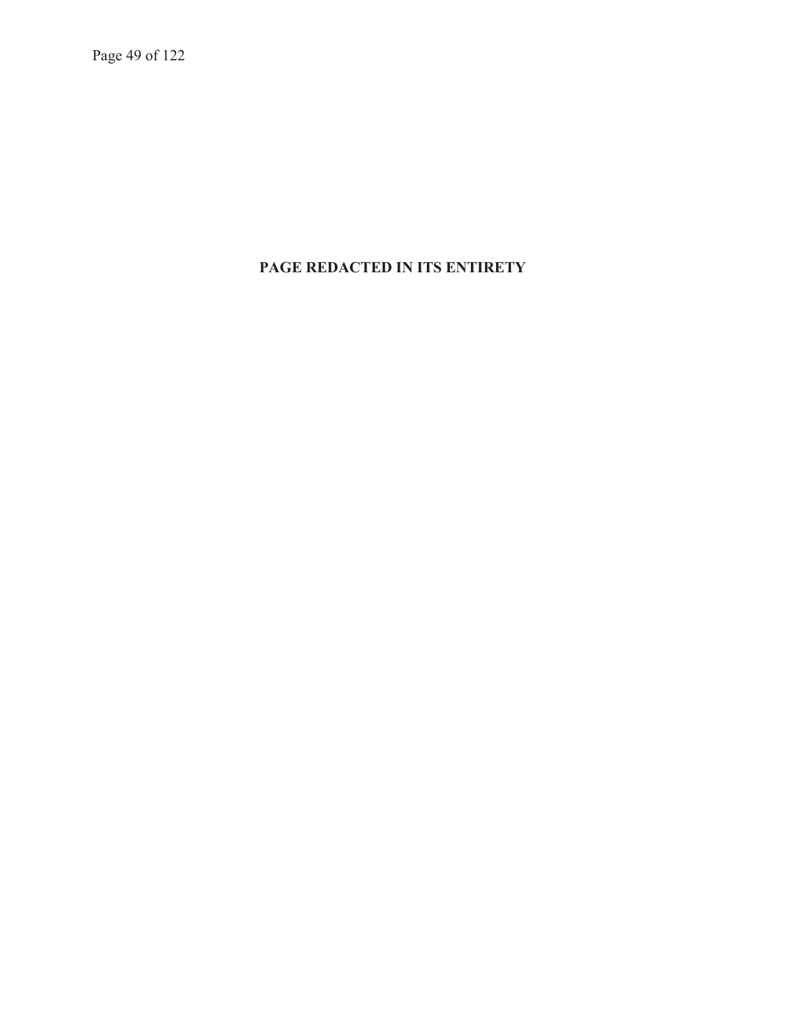Page 49 of 122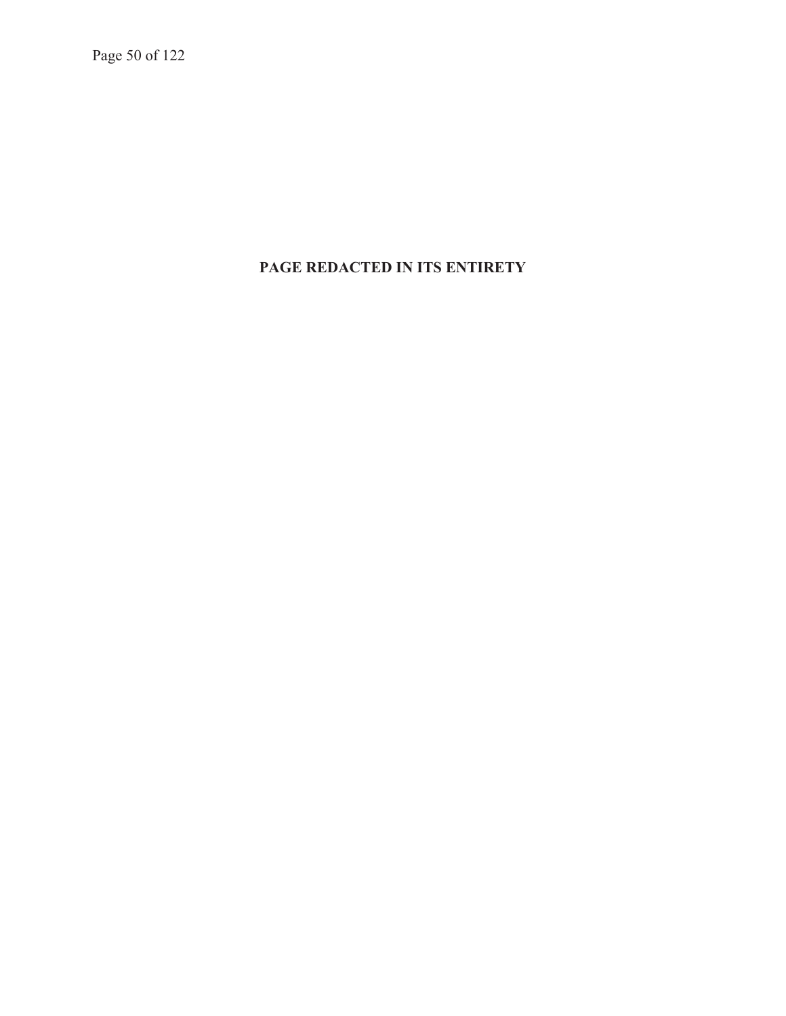Page 50 of 122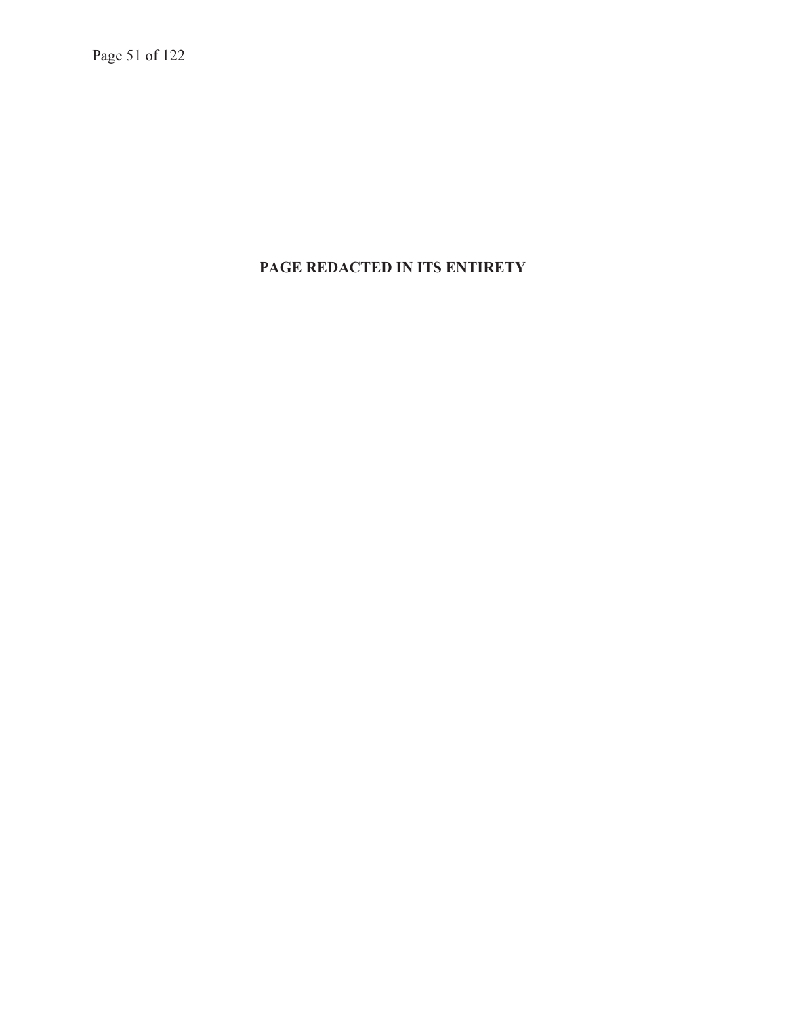Page 51 of 122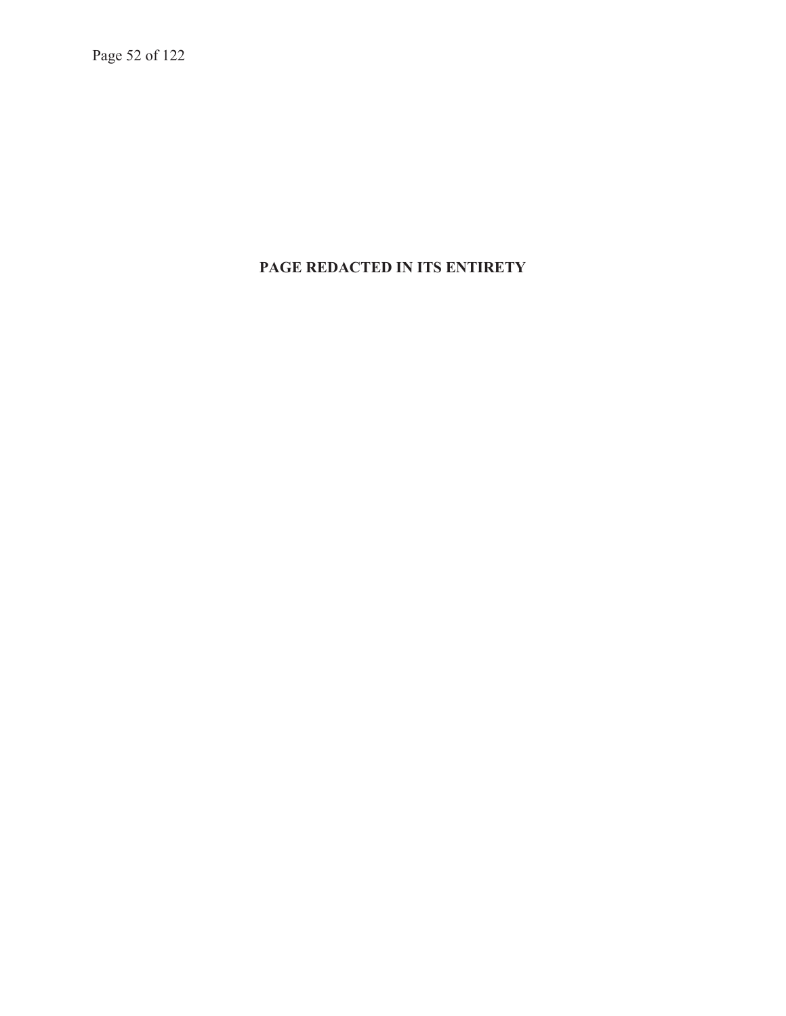Page 52 of 122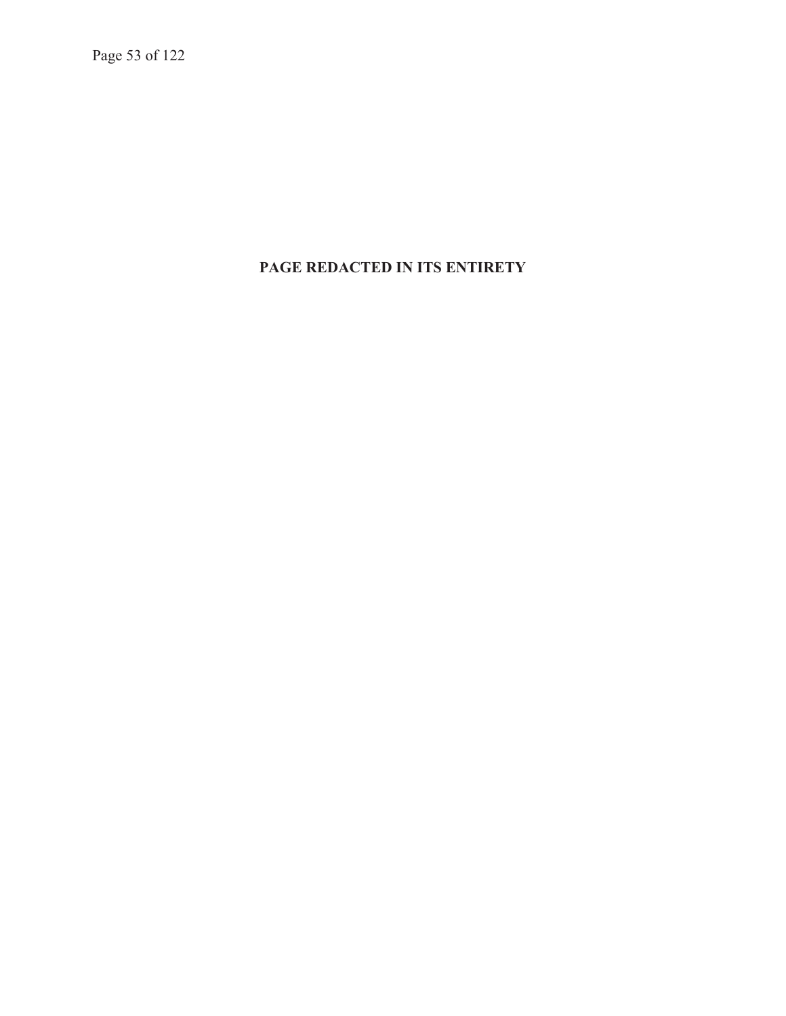Page 53 of 122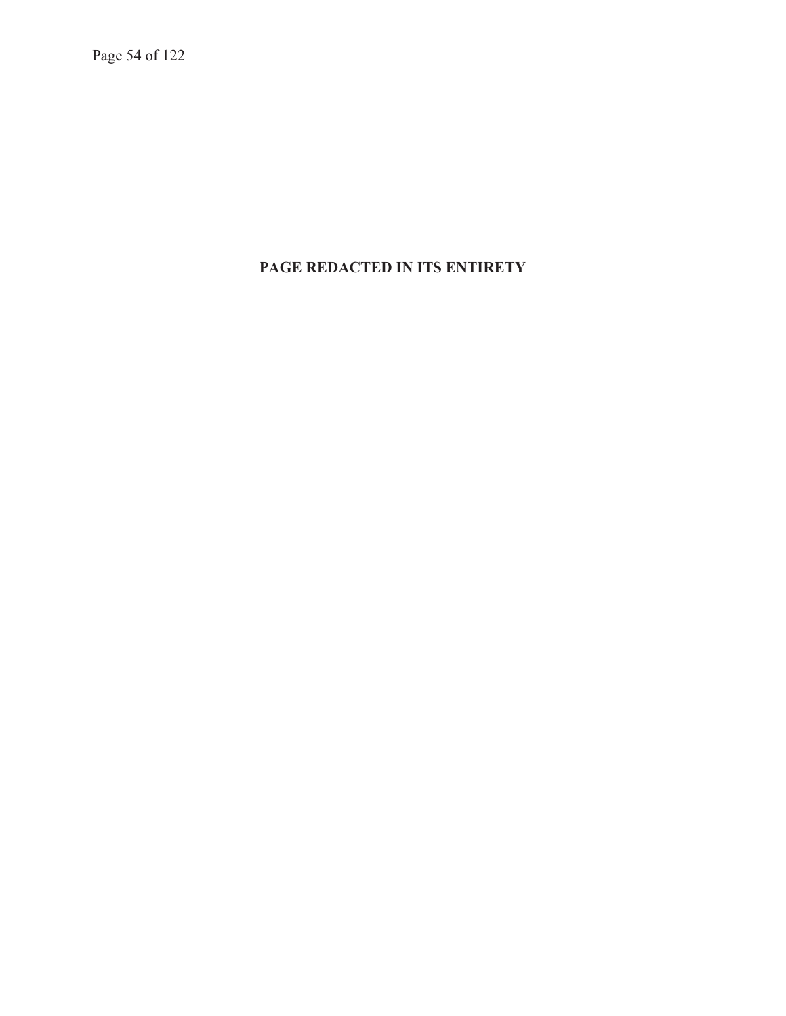Page 54 of 122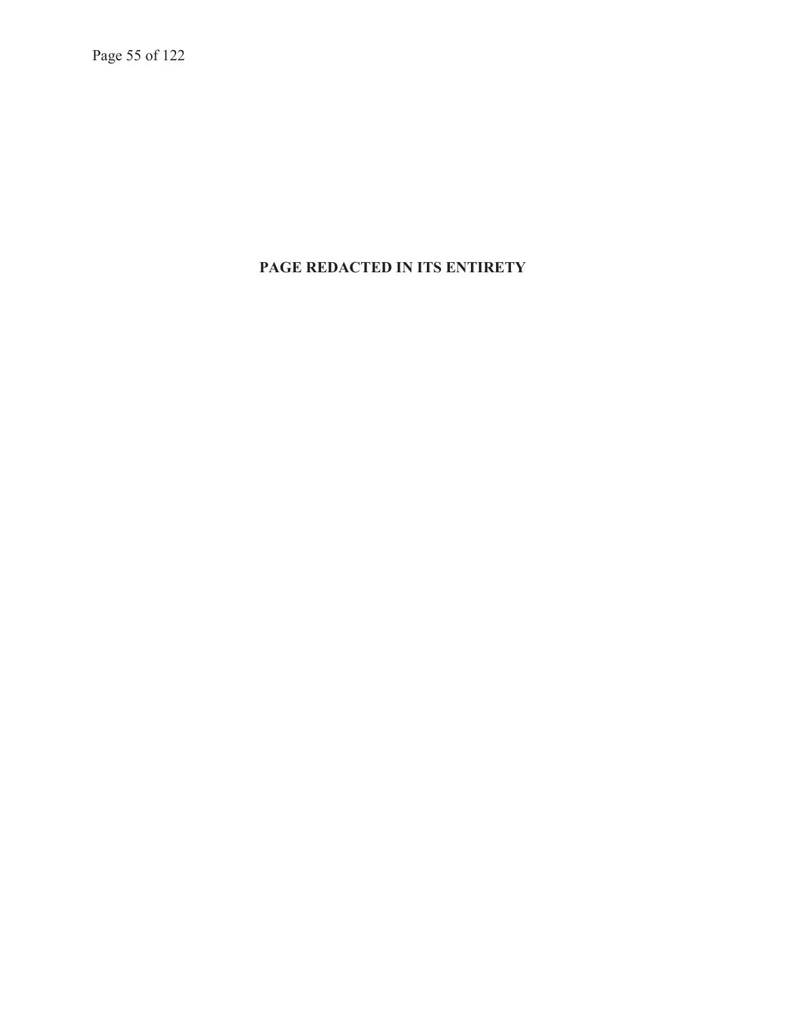Page 55 of 122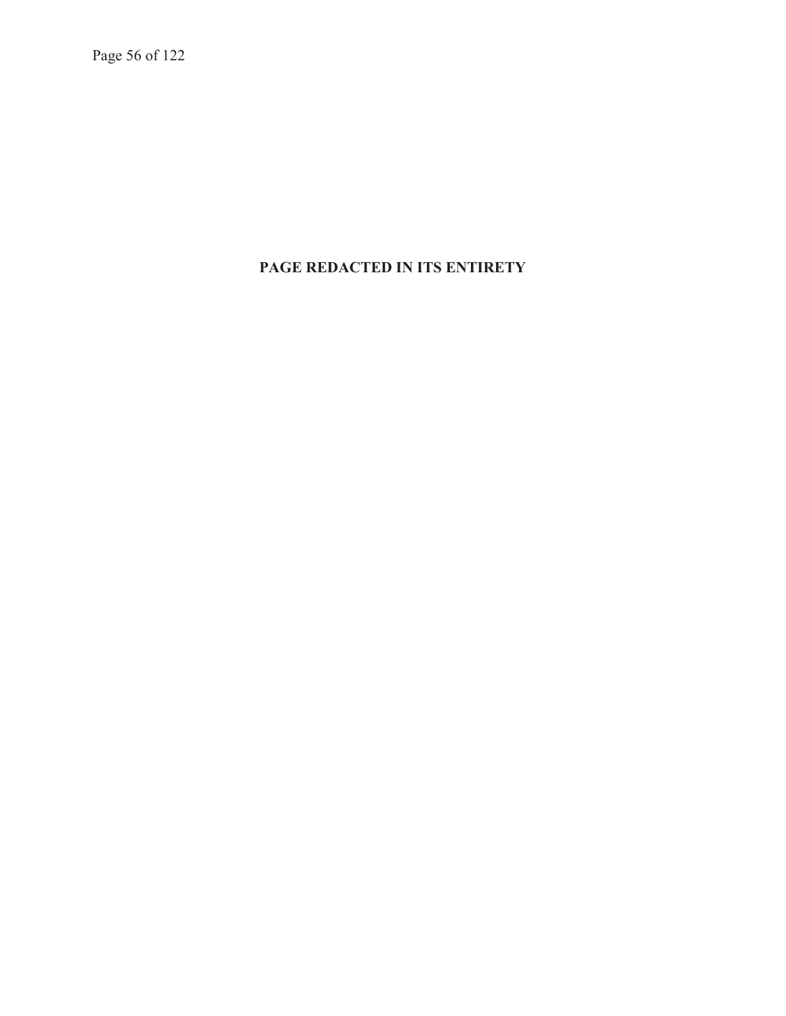Page 56 of 122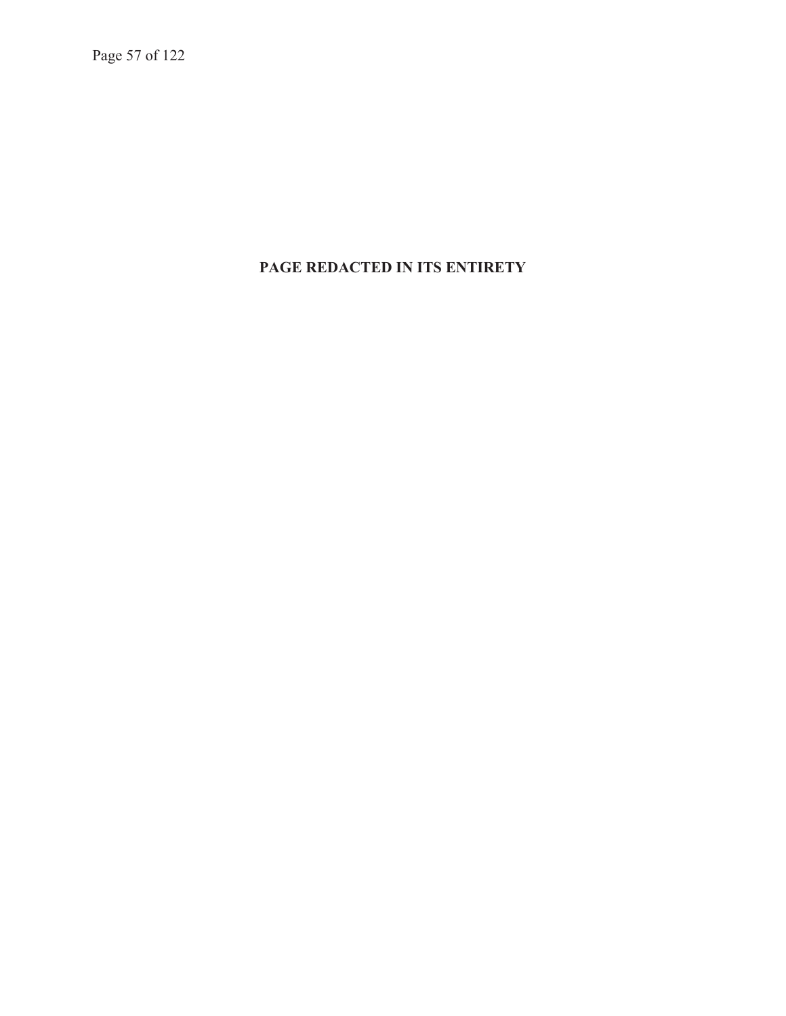Page 57 of 122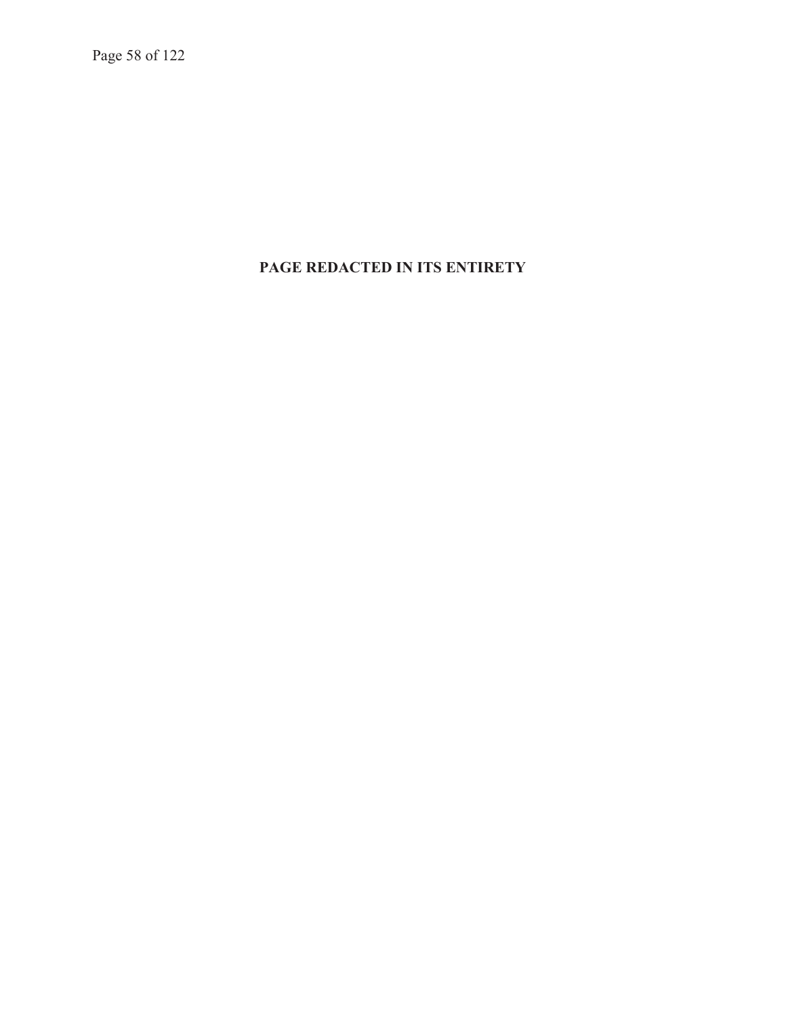Page 58 of 122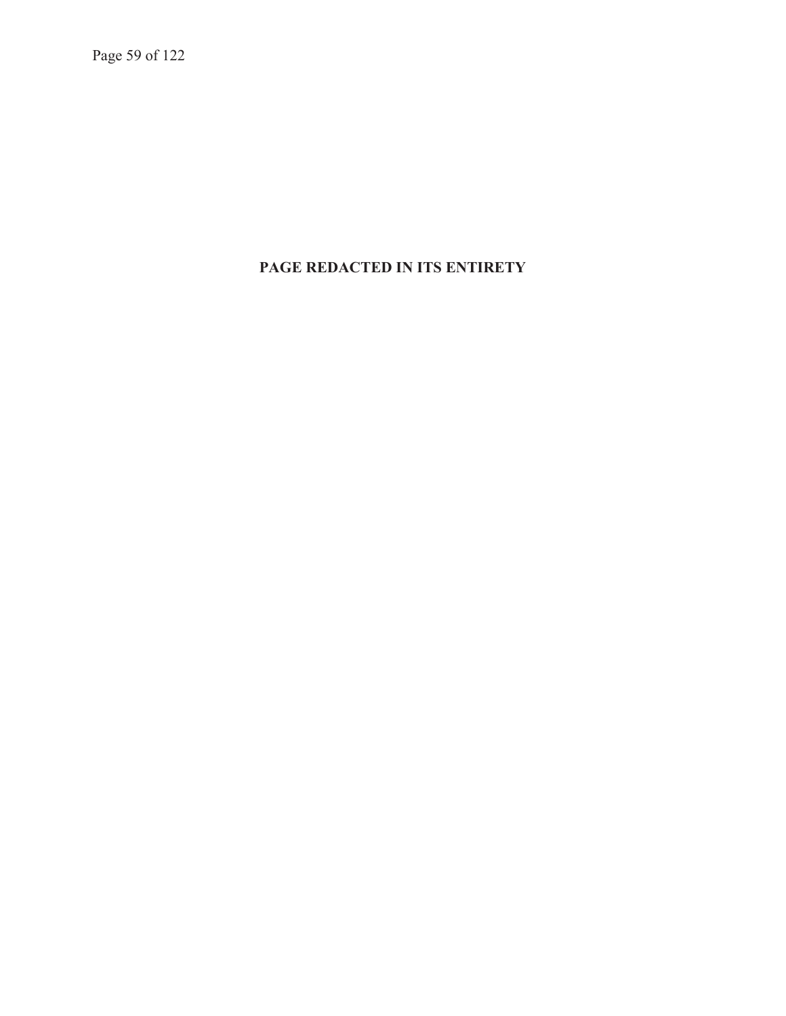Page 59 of 122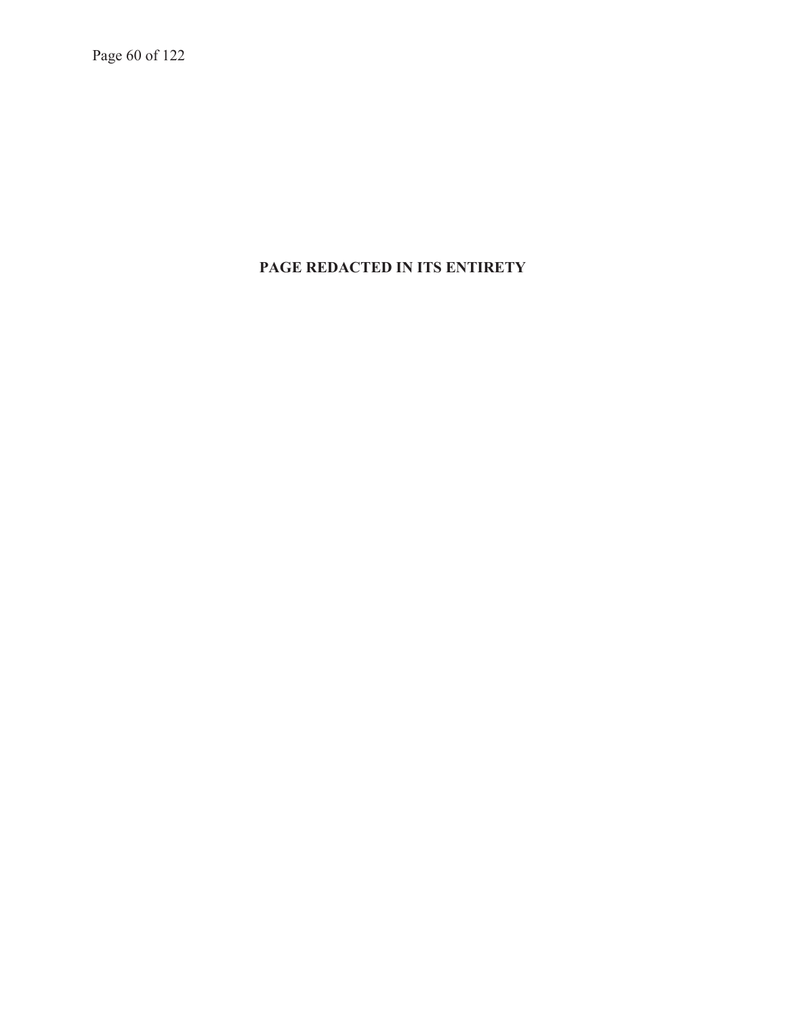Page 60 of 122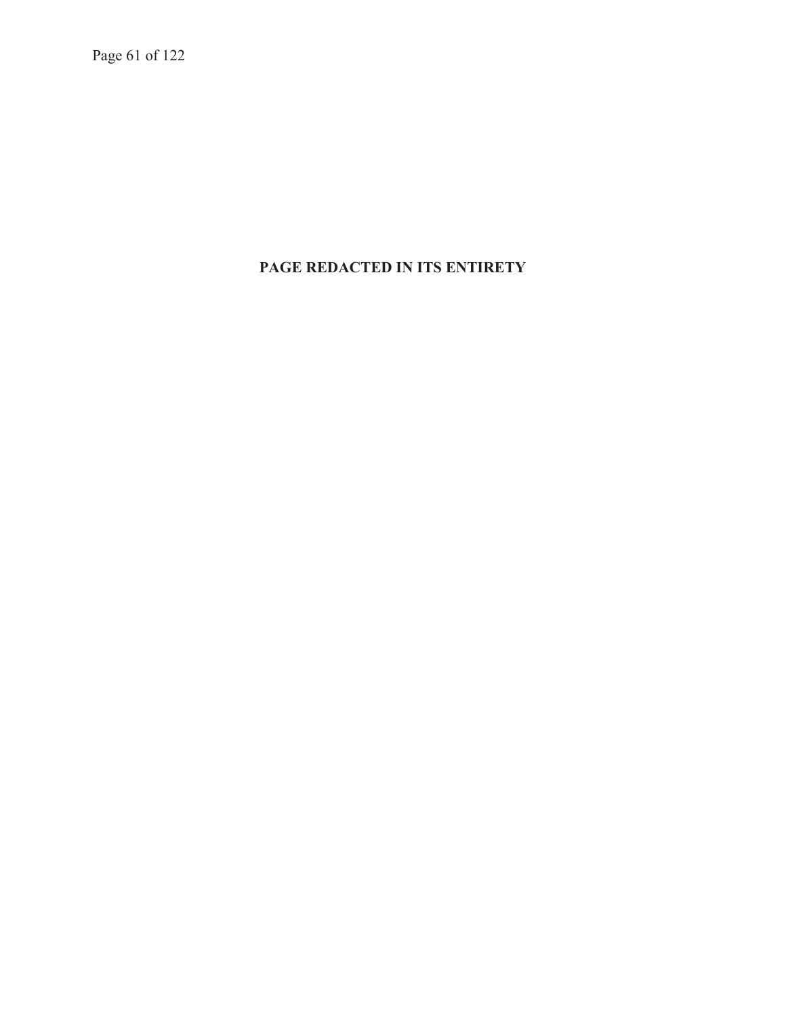Page 61 of 122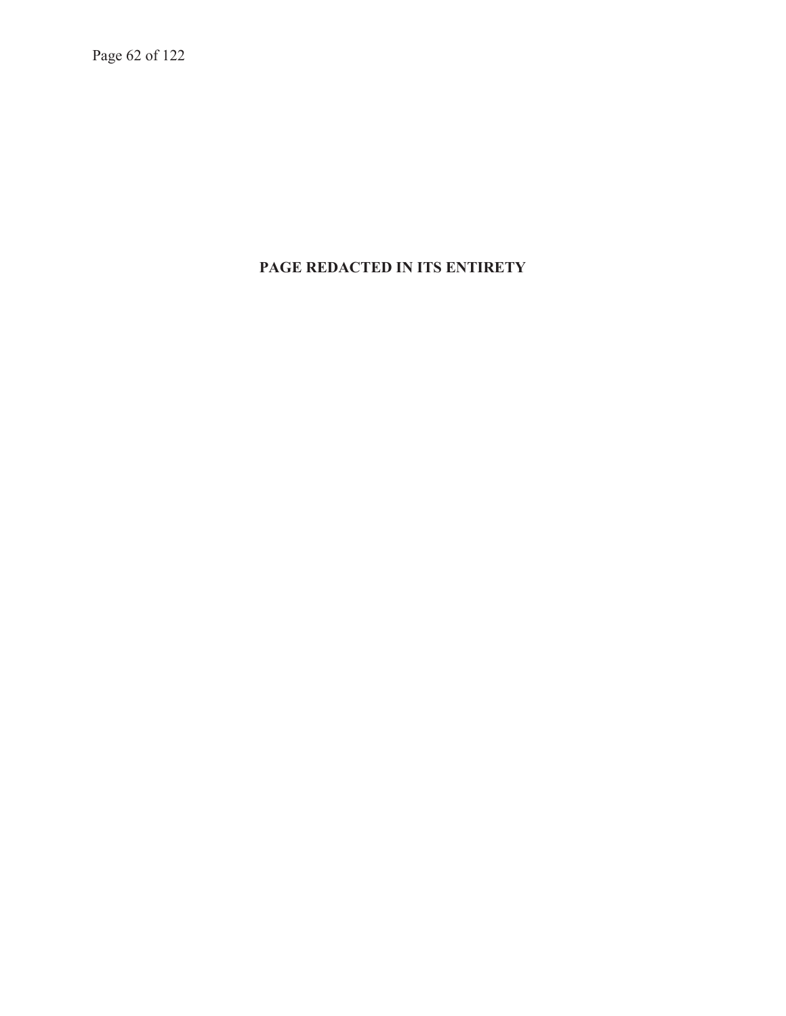Page 62 of 122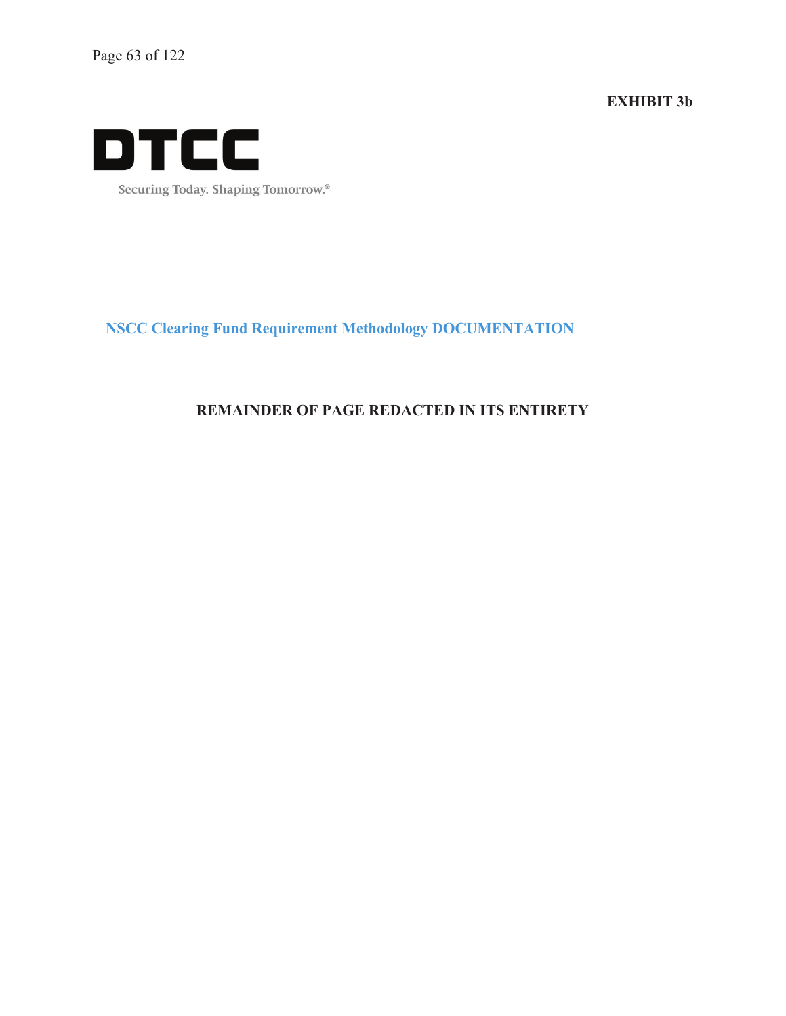**EXHIBIT 3b** 



Securing Today. Shaping Tomorrow.®

**NSCC Clearing Fund Requirement Methodology DOCUMENTATION**

#### **REMAINDER OF PAGE REDACTED IN ITS ENTIRETY**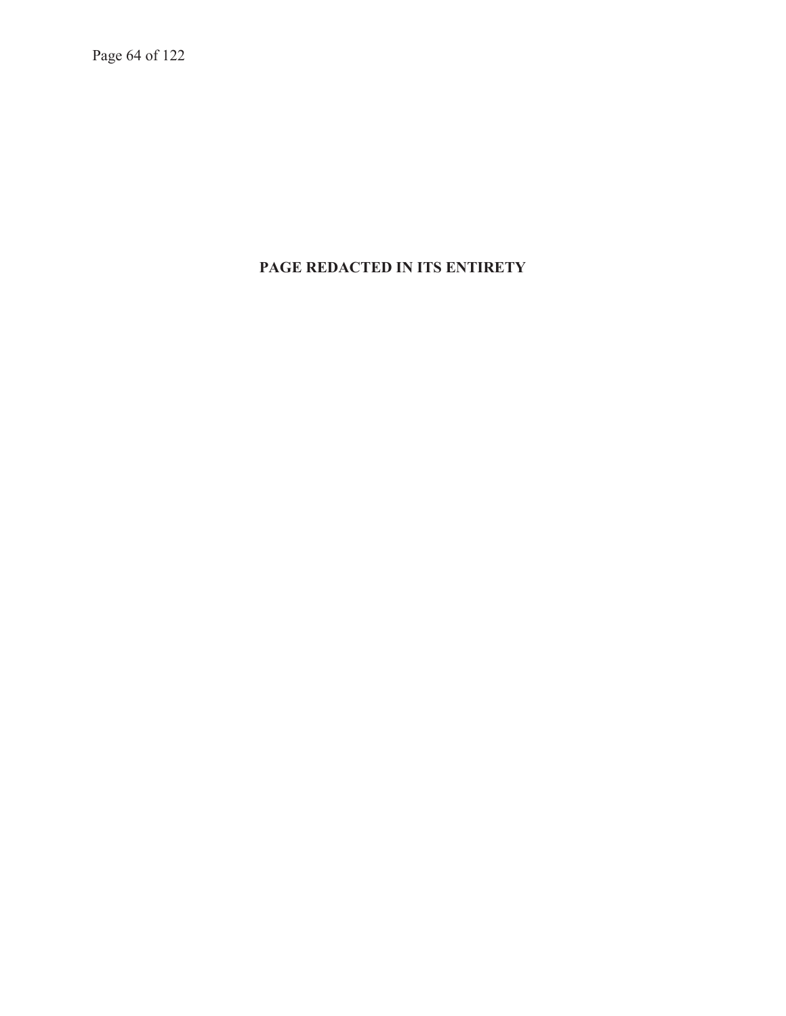Page 64 of 122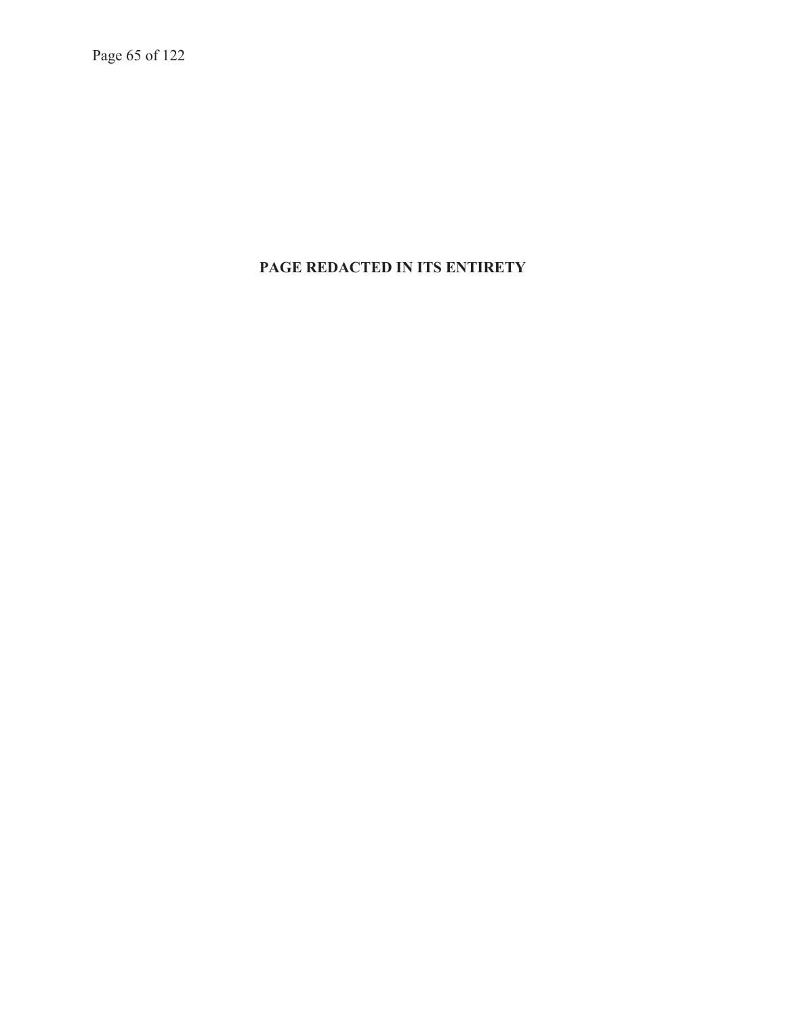Page 65 of 122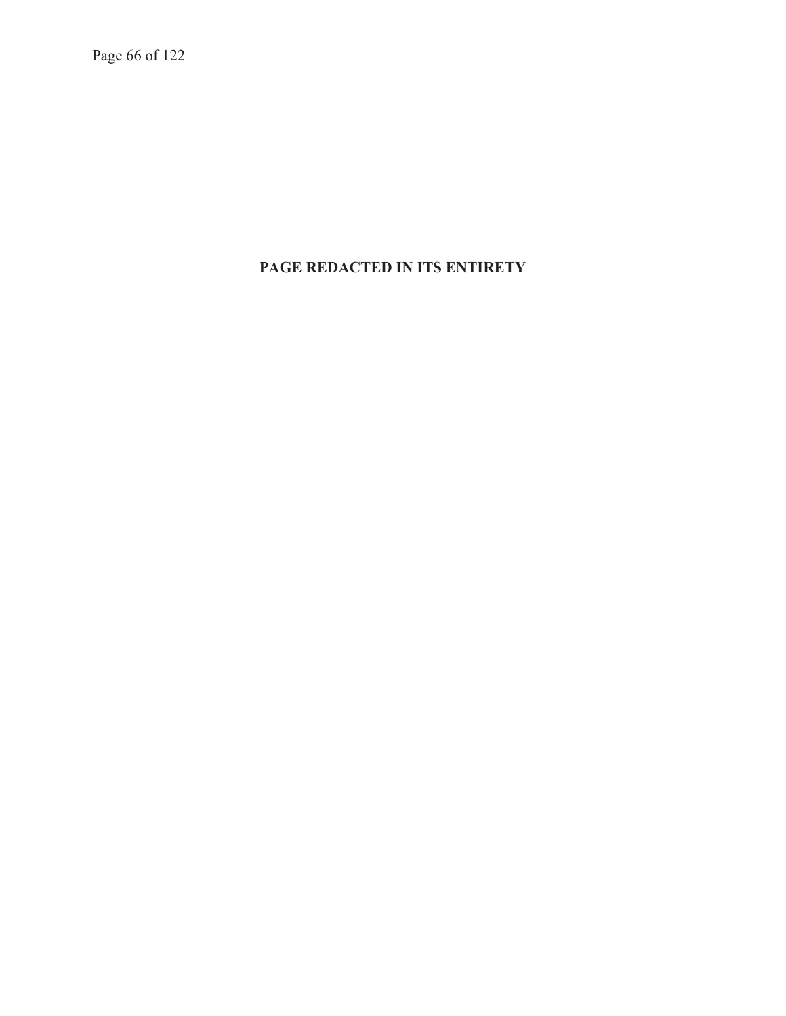Page 66 of 122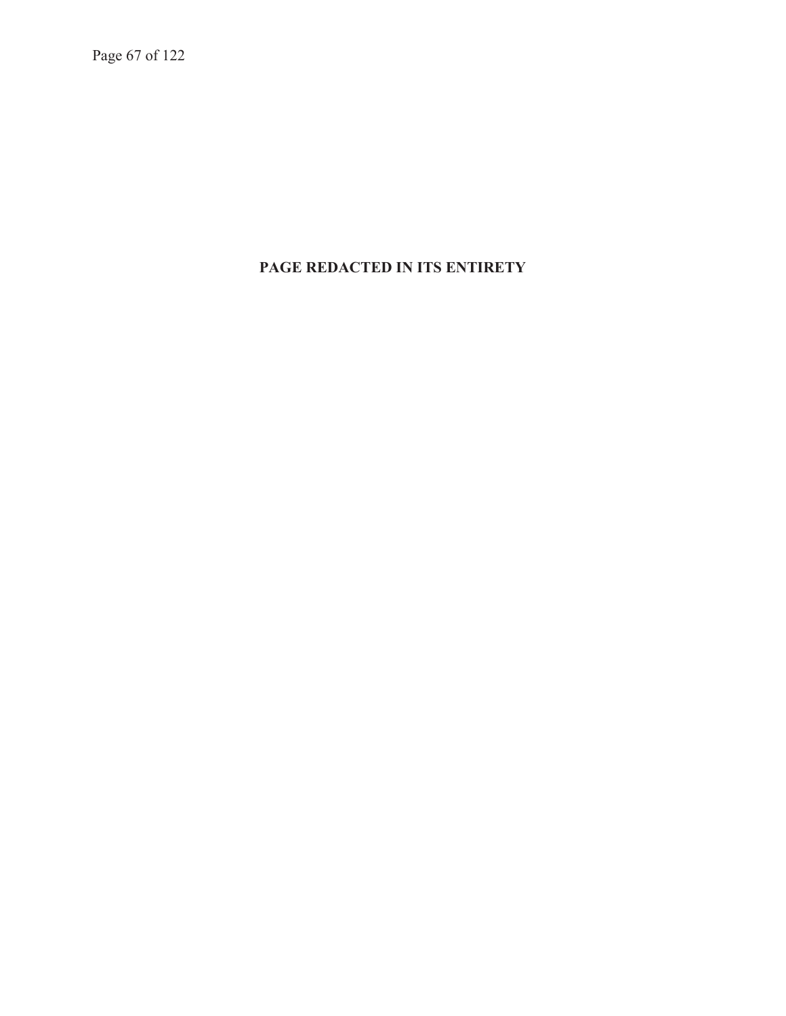Page 67 of 122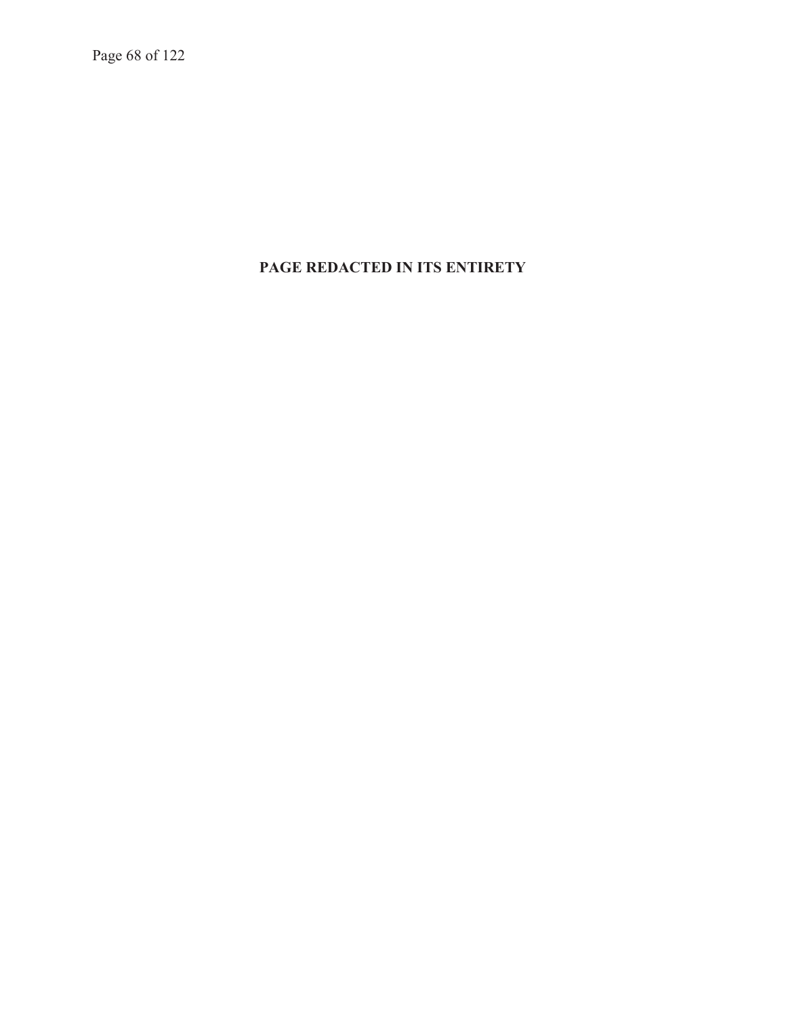Page 68 of 122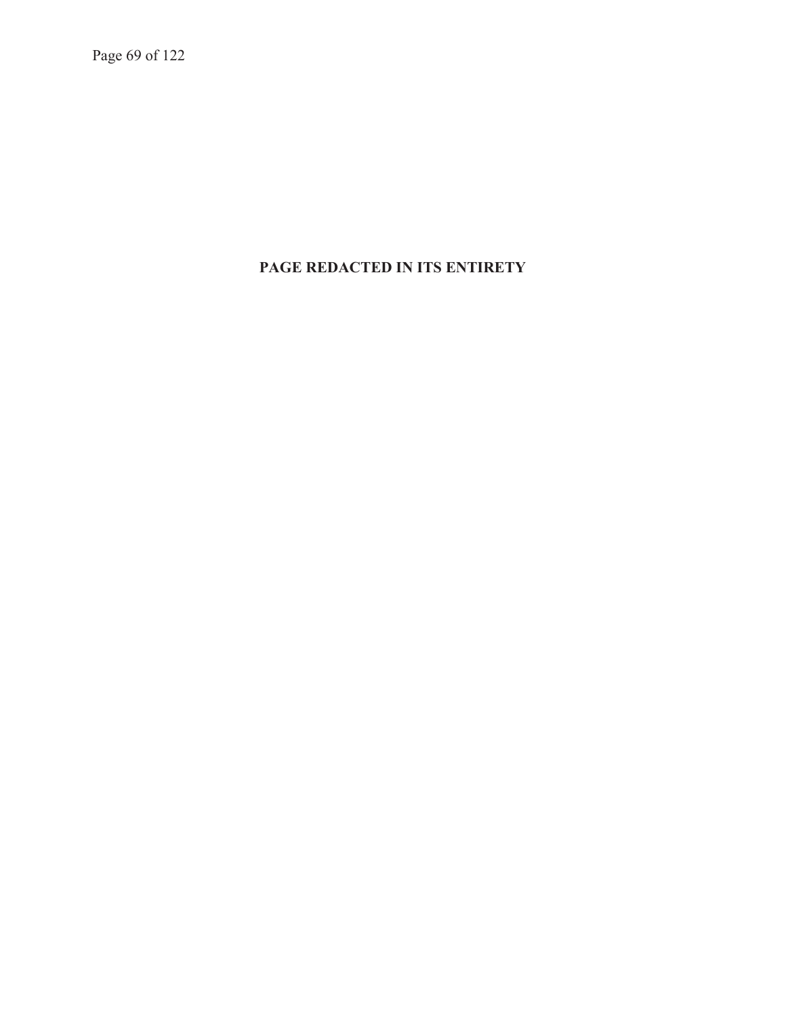Page 69 of 122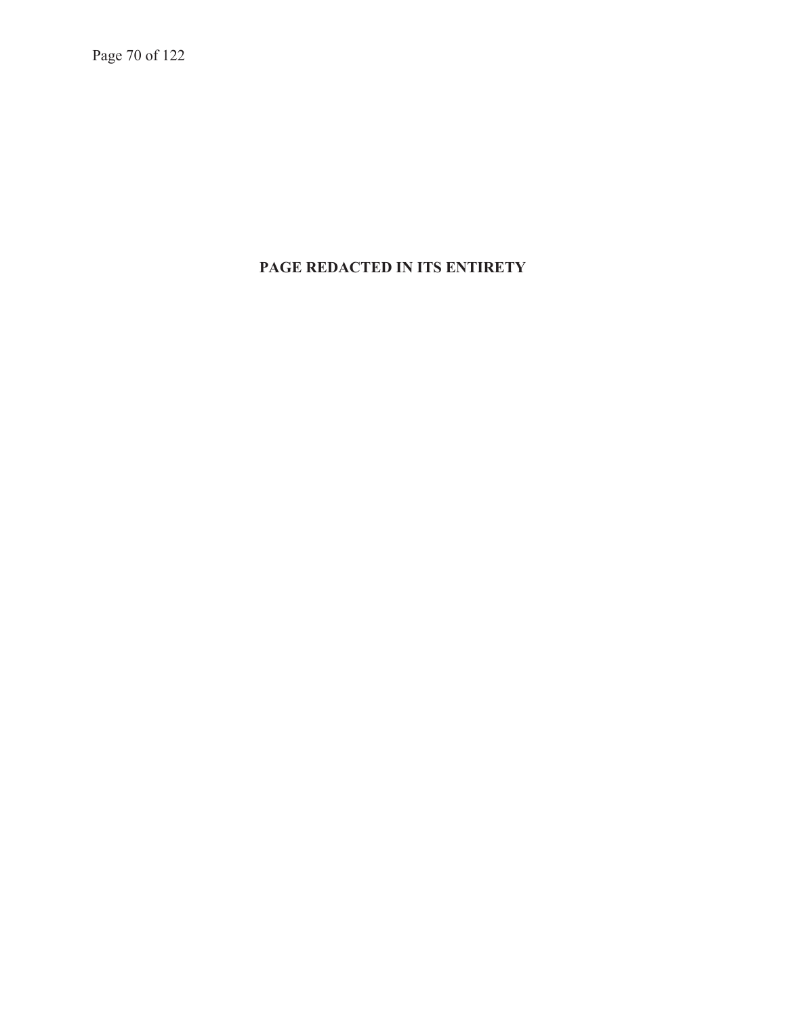Page 70 of 122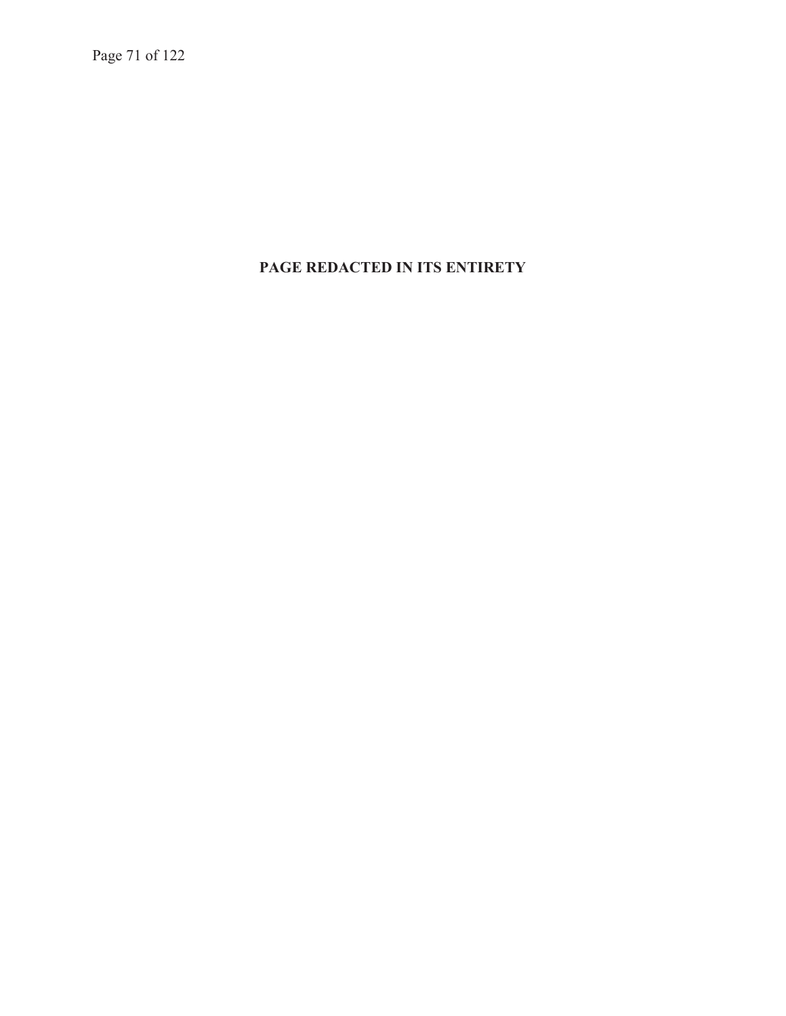Page 71 of 122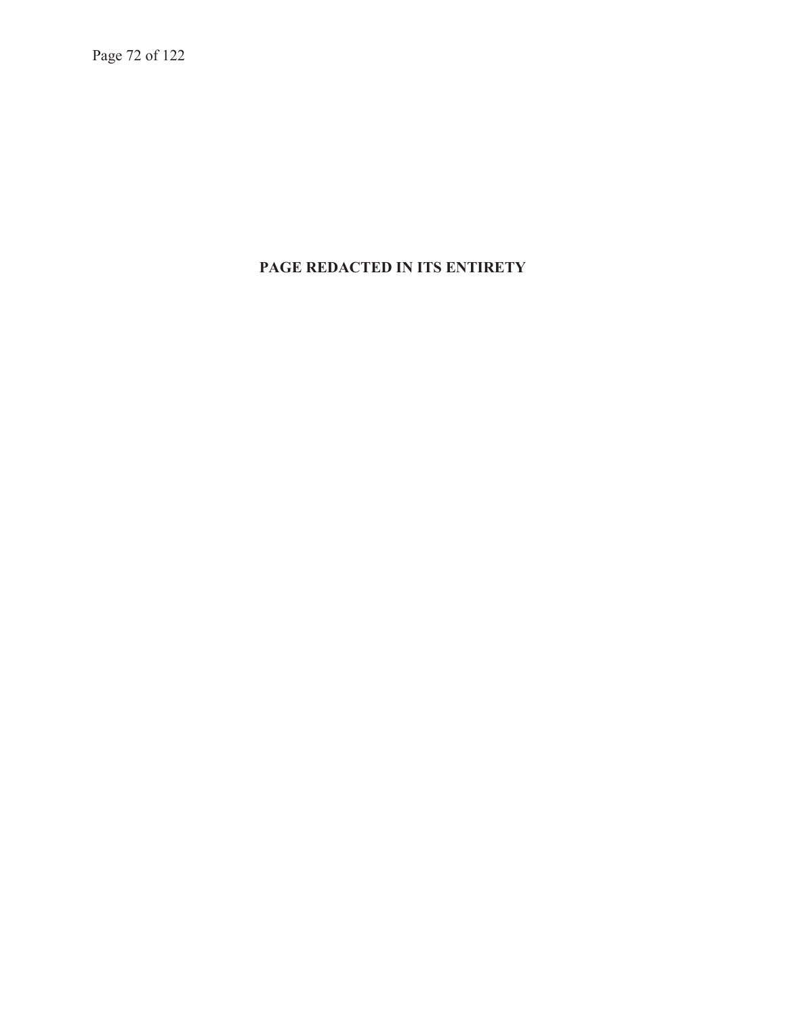Page 72 of 122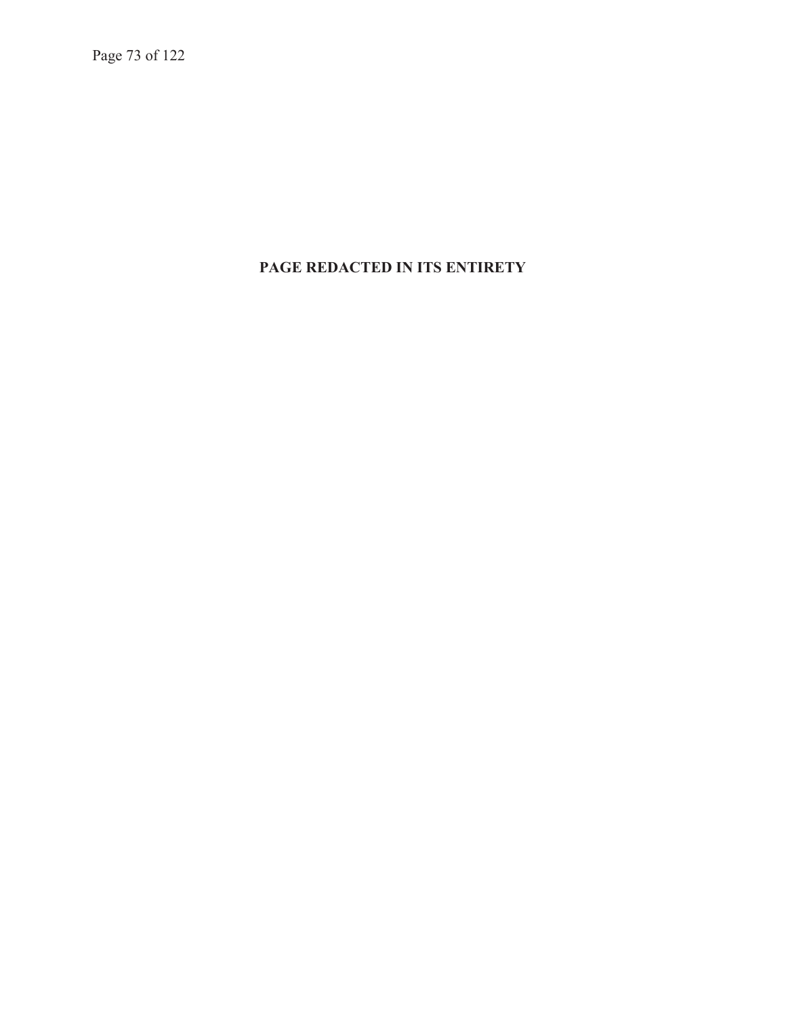Page 73 of 122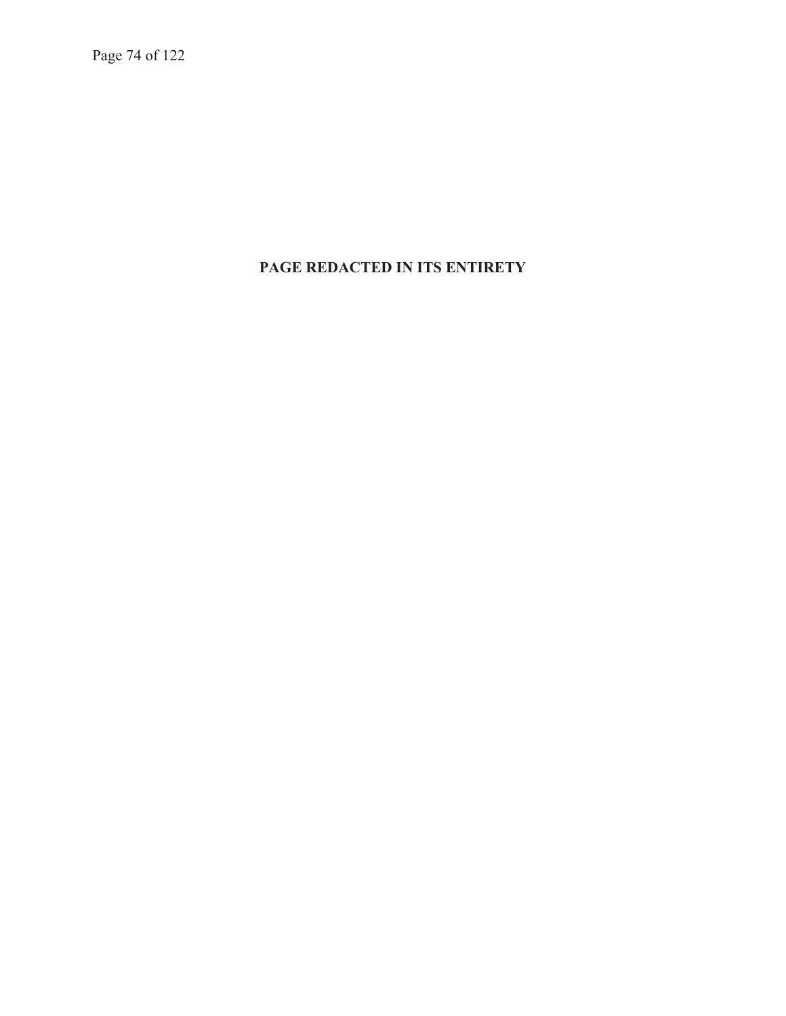Page 74 of 122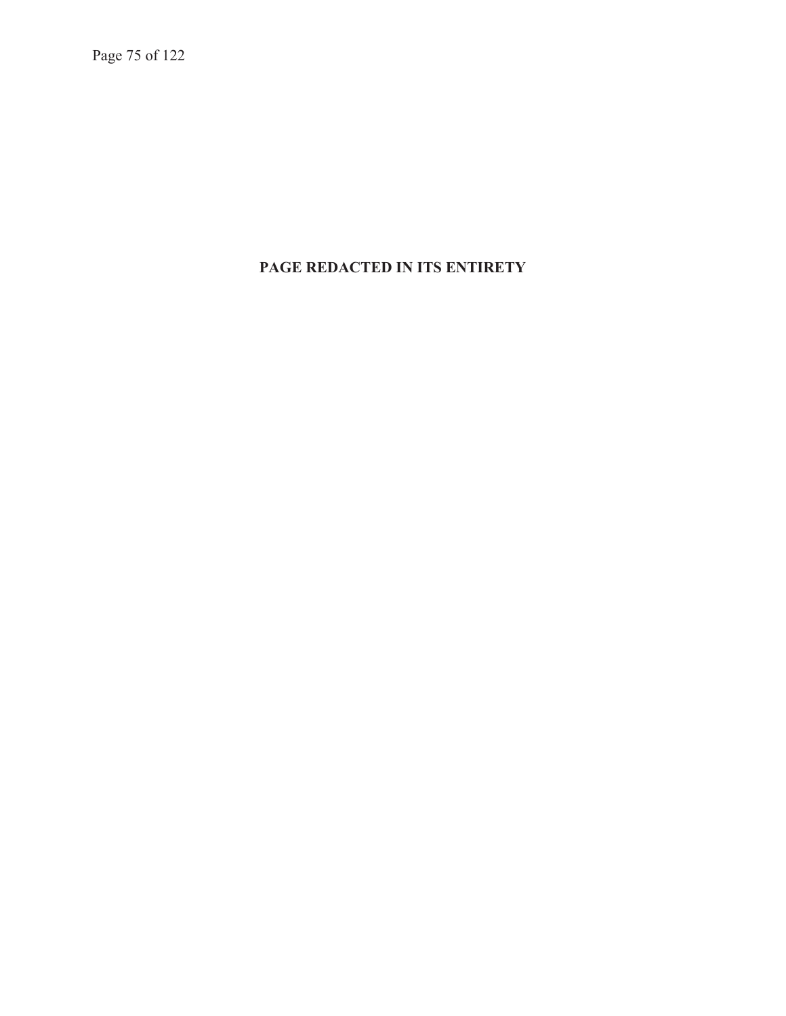Page 75 of 122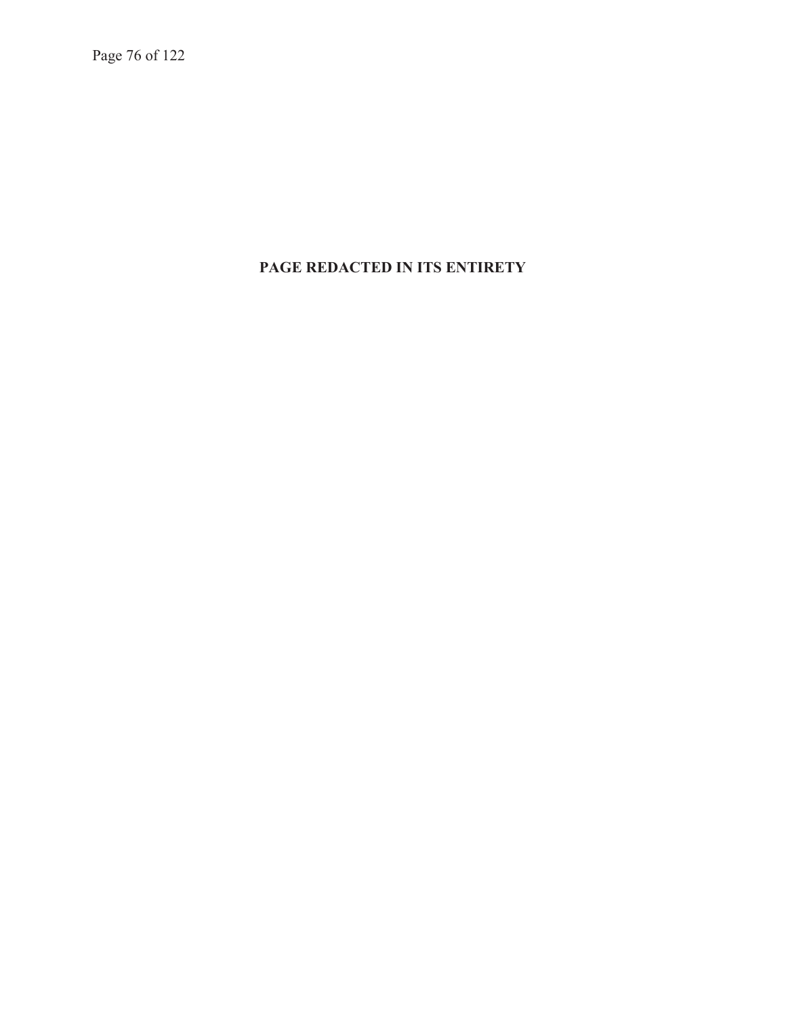Page 76 of 122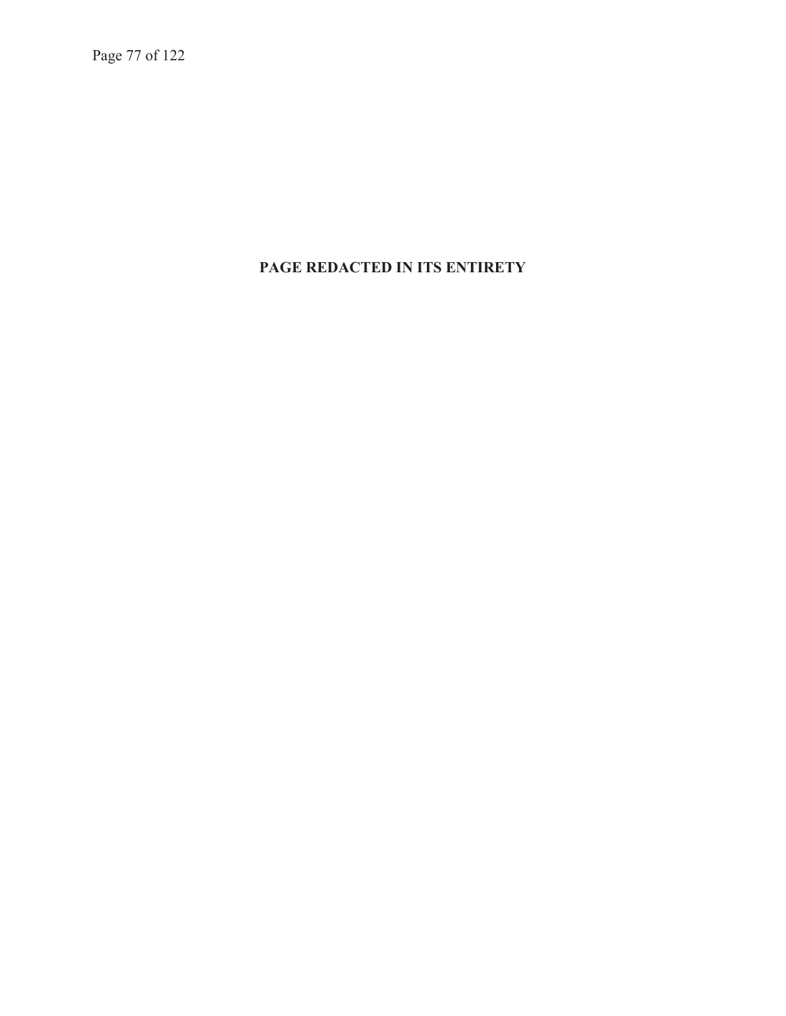Page 77 of 122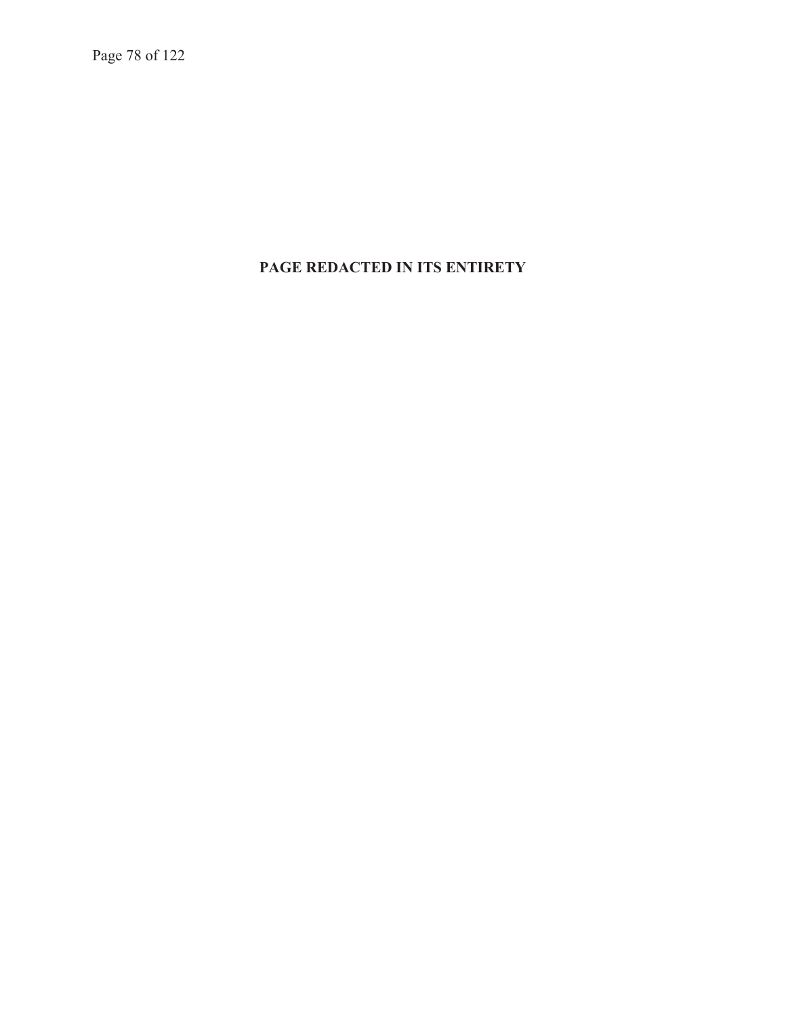Page 78 of 122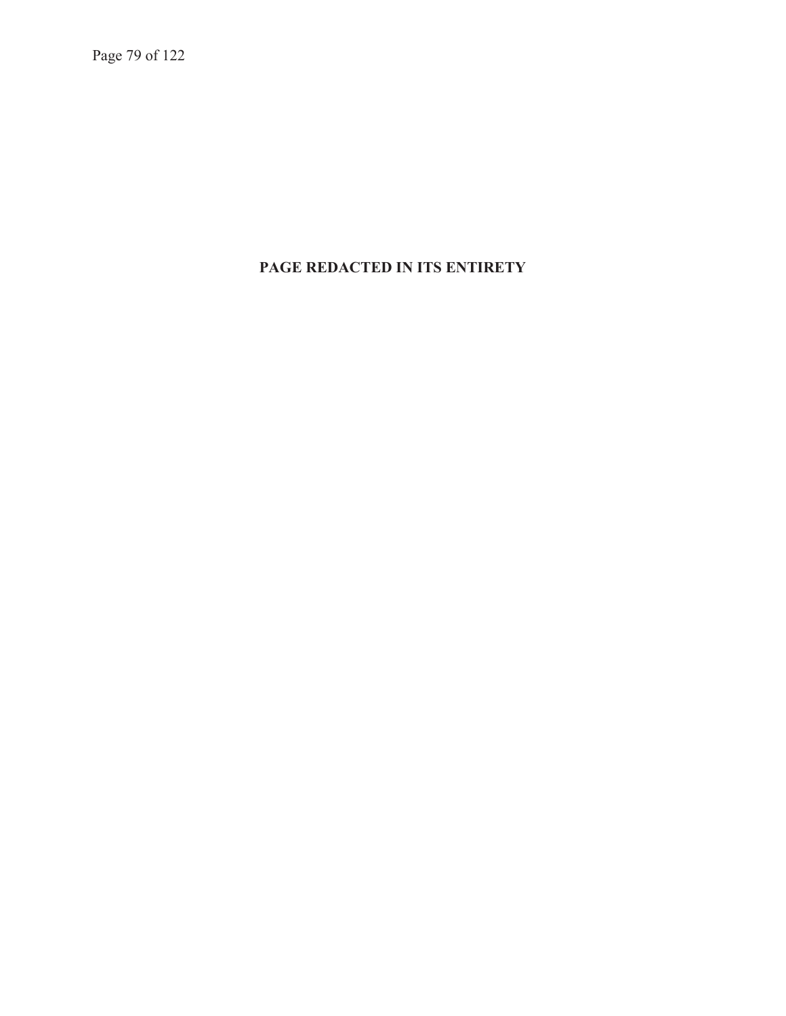Page 79 of 122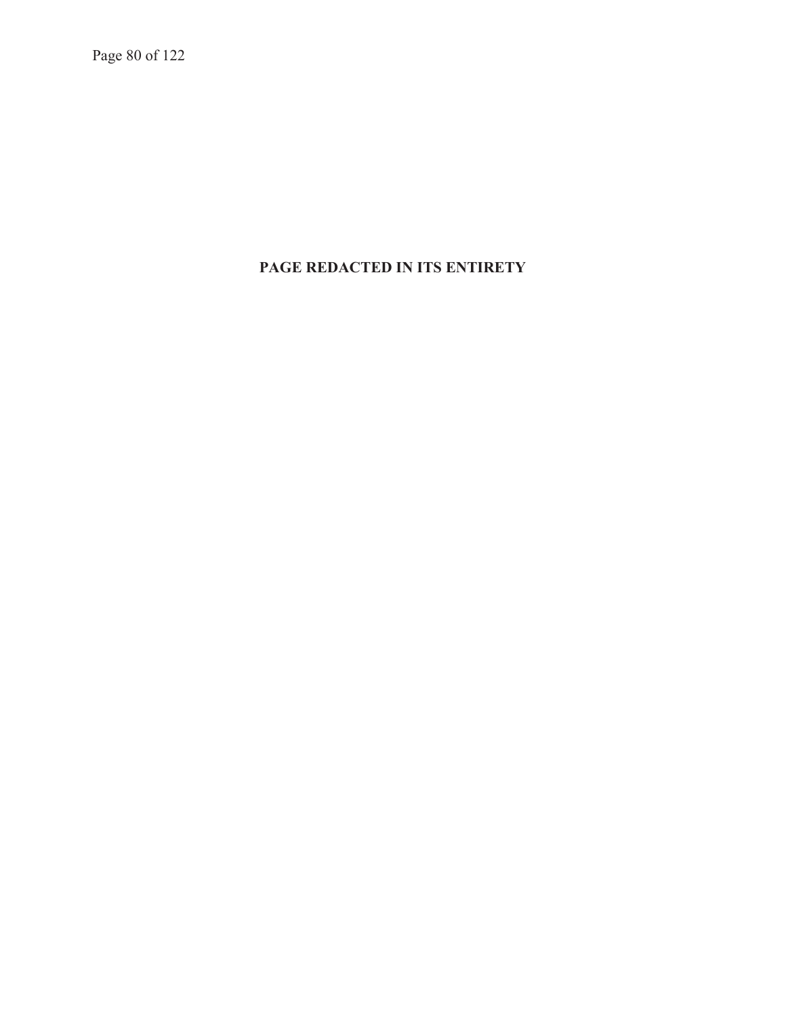Page 80 of 122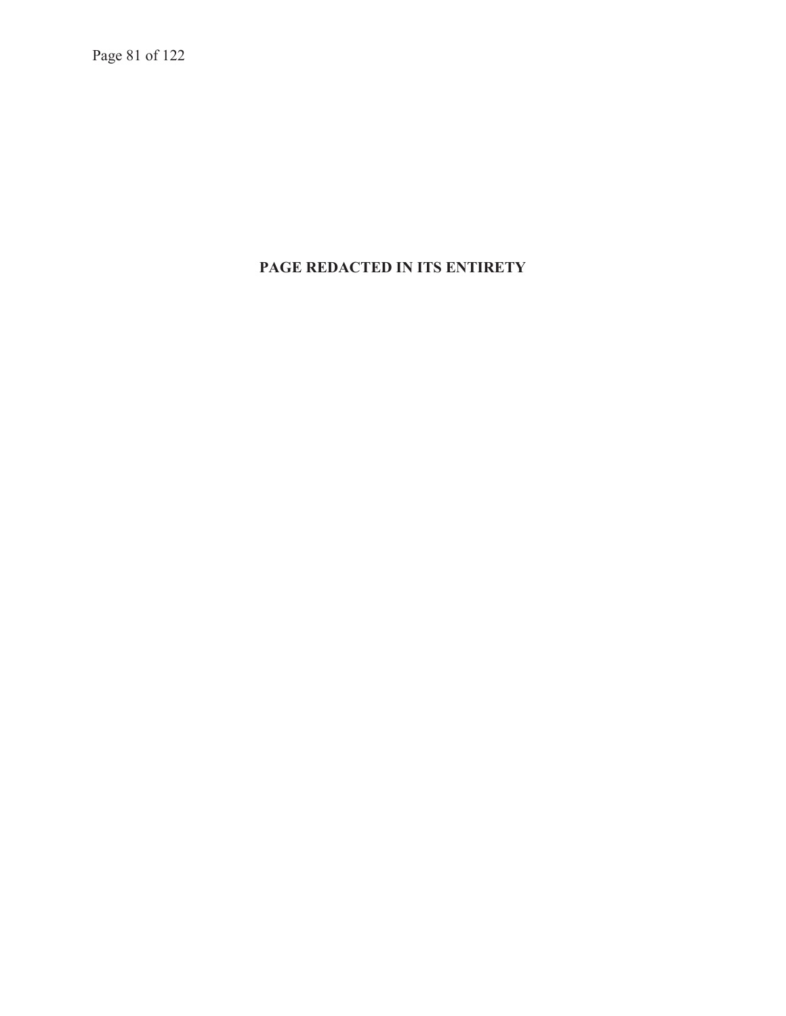Page 81 of 122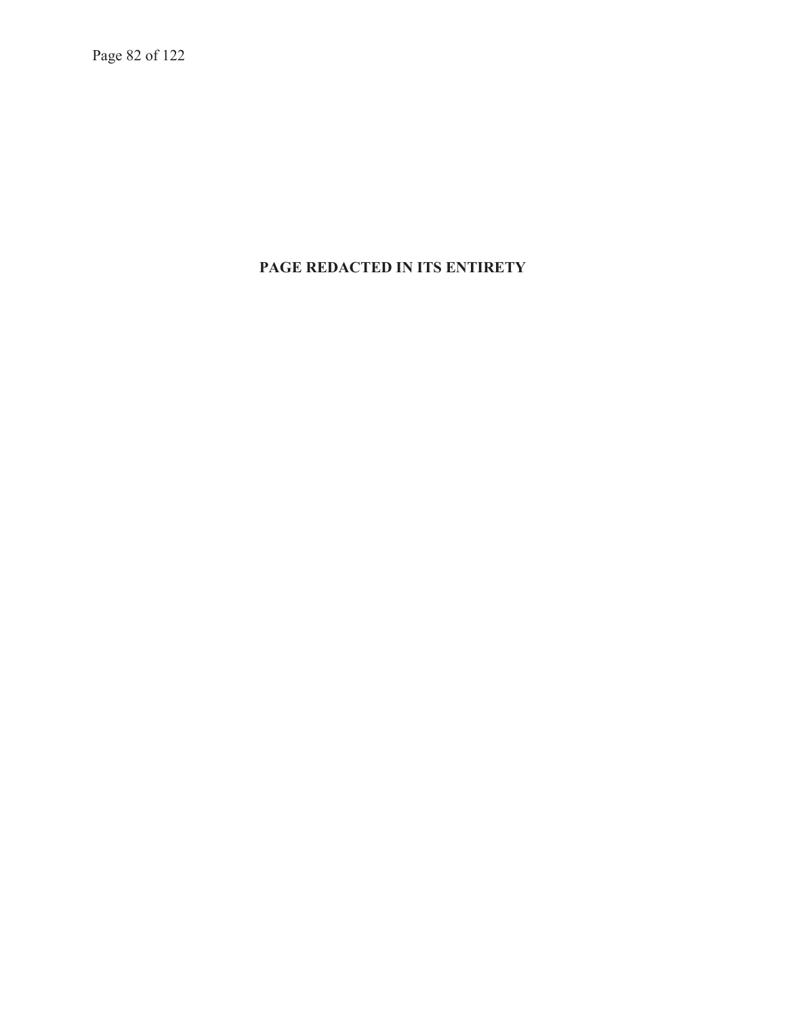Page 82 of 122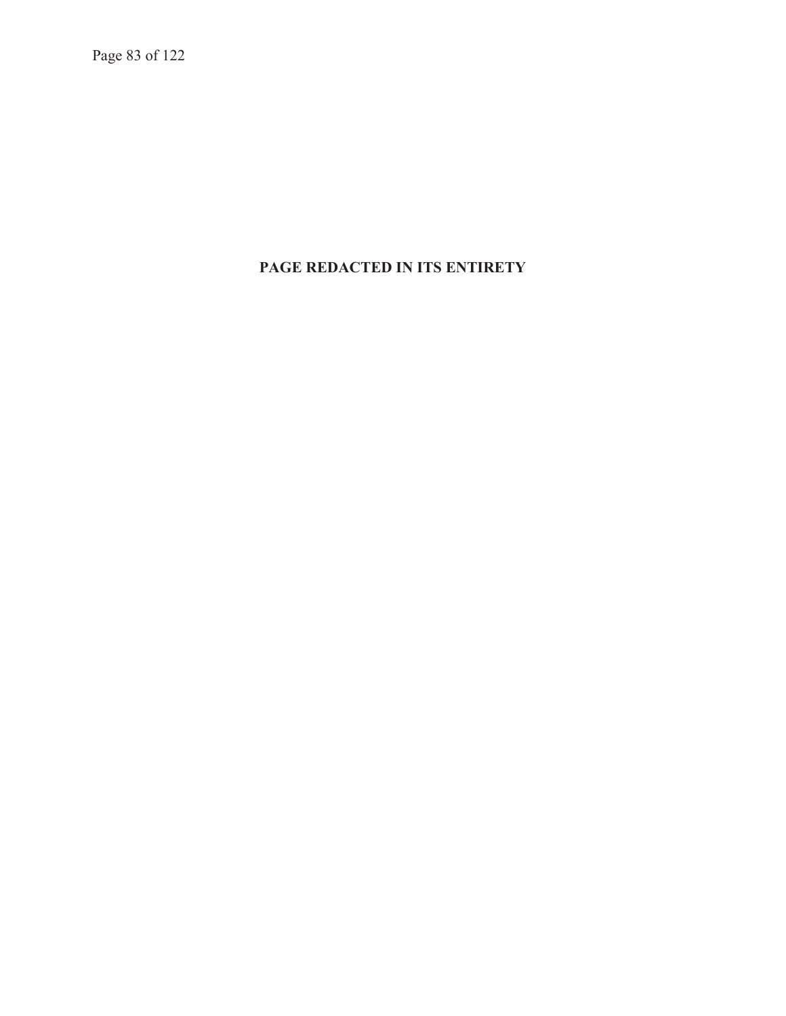Page 83 of 122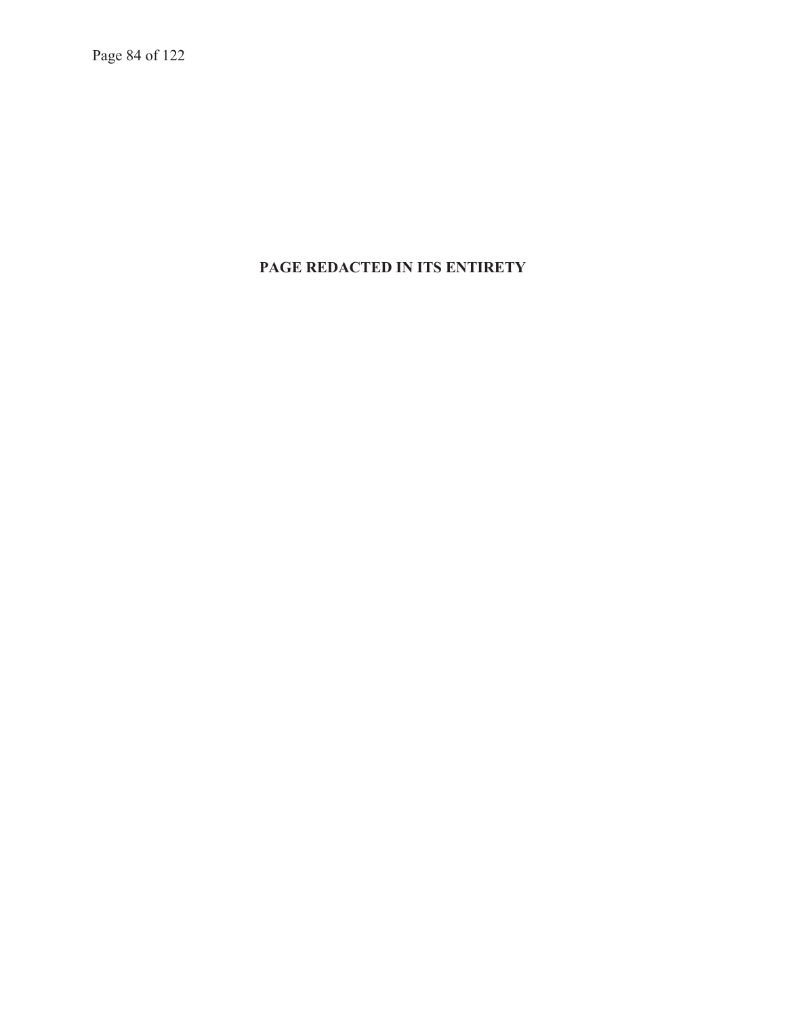Page 84 of 122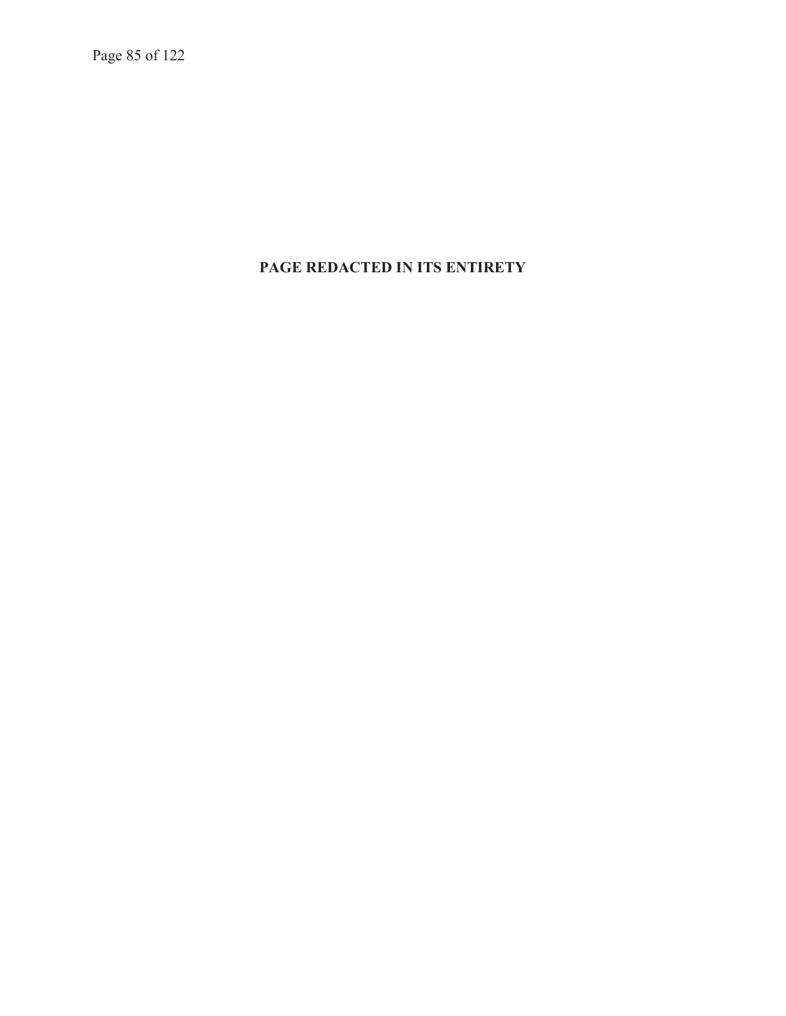Page 85 of 122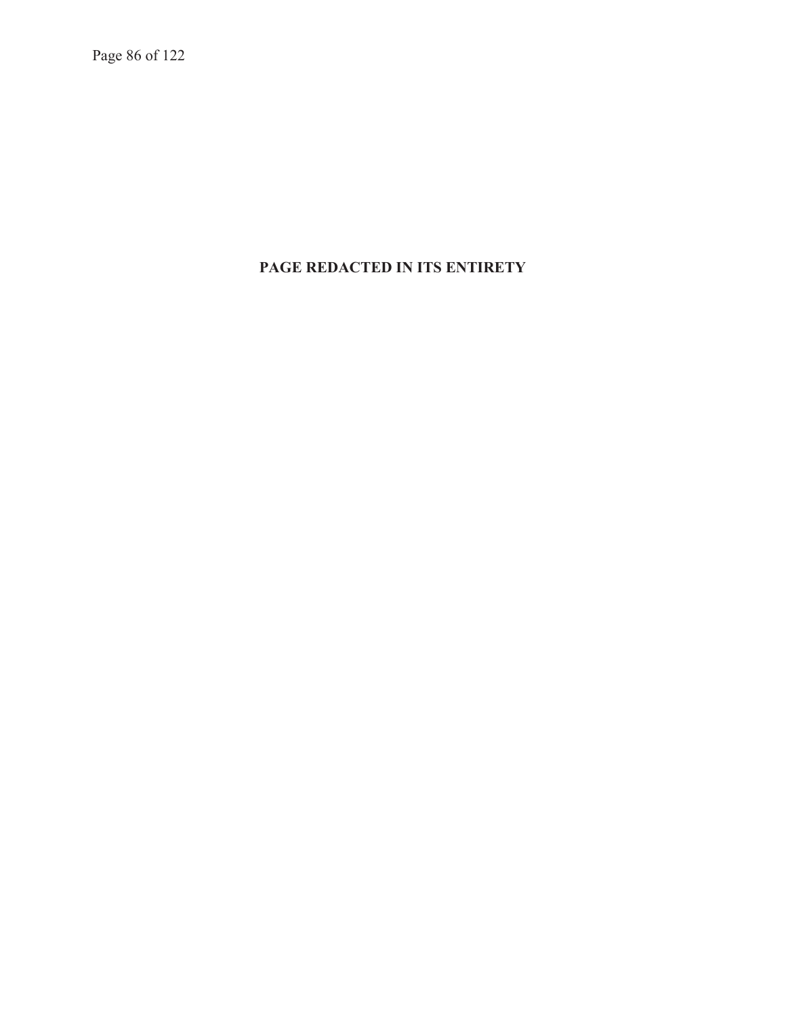Page 86 of 122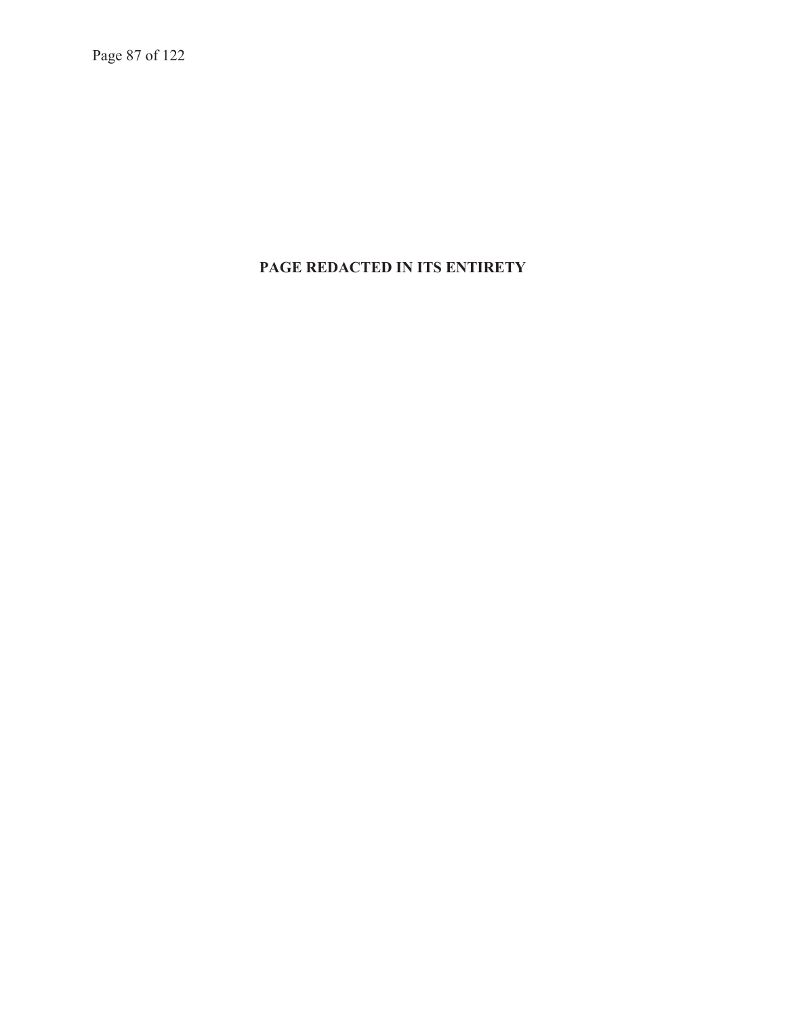Page 87 of 122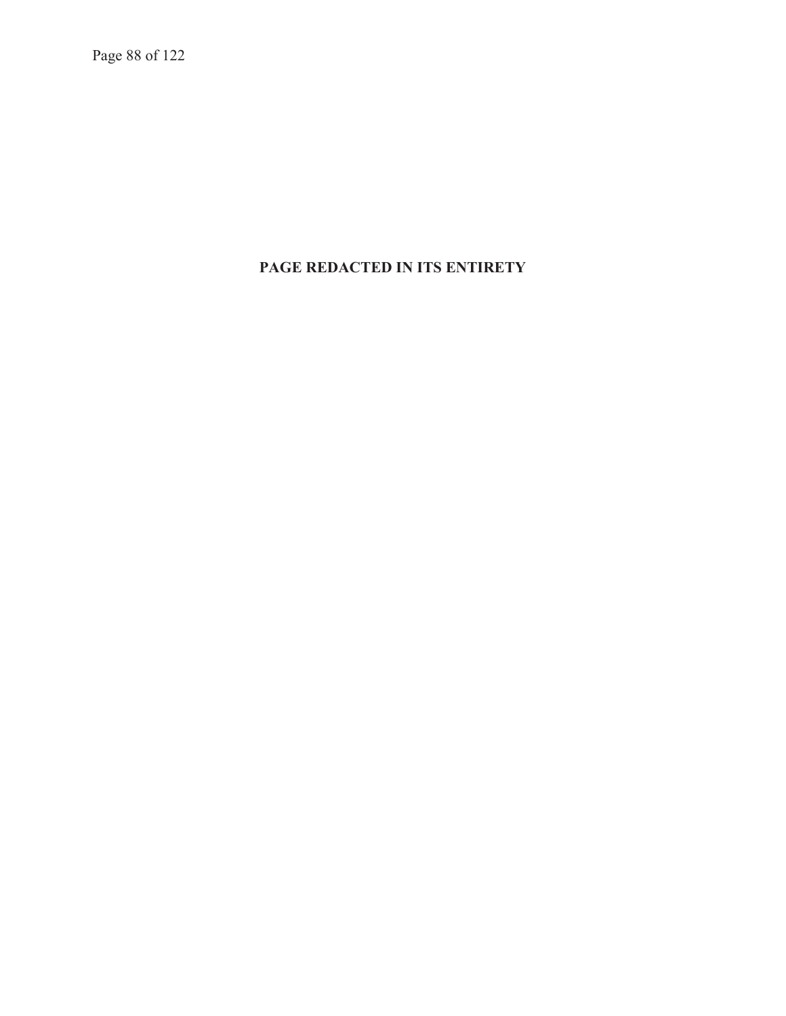Page 88 of 122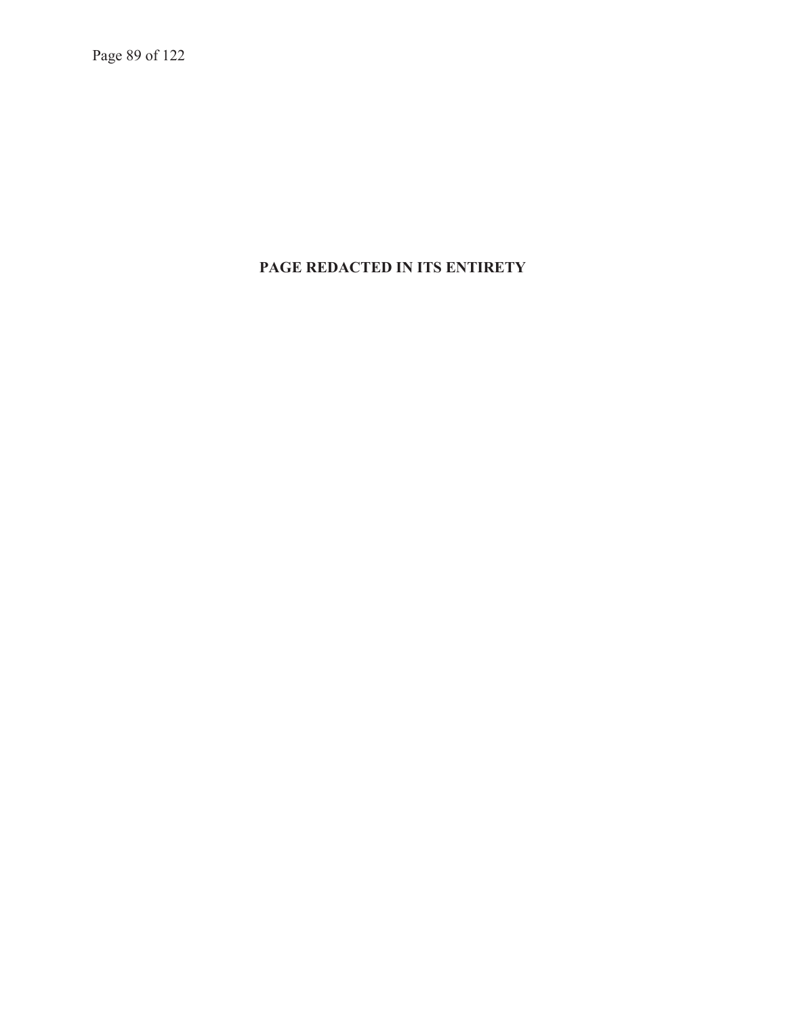Page 89 of 122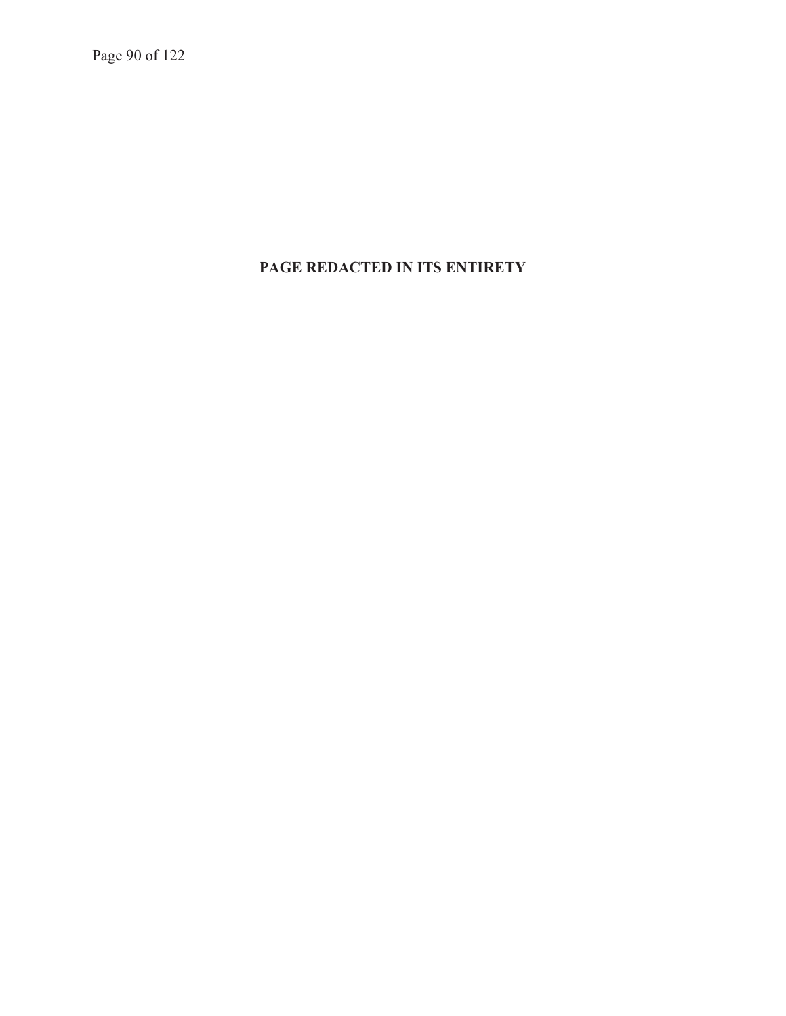Page 90 of 122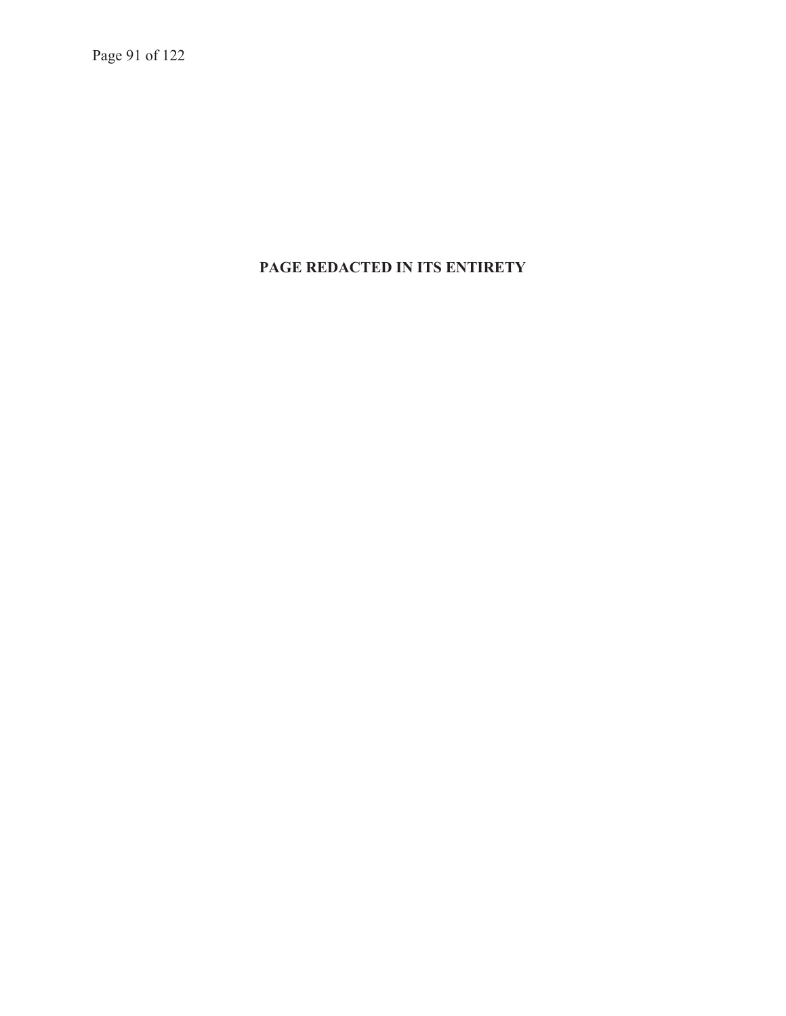Page 91 of 122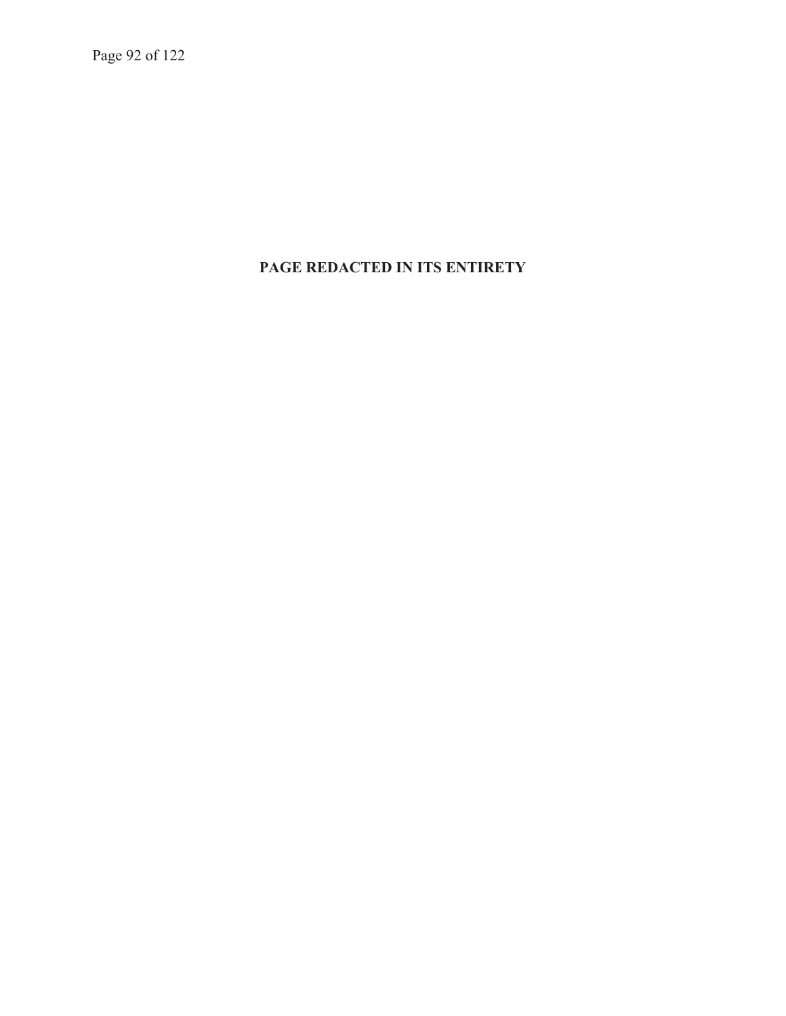Page 92 of 122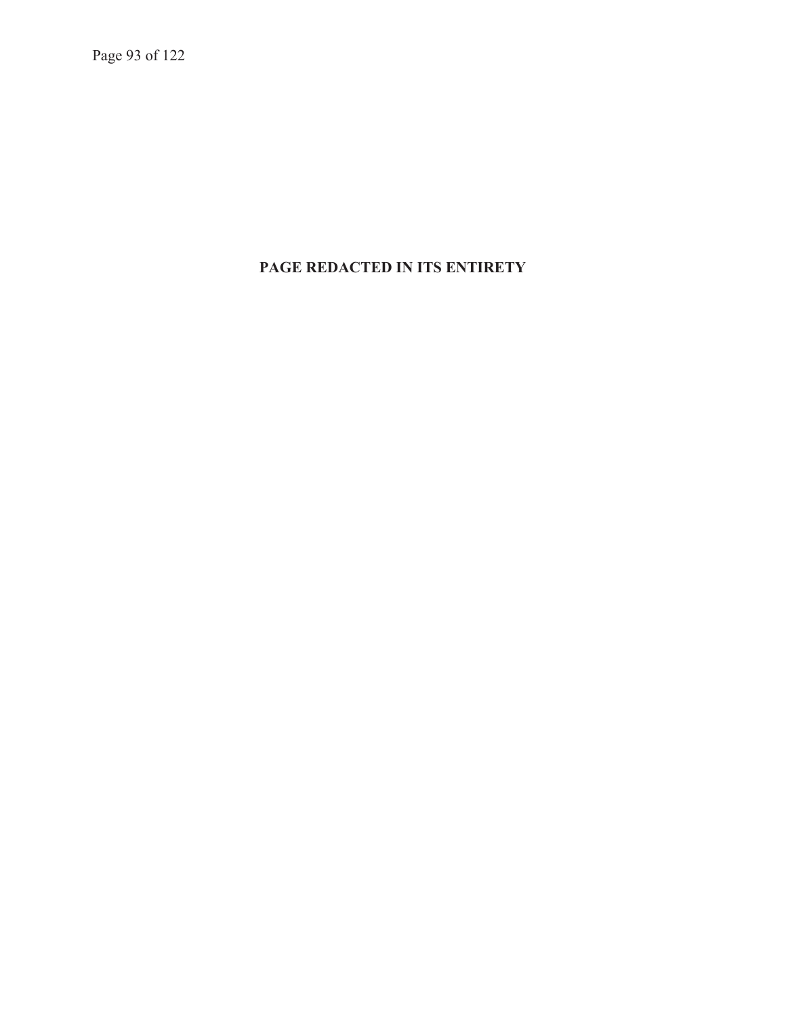Page 93 of 122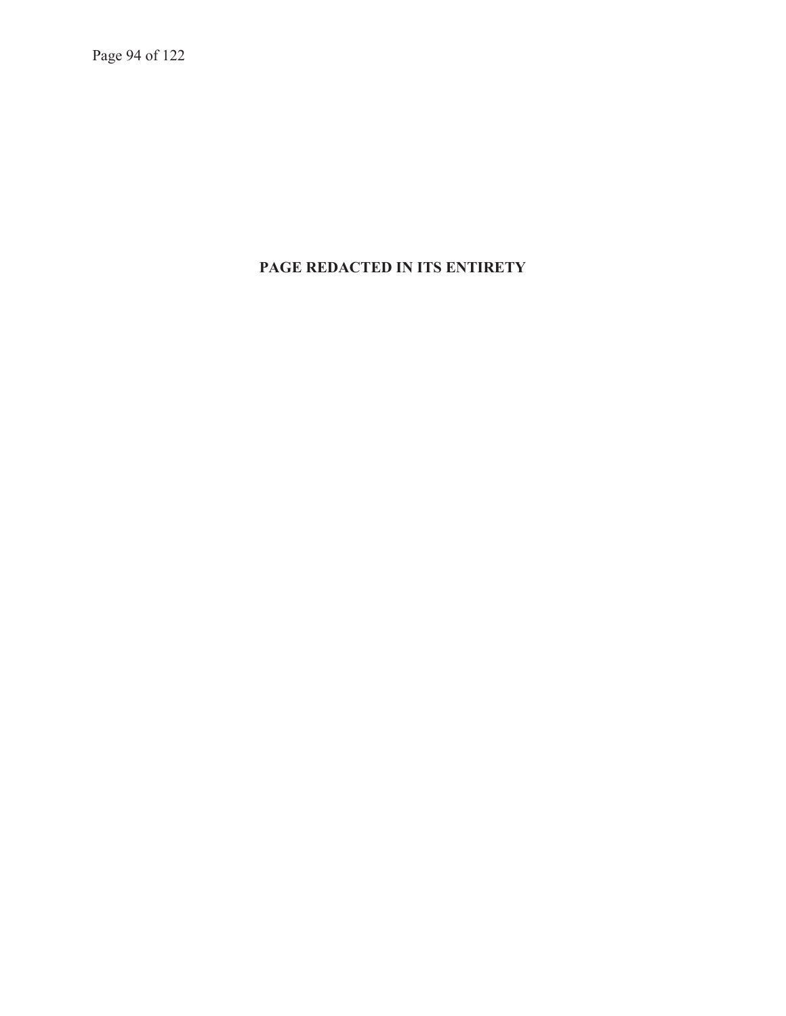Page 94 of 122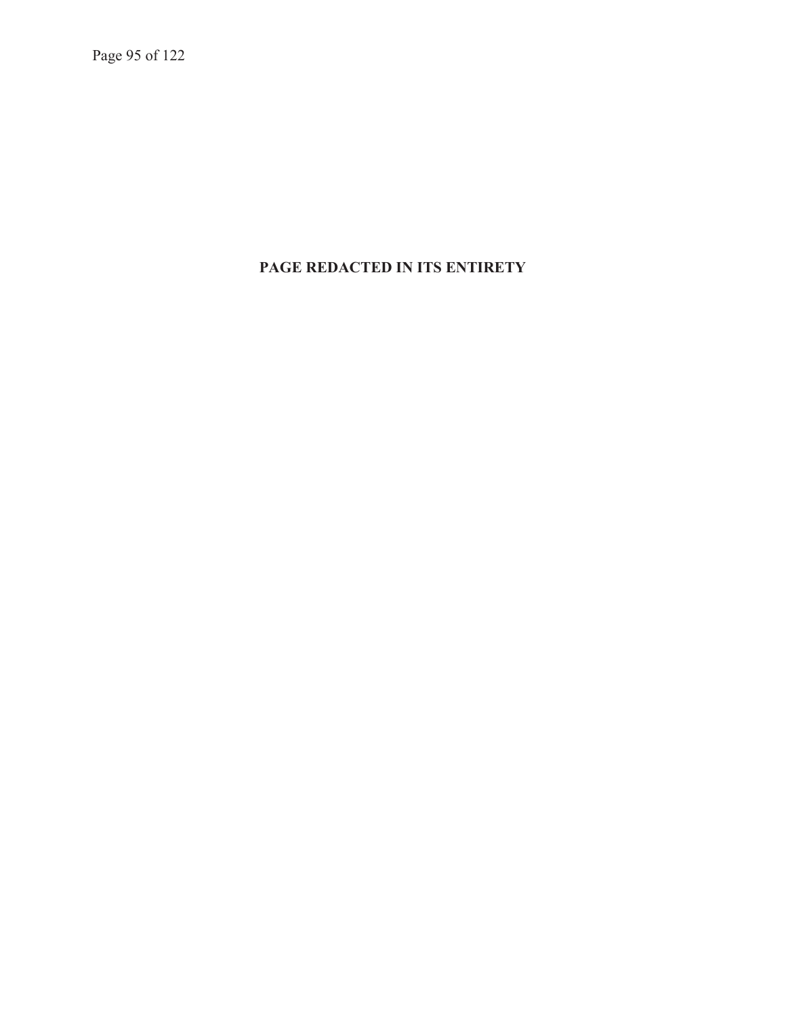Page 95 of 122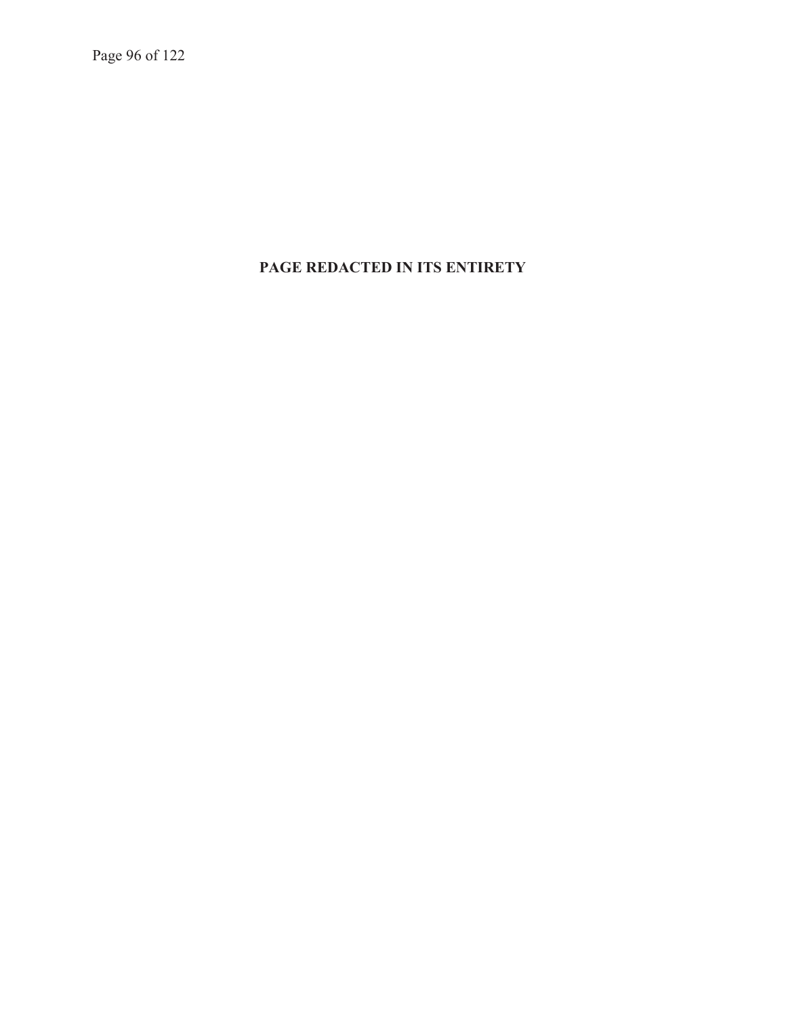Page 96 of 122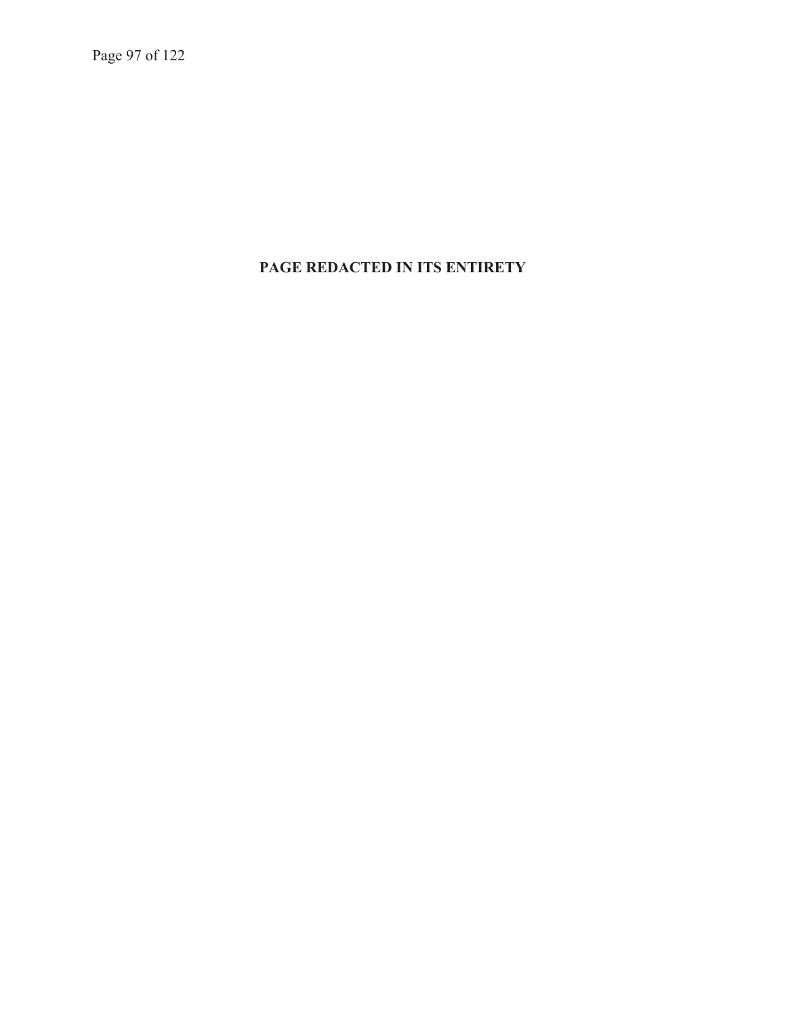Page 97 of 122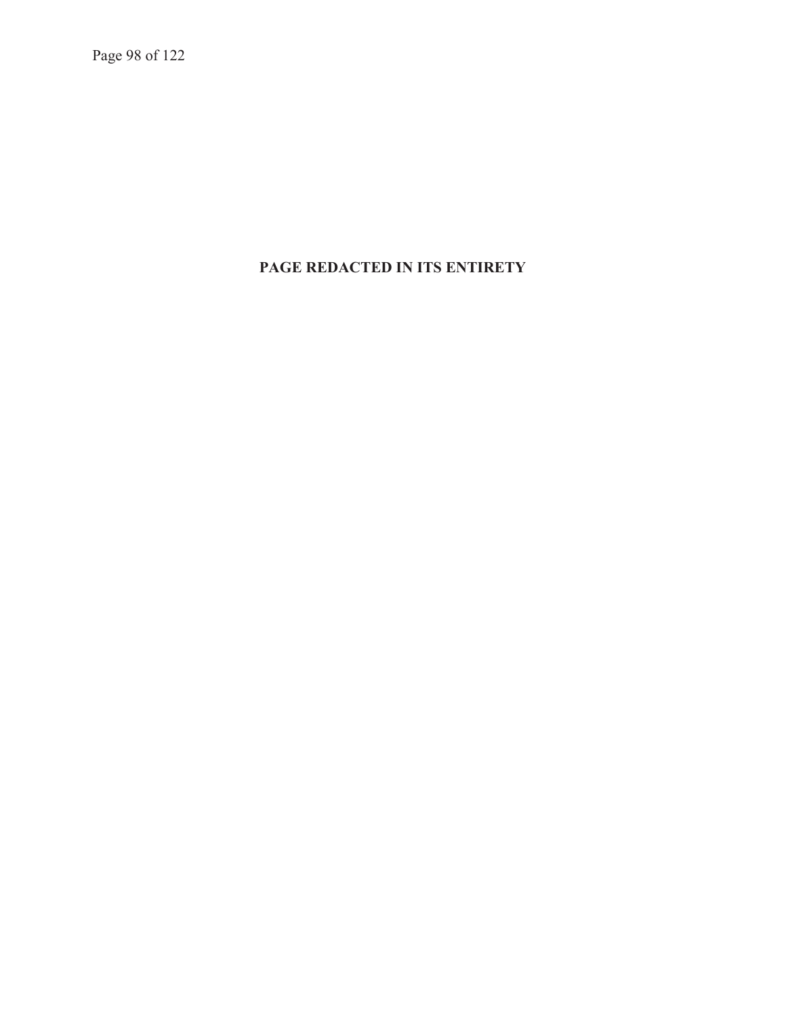Page 98 of 122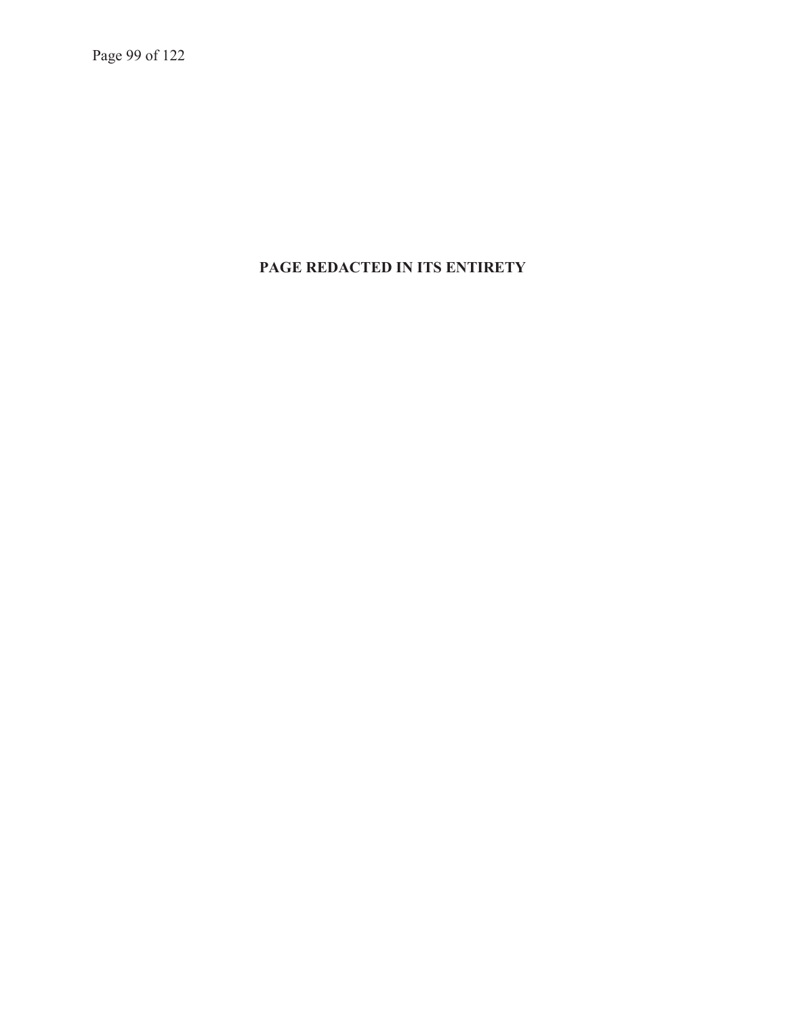Page 99 of 122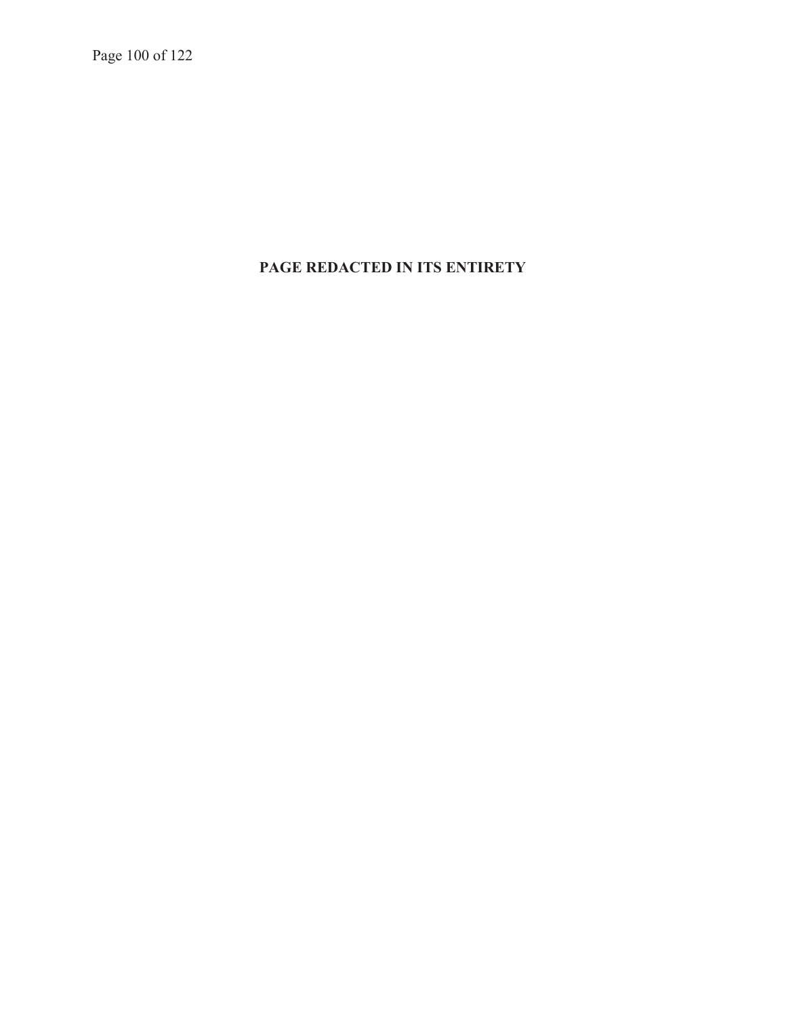Page 100 of 122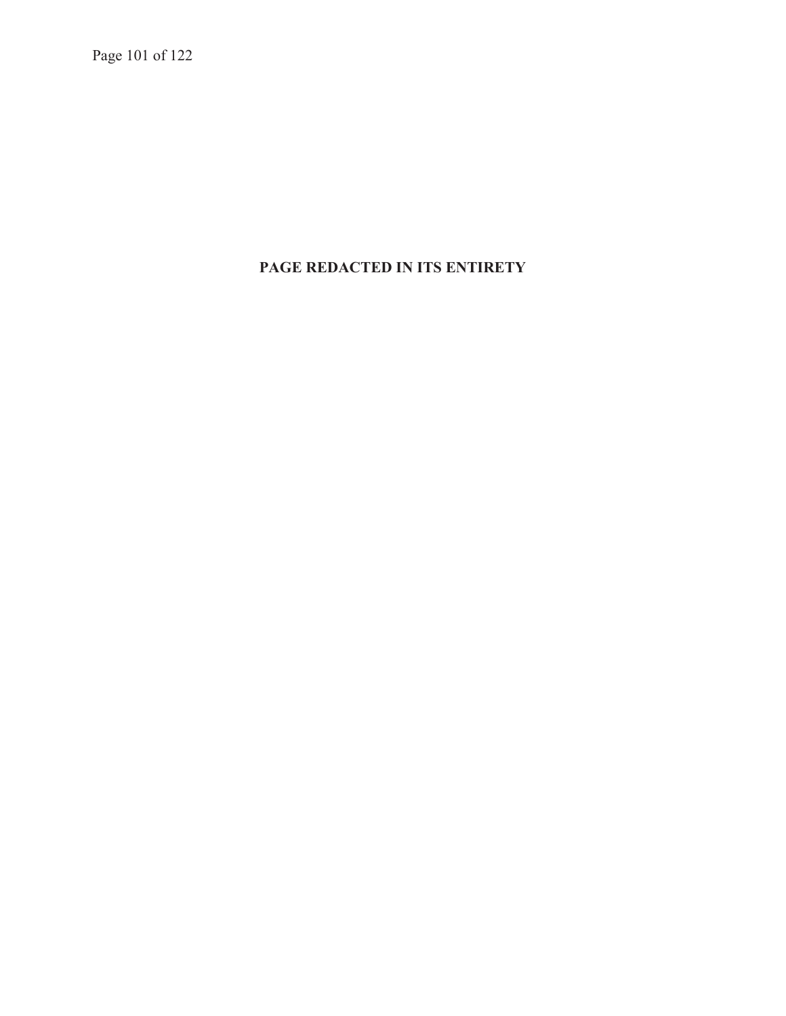Page 101 of 122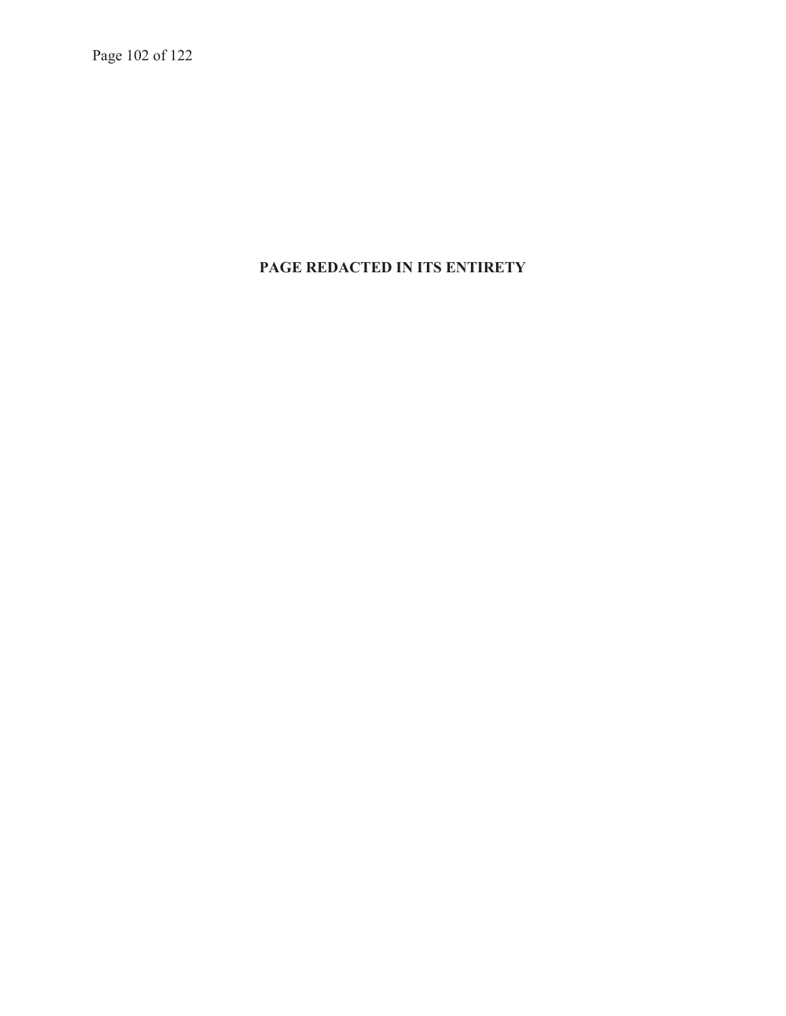Page 102 of 122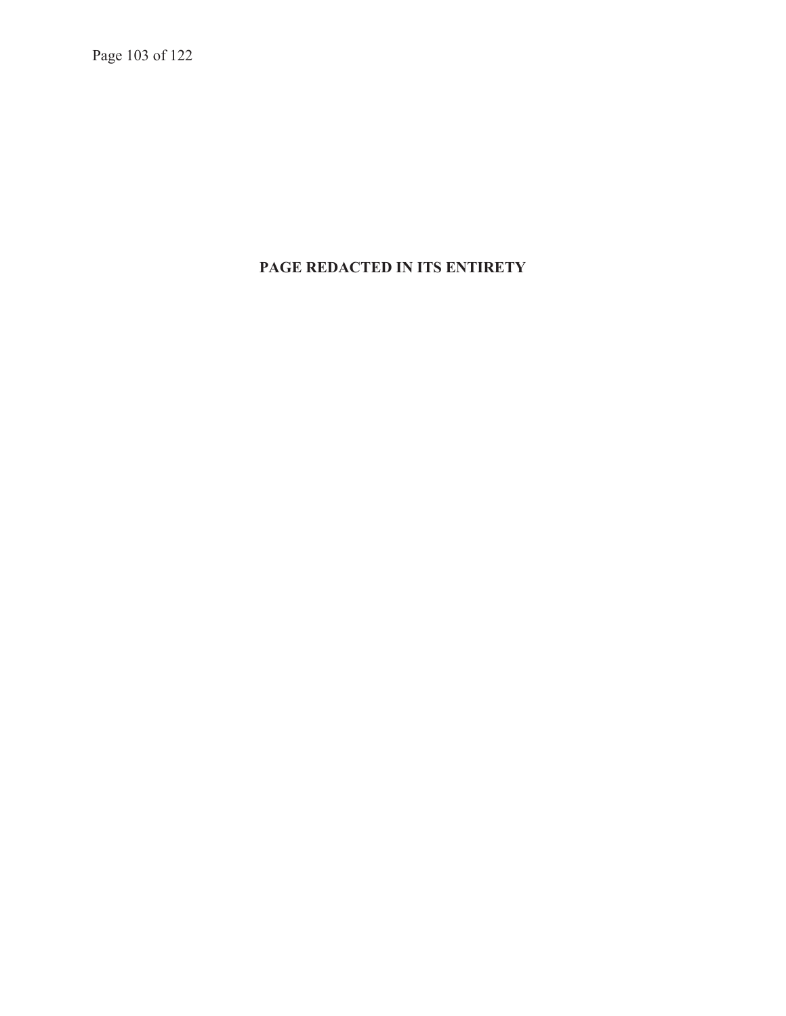Page 103 of 122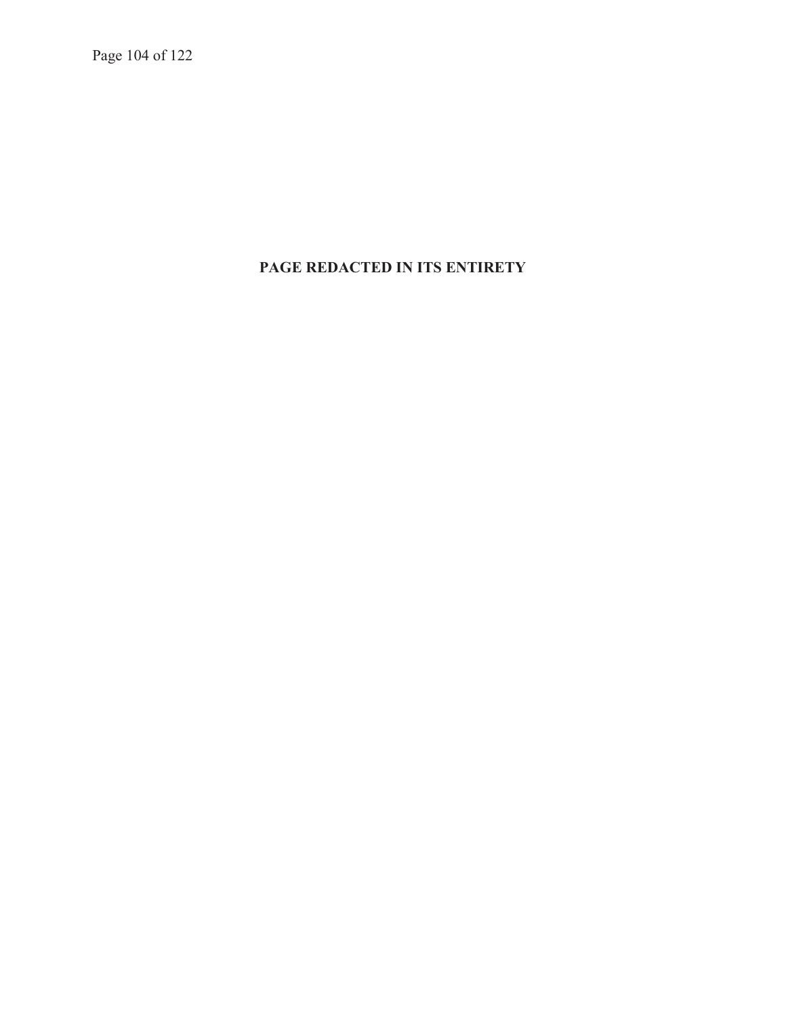Page 104 of 122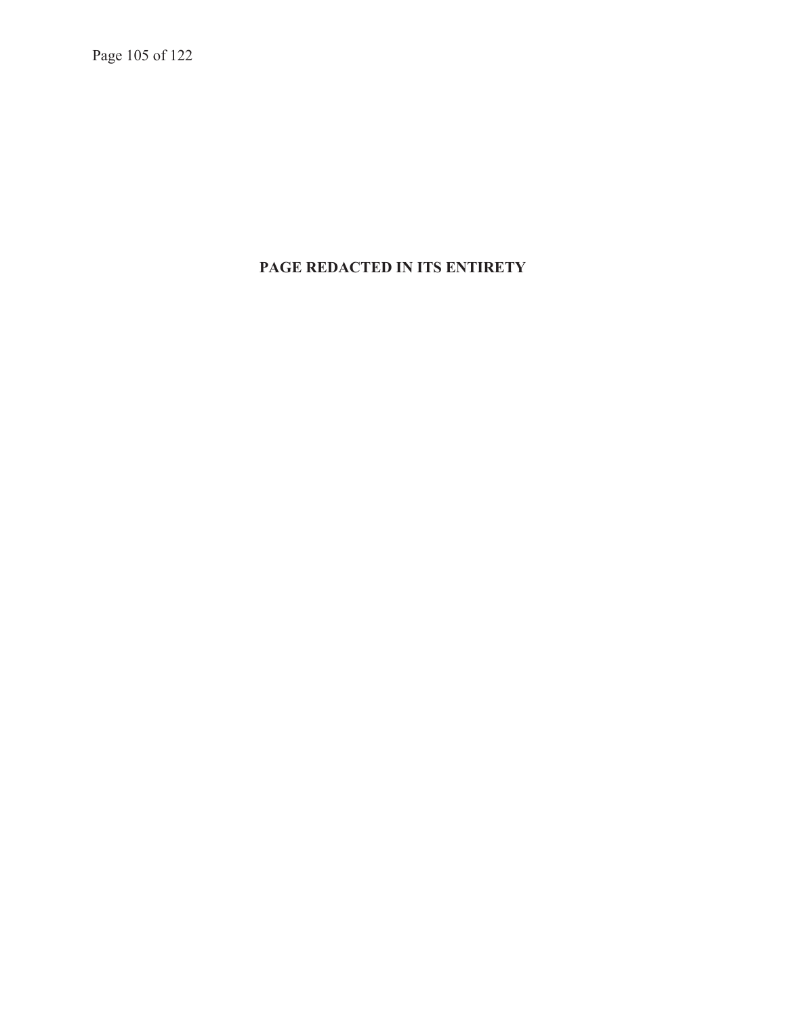Page 105 of 122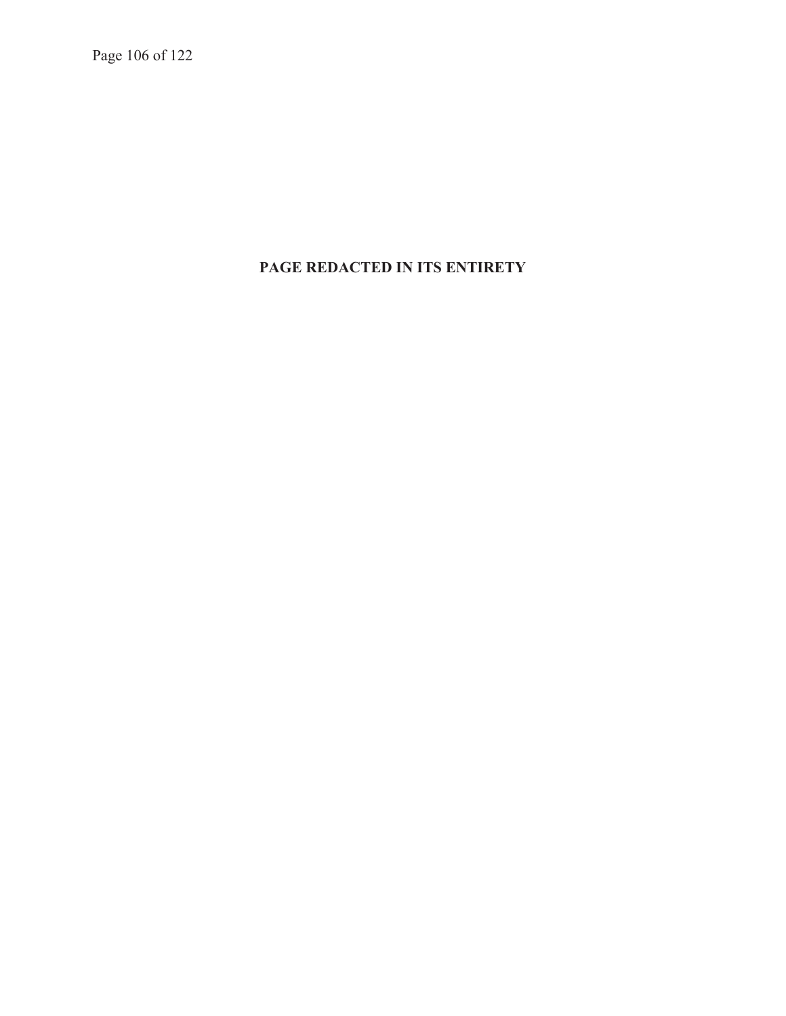Page 106 of 122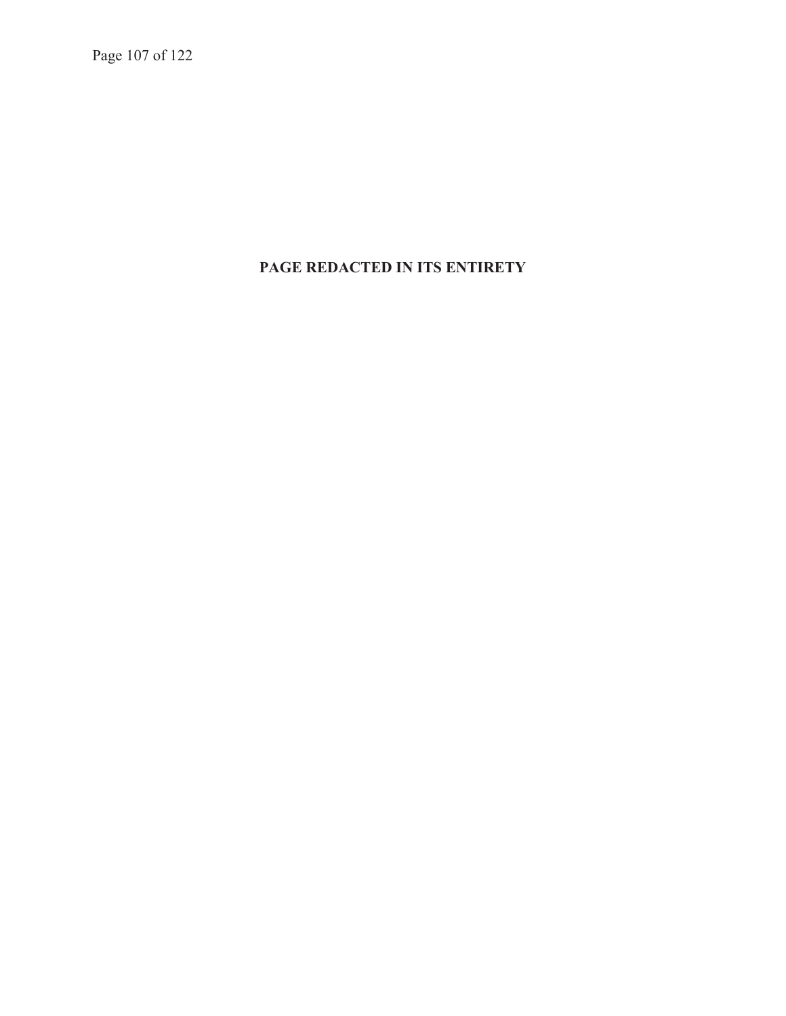Page 107 of 122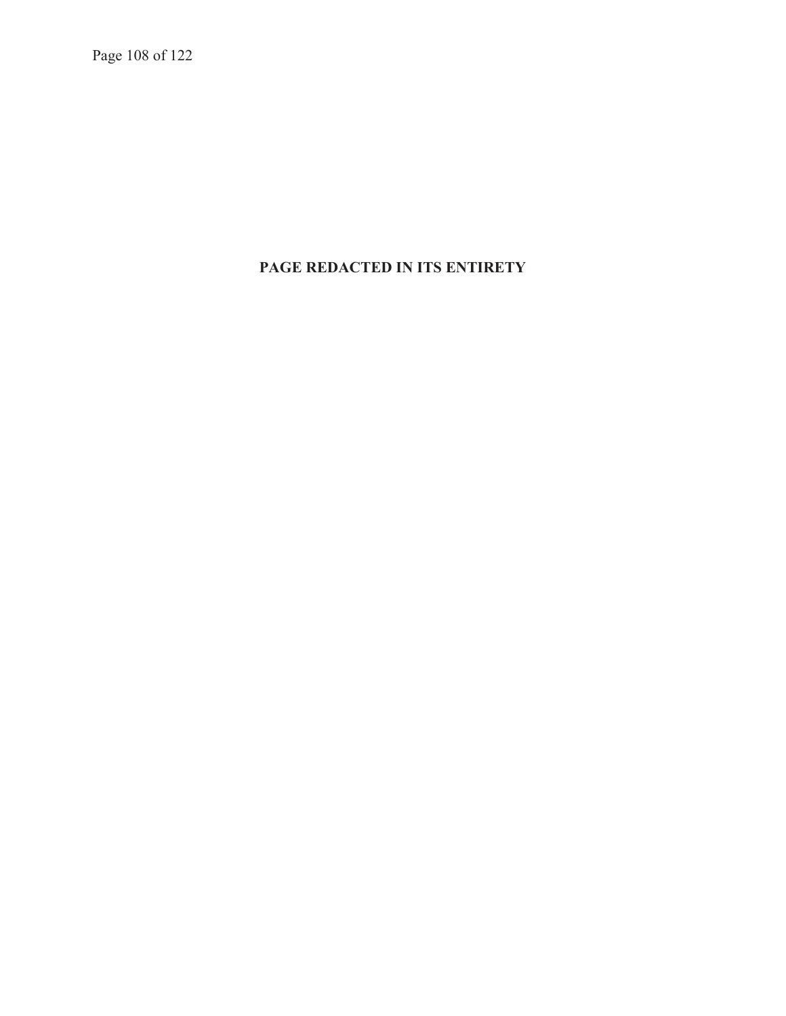Page 108 of 122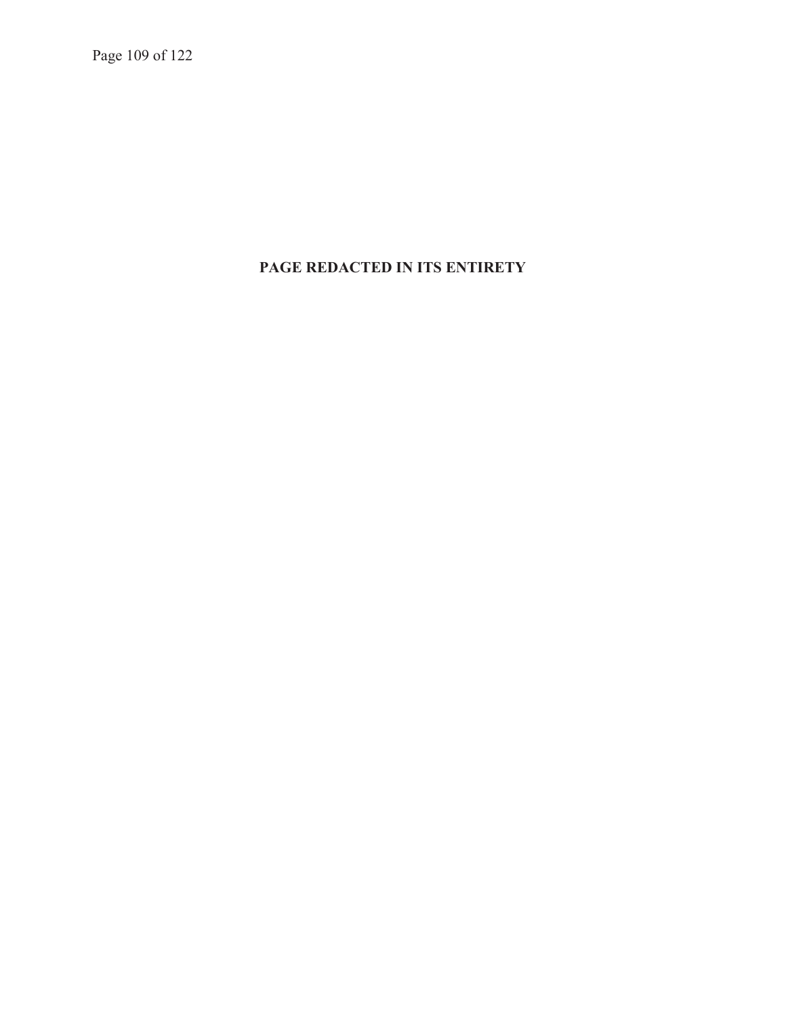Page 109 of 122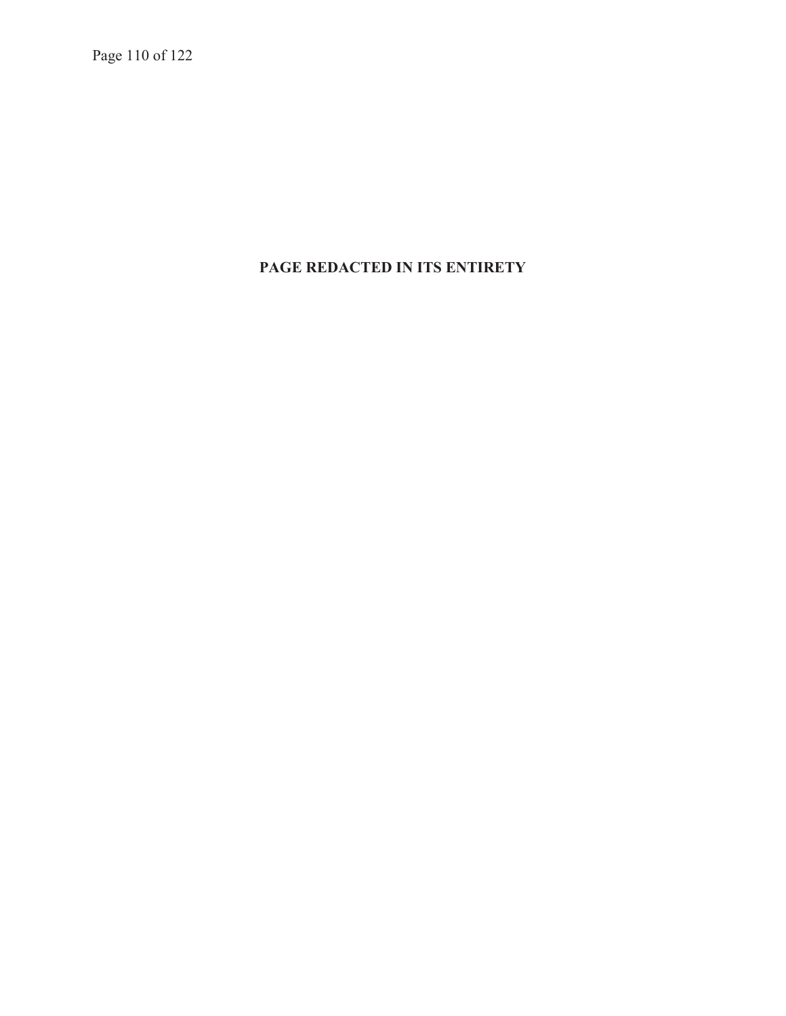Page 110 of 122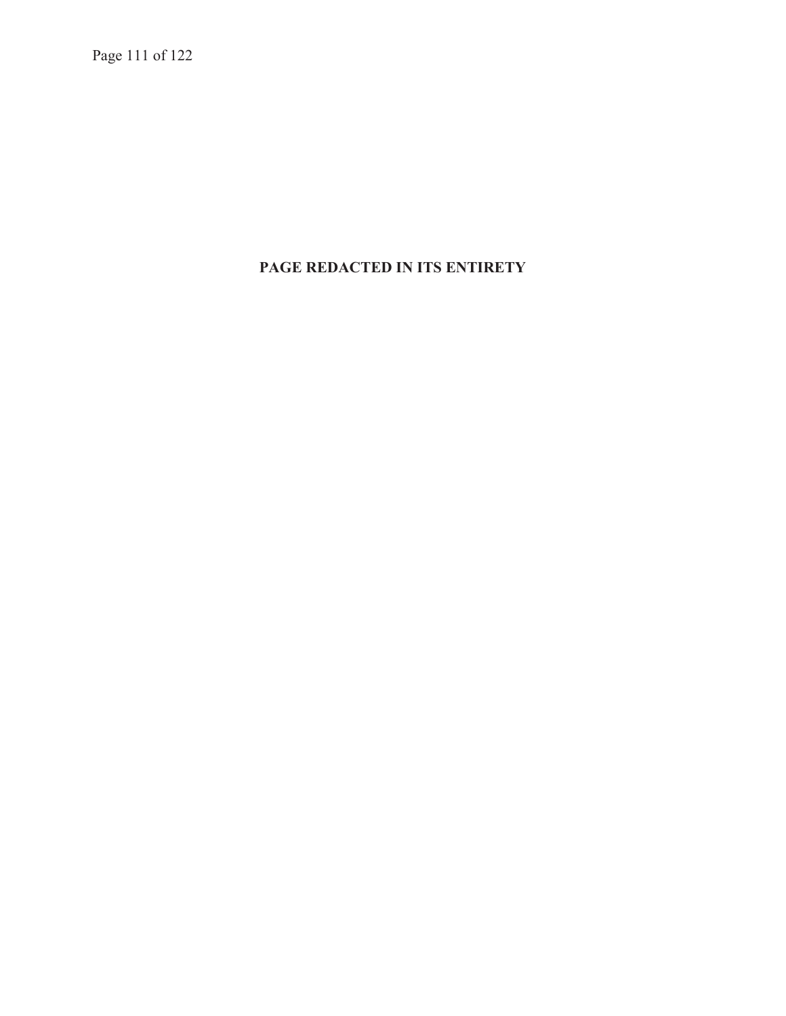Page 111 of 122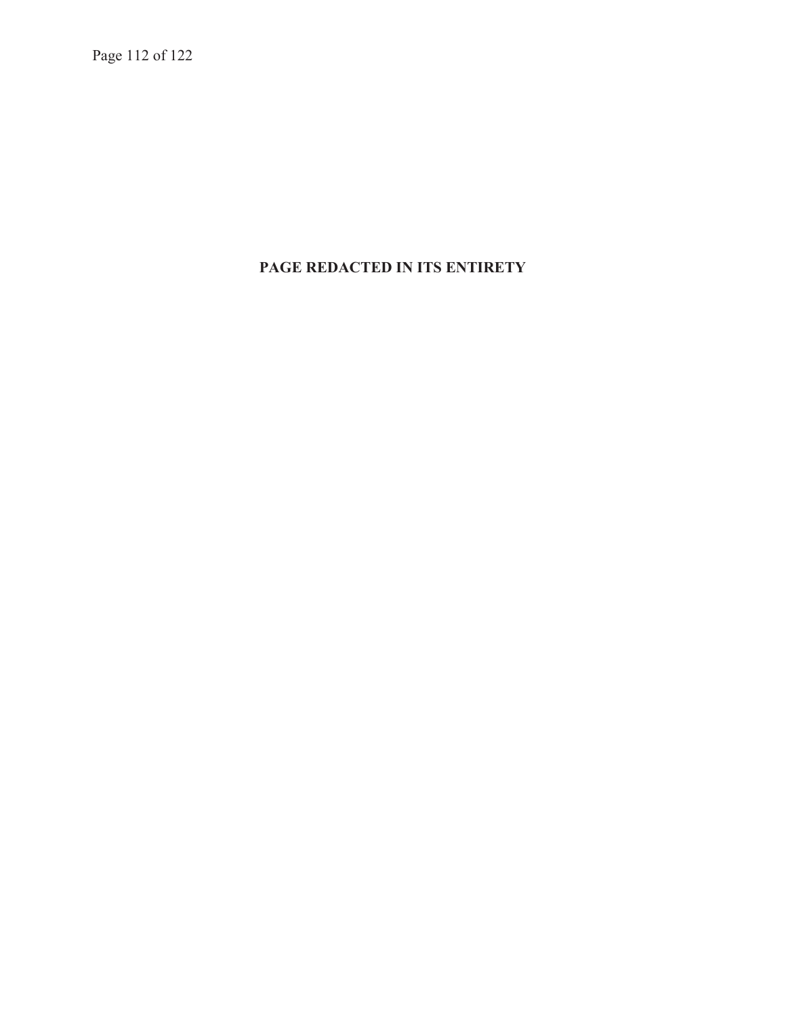Page 112 of 122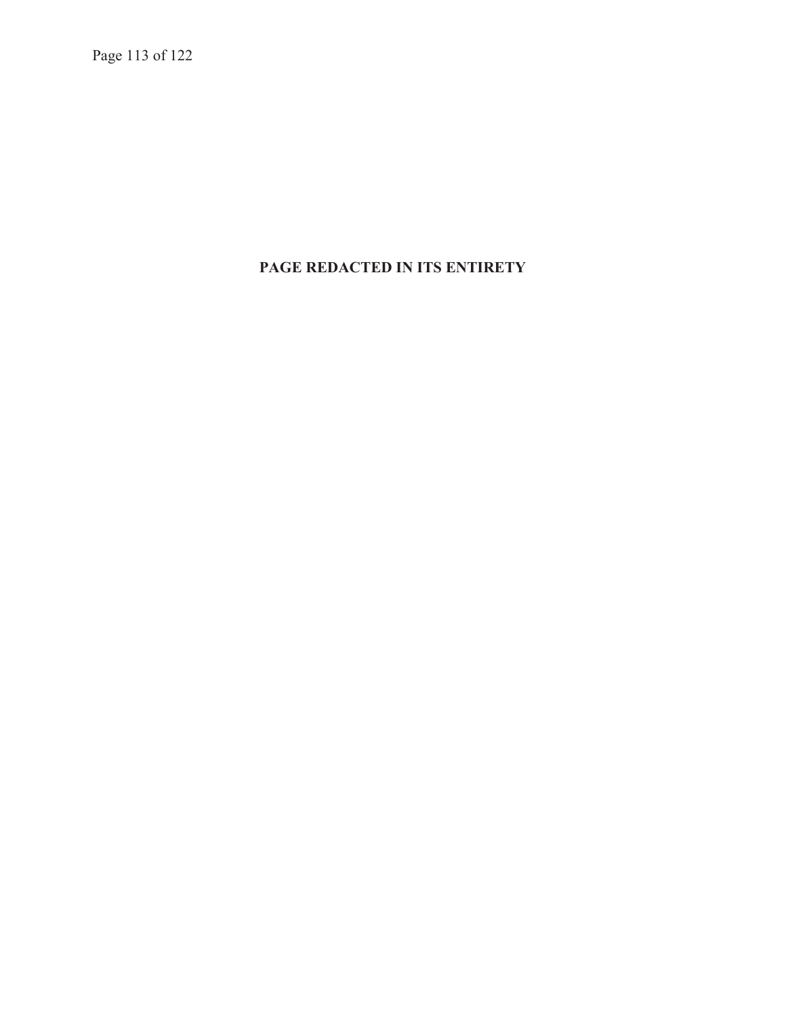Page 113 of 122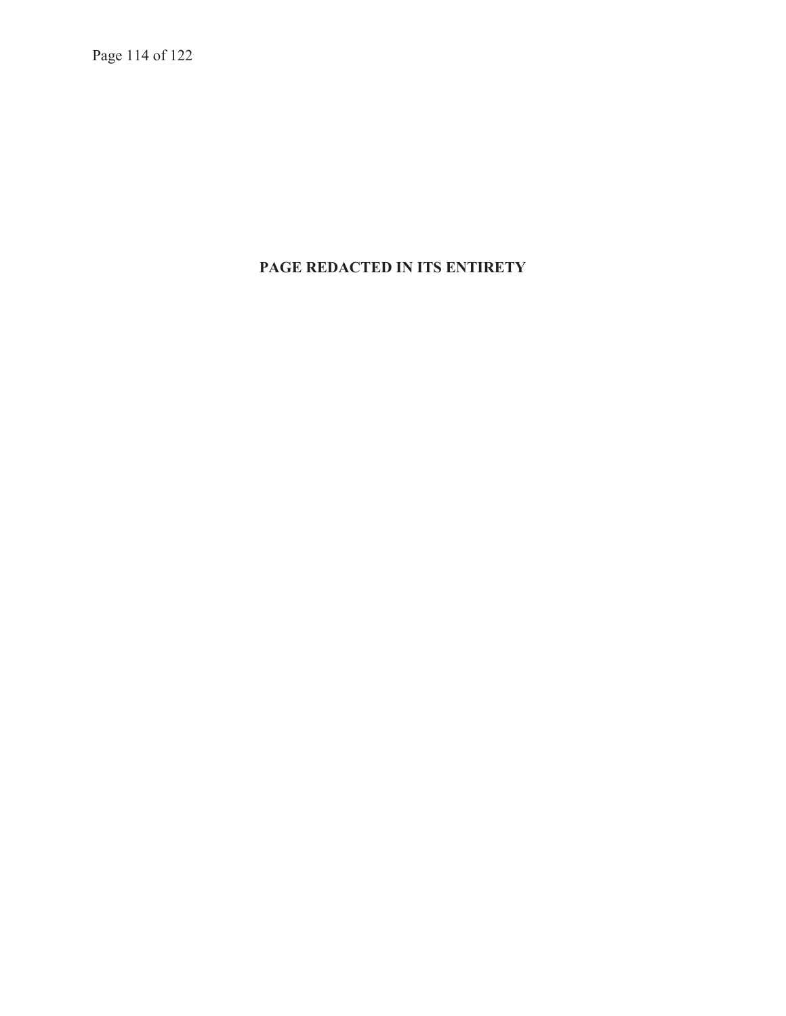Page 114 of 122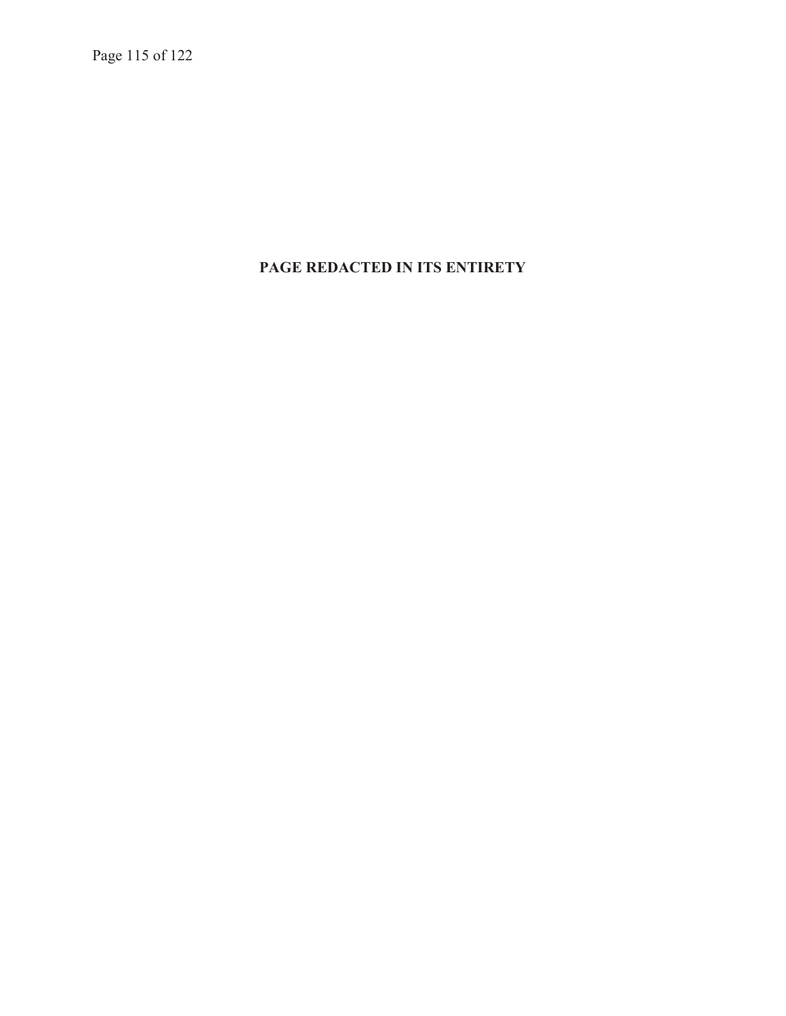Page 115 of 122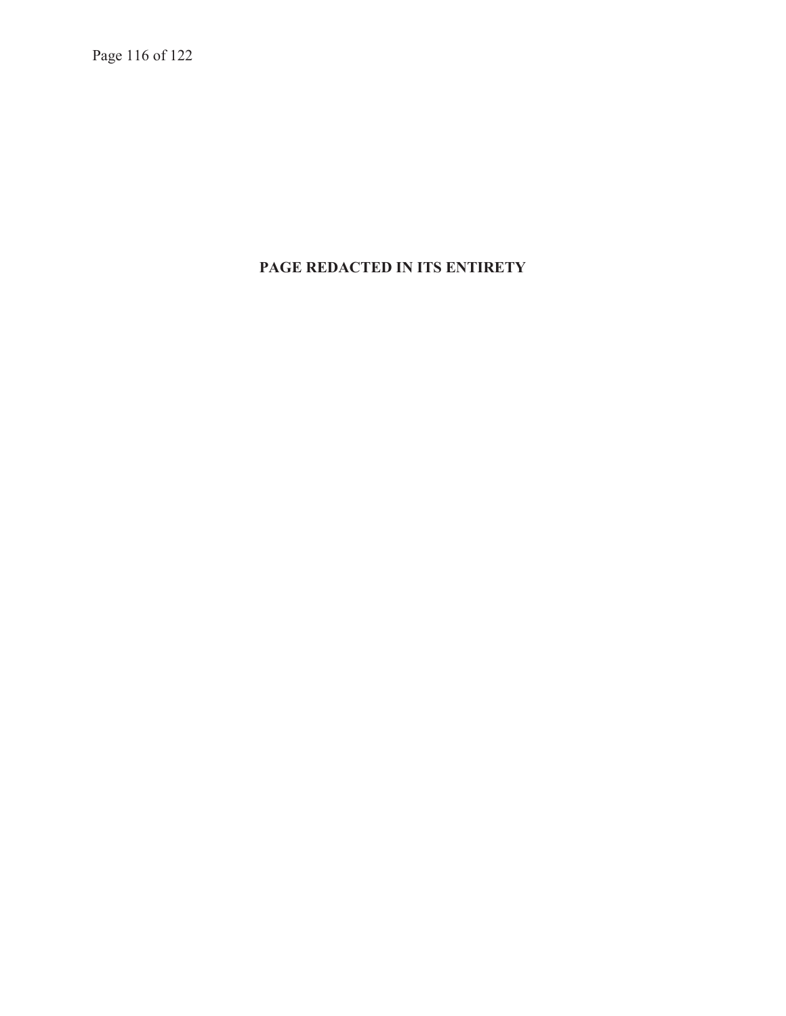Page 116 of 122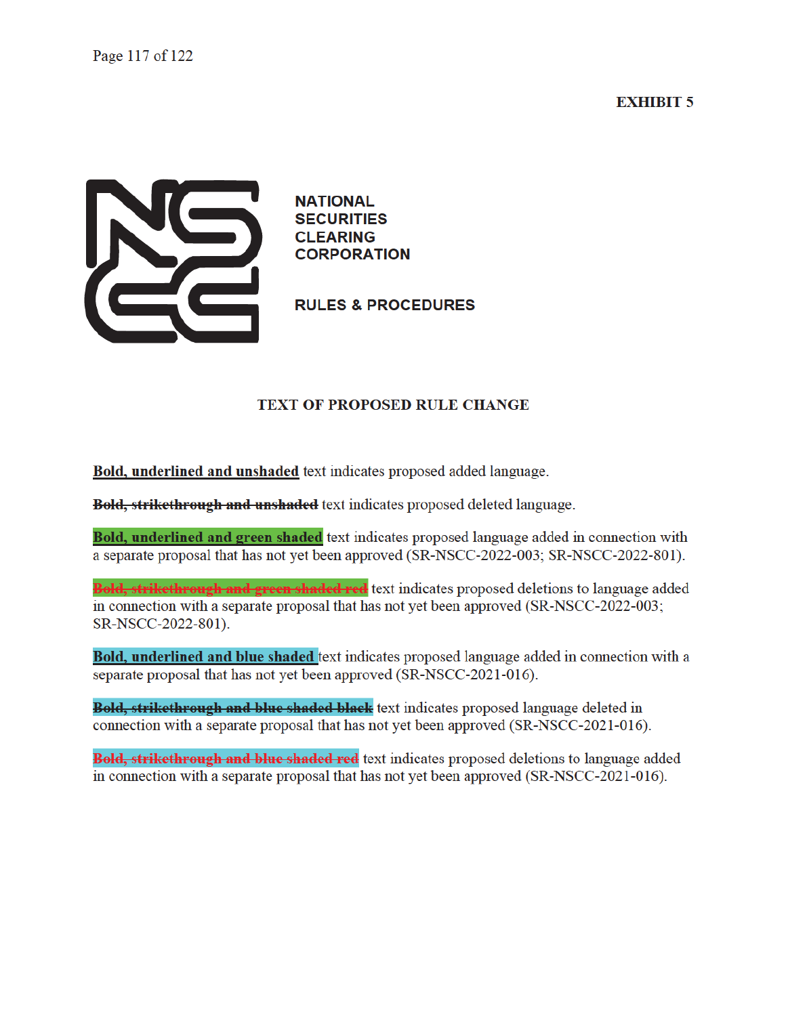#### **EXHIBIT 5**



**NATIONAL SECURITIES CLEARING CORPORATION** 

**RULES & PROCEDURES** 

#### **TEXT OF PROPOSED RULE CHANGE**

Bold, underlined and unshaded text indicates proposed added language.

**Bold, strikethrough and unshaded** text indicates proposed deleted language.

Bold, underlined and green shaded text indicates proposed language added in connection with a separate proposal that has not yet been approved (SR-NSCC-2022-003; SR-NSCC-2022-801).

**Bold, strikethrough and green shaded red** text indicates proposed deletions to language added in connection with a separate proposal that has not yet been approved (SR-NSCC-2022-003; SR-NSCC-2022-801).

Bold, underlined and blue shaded text indicates proposed language added in connection with a separate proposal that has not yet been approved (SR-NSCC-2021-016).

Bold, strikethrough and blue shaded black text indicates proposed language deleted in connection with a separate proposal that has not yet been approved (SR-NSCC-2021-016).

**Bold, strikethrough and blue shaded red** text indicates proposed deletions to language added in connection with a separate proposal that has not yet been approved (SR-NSCC-2021-016).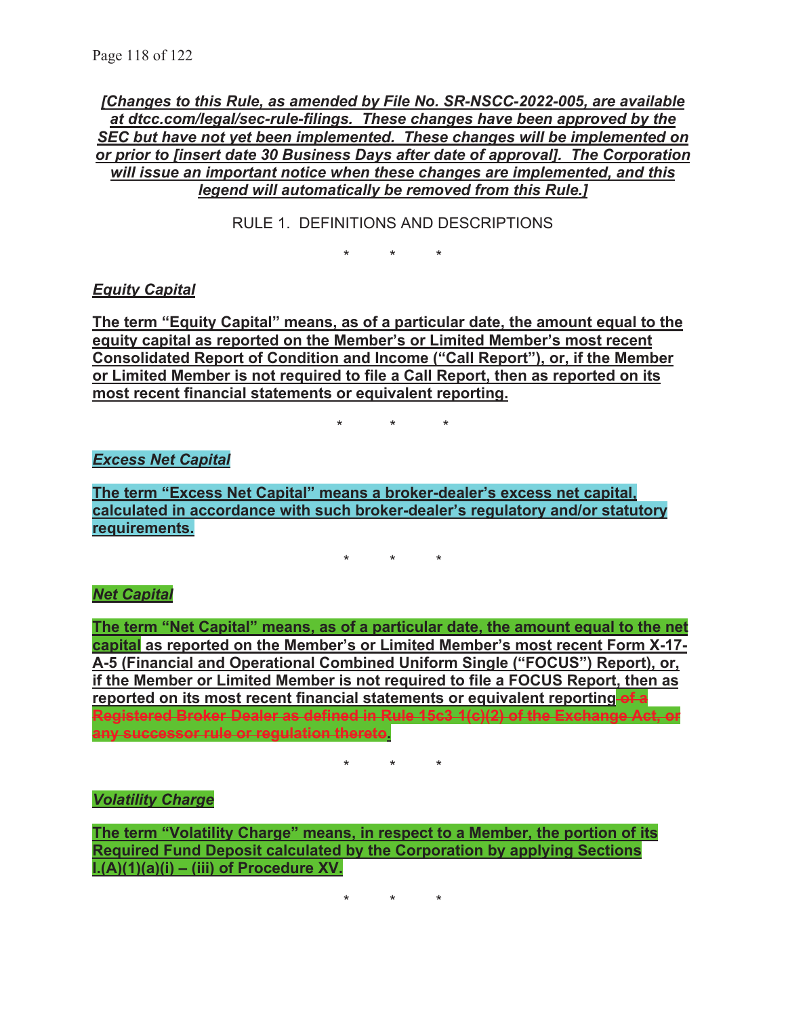*[Changes to this Rule, as amended by File No. SR-NSCC-2022-005, are available at dtcc.com/legal/sec-rule-filings. These changes have been approved by the SEC but have not yet been implemented. These changes will be implemented on or prior to [insert date 30 Business Days after date of approval]. The Corporation will issue an important notice when these changes are implemented, and this legend will automatically be removed from this Rule.]* 

RULE 1. DEFINITIONS AND DESCRIPTIONS

 $\star$ 

*Equity Capital* 

**The term "Equity Capital" means, as of a particular date, the amount equal to the equity capital as reported on the Member's or Limited Member's most recent Consolidated Report of Condition and Income ("Call Report"), or, if the Member or Limited Member is not required to file a Call Report, then as reported on its most recent financial statements or equivalent reporting.** 

\* \* \*

#### *Excess Net Capital*

**The term "Excess Net Capital" means a broker-dealer's excess net capital, calculated in accordance with such broker-dealer's regulatory and/or statutory requirements.** 

\* \* \*

#### *Net Capital*

**The term "Net Capital" means, as of a particular date, the amount equal to the net capital as reported on the Member's or Limited Member's most recent Form X-17- A-5 (Financial and Operational Combined Uniform Single ("FOCUS") Report), or, if the Member or Limited Member is not required to file a FOCUS Report, then as reported on its most recent financial statements or equivalent reporting of a Registered Broker Dealer as defined in Rule 15c3 1(c)(2) of the Exchange Act, or any successor rule or regulation thereto.** 

\* \* \*

#### *Volatility Charge*

**The term "Volatility Charge" means, in respect to a Member, the portion of its Required Fund Deposit calculated by the Corporation by applying Sections I.(A)(1)(a)(i) – (iii) of Procedure XV.** 

\* \* \*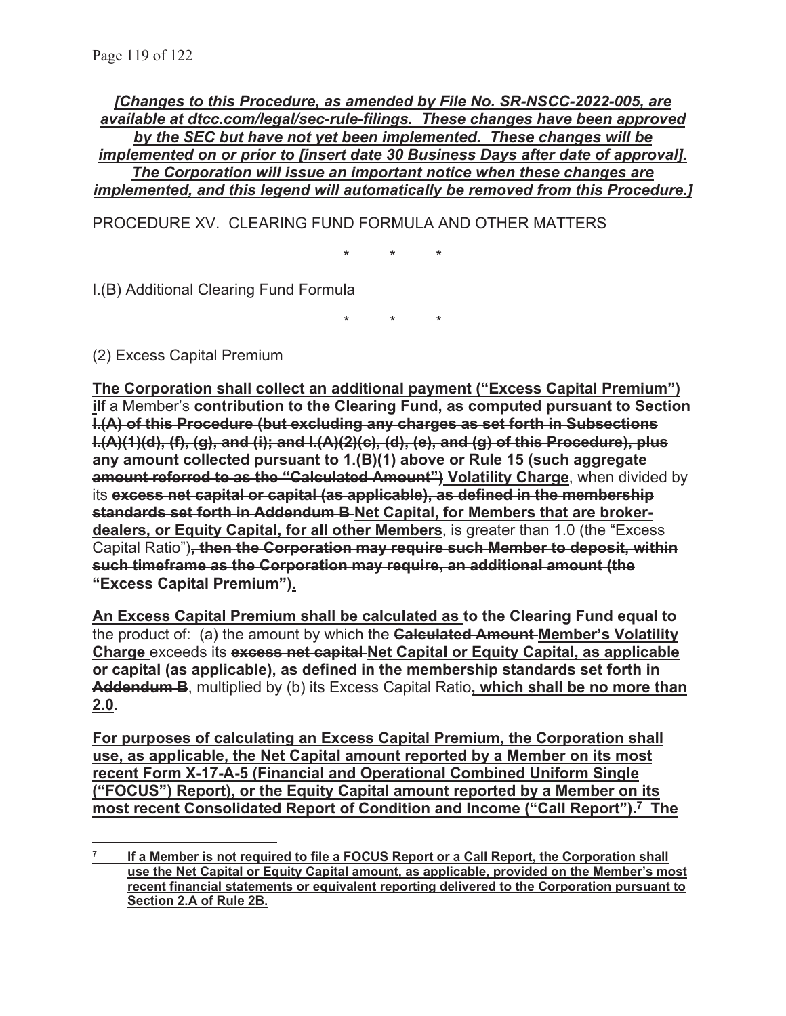*[Changes to this Procedure, as amended by File No. SR-NSCC-2022-005, are available at dtcc.com/legal/sec-rule-filings. These changes have been approved by the SEC but have not yet been implemented. These changes will be implemented on or prior to [insert date 30 Business Days after date of approval]. The Corporation will issue an important notice when these changes are implemented, and this legend will automatically be removed from this Procedure.]* 

PROCEDURE XV. CLEARING FUND FORMULA AND OTHER MATTERS

\* \* \*

I.(B) Additional Clearing Fund Formula

\* \* \*

(2) Excess Capital Premium

**The Corporation shall collect an additional payment ("Excess Capital Premium") iIf a Member's contribution to the Clearing Fund, as computed pursuant to Section I.(A) of this Procedure (but excluding any charges as set forth in Subsections I.(A)(1)(d), (f), (g), and (i); and I.(A)(2)(c), (d), (e), and (g) of this Procedure), plus any amount collected pursuant to 1.(B)(1) above or Rule 15 (such aggregate amount referred to as the "Calculated Amount") Volatility Charge**, when divided by its **excess net capital or capital (as applicable), as defined in the membership standards set forth in Addendum B Net Capital, for Members that are brokerdealers, or Equity Capital, for all other Members**, is greater than 1.0 (the "Excess Capital Ratio")**, then the Corporation may require such Member to deposit, within such timeframe as the Corporation may require, an additional amount (the "Excess Capital Premium").** 

**An Excess Capital Premium shall be calculated as to the Clearing Fund equal to** the product of: (a) the amount by which the **Calculated Amount Member's Volatility Charge** exceeds its **excess net capital Net Capital or Equity Capital, as applicable or capital (as applicable), as defined in the membership standards set forth in Addendum B**, multiplied by (b) its Excess Capital Ratio**, which shall be no more than 2.0**.

**For purposes of calculating an Excess Capital Premium, the Corporation shall use, as applicable, the Net Capital amount reported by a Member on its most recent Form X-17-A-5 (Financial and Operational Combined Uniform Single ("FOCUS") Report), or the Equity Capital amount reported by a Member on its most recent Consolidated Report of Condition and Income ("Call Report").7 The** 

**<sup>7</sup> If a Member is not required to file a FOCUS Report or a Call Report, the Corporation shall use the Net Capital or Equity Capital amount, as applicable, provided on the Member's most recent financial statements or equivalent reporting delivered to the Corporation pursuant to Section 2.A of Rule 2B.**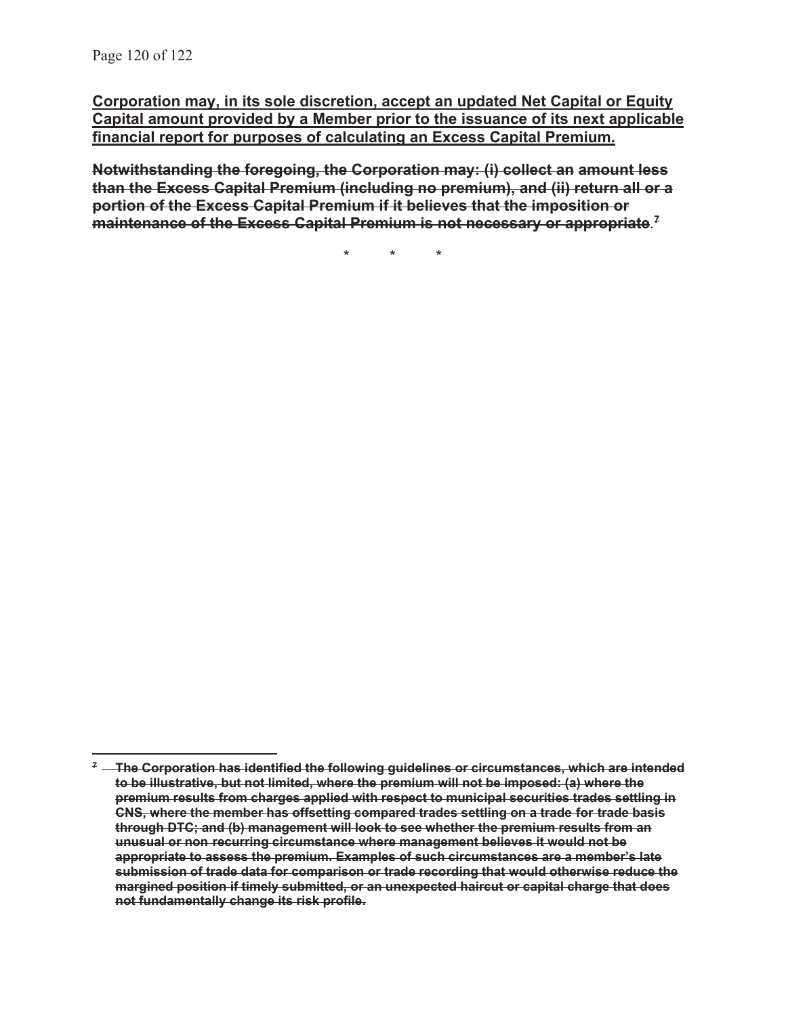**Corporation may, in its sole discretion, accept an updated Net Capital or Equity Capital amount provided by a Member prior to the issuance of its next applicable financial report for purposes of calculating an Excess Capital Premium.** 

**Notwithstanding the foregoing, the Corporation may: (i) collect an amount less than the Excess Capital Premium (including no premium), and (ii) return all or a portion of the Excess Capital Premium if it believes that the imposition or maintenance of the Excess Capital Premium is not necessary or appropriate**. **7**

\* \* \*

**<sup>7</sup> The Corporation has identified the following guidelines or circumstances, which are intended to be illustrative, but not limited, where the premium will not be imposed: (a) where the premium results from charges applied with respect to municipal securities trades settling in CNS, where the member has offsetting compared trades settling on a trade for trade basis through DTC; and (b) management will look to see whether the premium results from an unusual or non recurring circumstance where management believes it would not be appropriate to assess the premium. Examples of such circumstances are a member's late submission of trade data for comparison or trade recording that would otherwise reduce the margined position if timely submitted, or an unexpected haircut or capital charge that does not fundamentally change its risk profile.**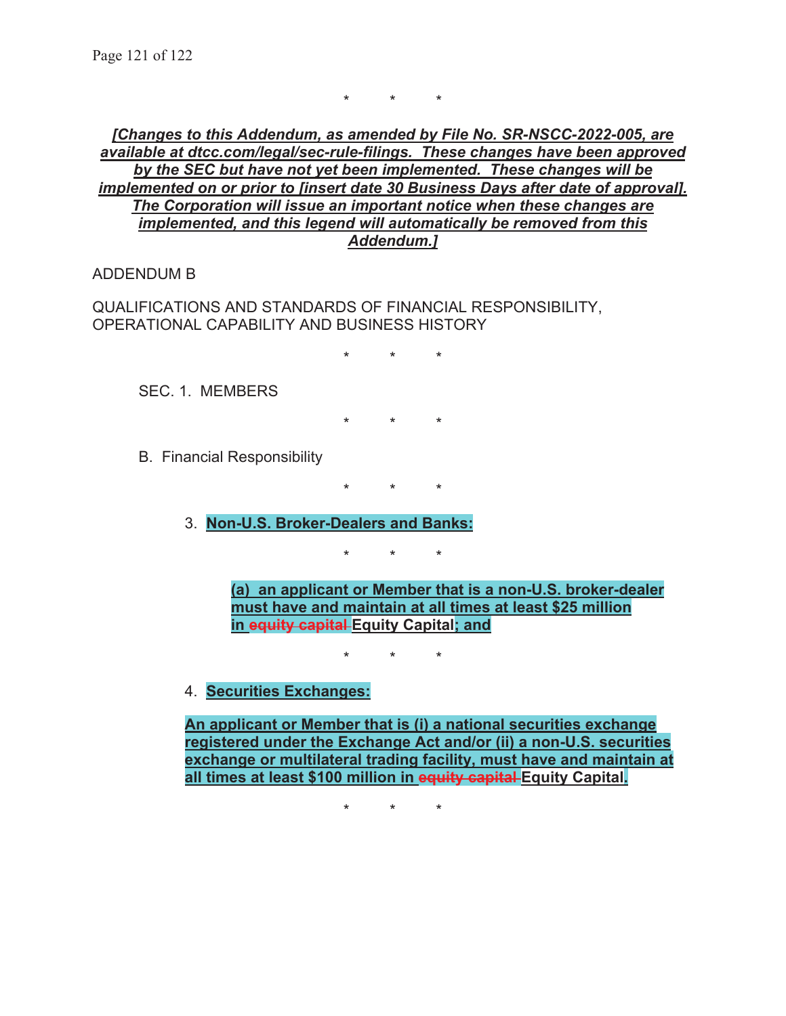\* \* \*

*[Changes to this Addendum, as amended by File No. SR-NSCC-2022-005, are available at dtcc.com/legal/sec-rule-filings. These changes have been approved by the SEC but have not yet been implemented. These changes will be implemented on or prior to [insert date 30 Business Days after date of approval]. The Corporation will issue an important notice when these changes are implemented, and this legend will automatically be removed from this Addendum.]* 

ADDENDUM B

QUALIFICATIONS AND STANDARDS OF FINANCIAL RESPONSIBILITY, OPERATIONAL CAPABILITY AND BUSINESS HISTORY

\* \* \*

SEC. 1. MEMBERS

\* \* \*

B. Financial Responsibility

\* \* \*

3. **Non-U.S. Broker-Dealers and Banks:** 

\* \* \*

**(a) an applicant or Member that is a non-U.S. broker-dealer must have and maintain at all times at least \$25 million in equity capital Equity Capital; and** 

\* \* \*

#### 4. **Securities Exchanges:**

**An applicant or Member that is (i) a national securities exchange registered under the Exchange Act and/or (ii) a non-U.S. securities exchange or multilateral trading facility, must have and maintain at all times at least \$100 million in equity capital Equity Capital.** 

\* \* \*